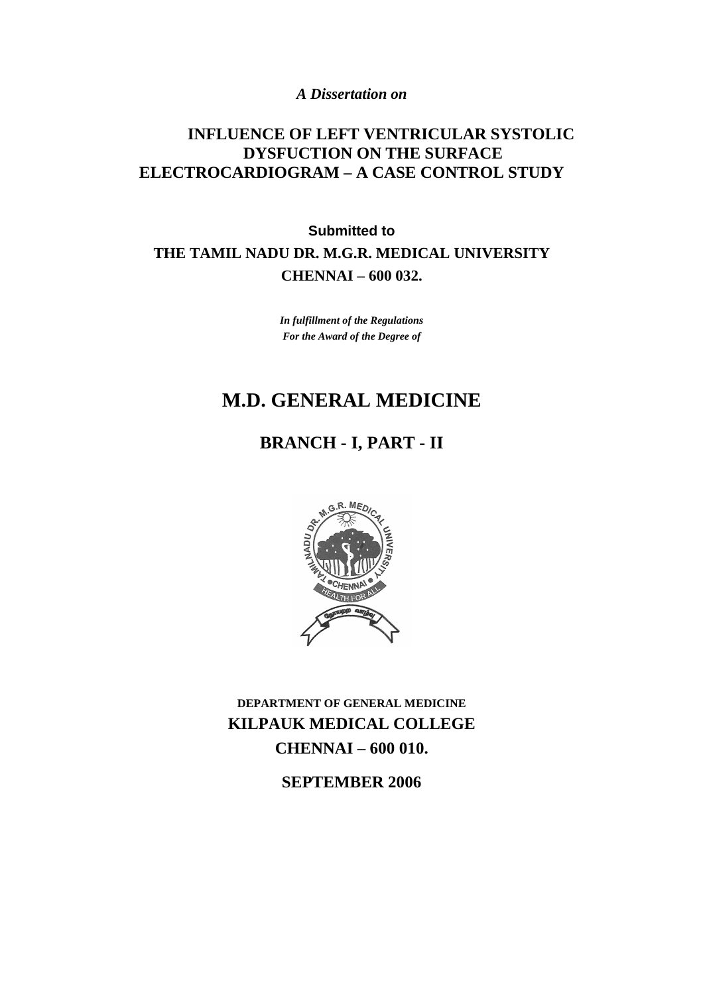*A Dissertation on* 

## **INFLUENCE OF LEFT VENTRICULAR SYSTOLIC DYSFUCTION ON THE SURFACE ELECTROCARDIOGRAM – A CASE CONTROL STUDY**

**Submitted to THE TAMIL NADU DR. M.G.R. MEDICAL UNIVERSITY CHENNAI – 600 032.** 

> *In fulfillment of the Regulations For the Award of the Degree of*

# **M.D. GENERAL MEDICINE**

# **BRANCH - I, PART - II**



**DEPARTMENT OF GENERAL MEDICINE KILPAUK MEDICAL COLLEGE CHENNAI – 600 010.** 

**SEPTEMBER 2006**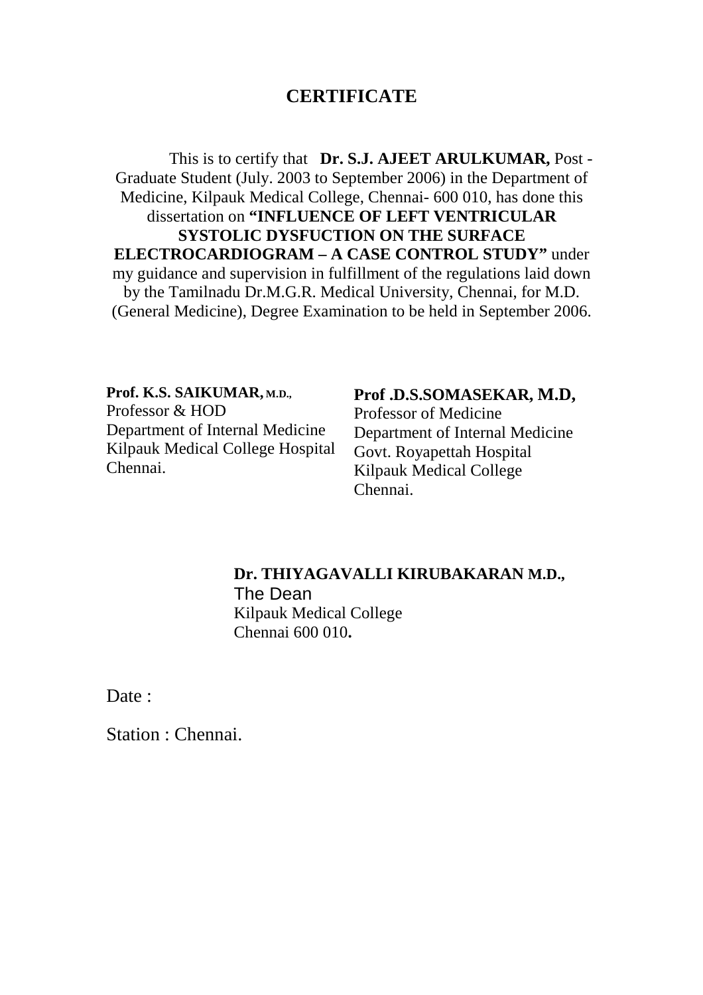## **CERTIFICATE**

This is to certify that **Dr. S.J. AJEET ARULKUMAR,** Post - Graduate Student (July. 2003 to September 2006) in the Department of Medicine, Kilpauk Medical College, Chennai- 600 010, has done this dissertation on **"INFLUENCE OF LEFT VENTRICULAR SYSTOLIC DYSFUCTION ON THE SURFACE ELECTROCARDIOGRAM – A CASE CONTROL STUDY"** under my guidance and supervision in fulfillment of the regulations laid down by the Tamilnadu Dr.M.G.R. Medical University, Chennai, for M.D. (General Medicine), Degree Examination to be held in September 2006.

**Prof. K.S. SAIKUMAR, M.D.,** Professor & HOD Department of Internal Medicine Kilpauk Medical College Hospital Chennai.

#### **Prof .D.S.SOMASEKAR, M.D,**

Professor of Medicine Department of Internal Medicine Govt. Royapettah Hospital Kilpauk Medical College Chennai.

## **Dr. THIYAGAVALLI KIRUBAKARAN M.D.,** The Dean Kilpauk Medical College Chennai 600 010**.**

Date:

Station : Chennai.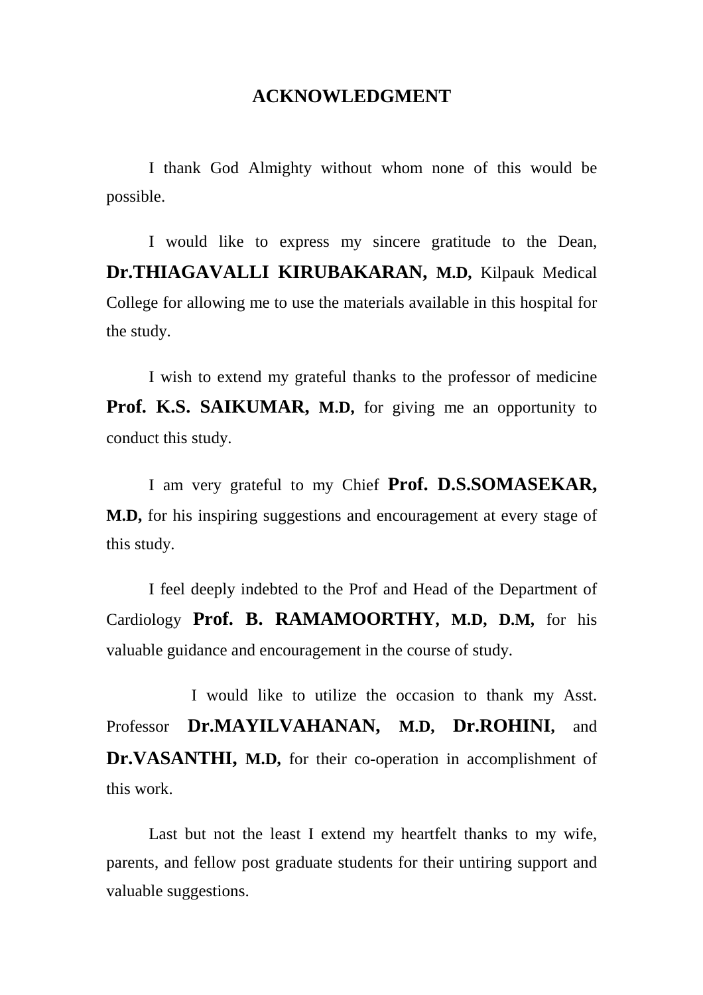## **ACKNOWLEDGMENT**

I thank God Almighty without whom none of this would be possible.

 I would like to express my sincere gratitude to the Dean, **Dr.THIAGAVALLI KIRUBAKARAN, M.D,** Kilpauk Medical College for allowing me to use the materials available in this hospital for the study.

 I wish to extend my grateful thanks to the professor of medicine **Prof. K.S. SAIKUMAR, M.D,** for giving me an opportunity to conduct this study.

 I am very grateful to my Chief **Prof. D.S.SOMASEKAR, M.D,** for his inspiring suggestions and encouragement at every stage of this study.

 I feel deeply indebted to the Prof and Head of the Department of Cardiology **Prof. B. RAMAMOORTHY, M.D, D.M,** for his valuable guidance and encouragement in the course of study.

 I would like to utilize the occasion to thank my Asst. Professor **Dr.MAYILVAHANAN, M.D, Dr.ROHINI,** and **Dr.VASANTHI, M.D,** for their co-operation in accomplishment of this work.

 Last but not the least I extend my heartfelt thanks to my wife, parents, and fellow post graduate students for their untiring support and valuable suggestions.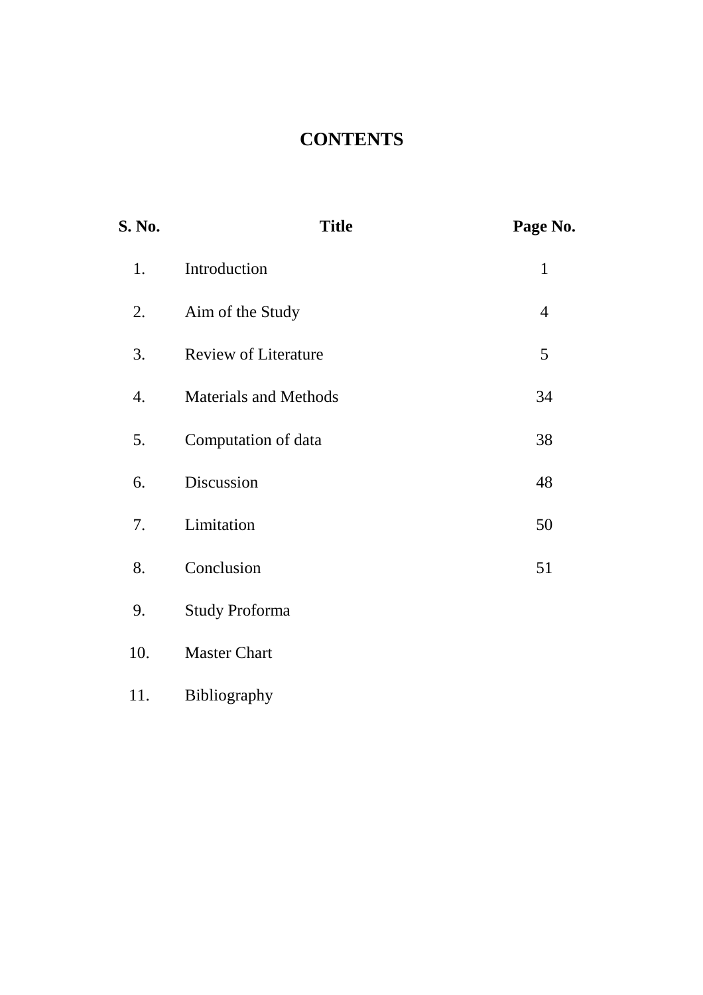# **CONTENTS**

| S. No. | <b>Title</b>                 | Page No.       |
|--------|------------------------------|----------------|
| 1.     | Introduction                 | $\mathbf{1}$   |
| 2.     | Aim of the Study             | $\overline{4}$ |
| 3.     | <b>Review of Literature</b>  | 5              |
| 4.     | <b>Materials and Methods</b> | 34             |
| 5.     | Computation of data          | 38             |
| 6.     | Discussion                   | 48             |
| 7.     | Limitation                   | 50             |
| 8.     | Conclusion                   | 51             |
| 9.     | <b>Study Proforma</b>        |                |
| 10.    | <b>Master Chart</b>          |                |
| 11.    | Bibliography                 |                |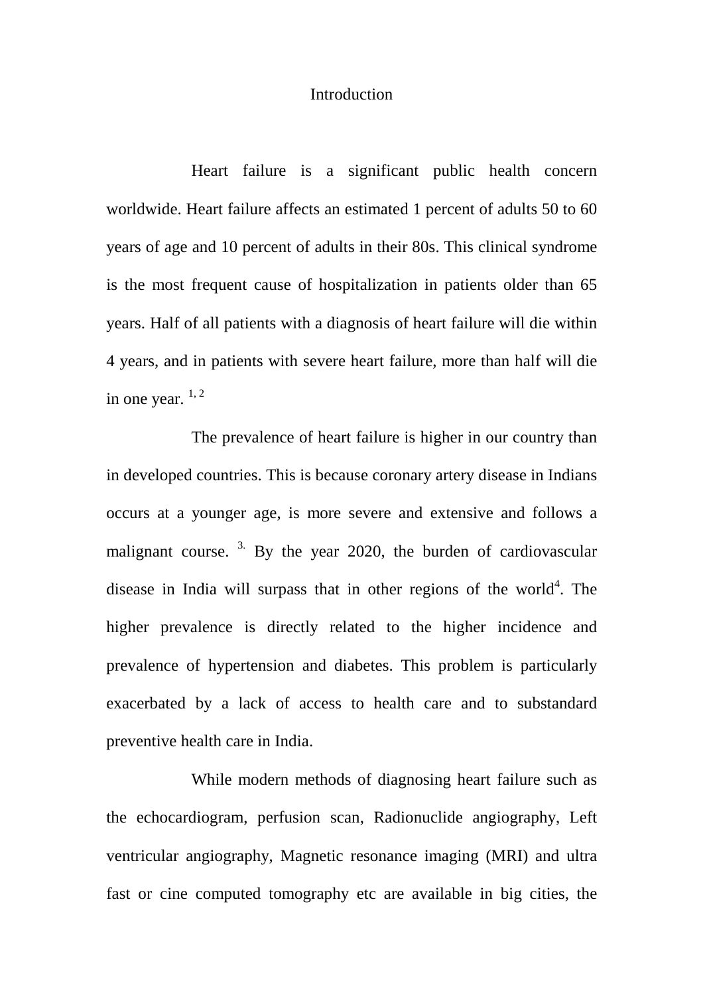#### Introduction

Heart failure is a significant public health concern worldwide. Heart failure affects an estimated 1 percent of adults 50 to 60 years of age and 10 percent of adults in their 80s. This clinical syndrome is the most frequent cause of hospitalization in patients older than 65 years. Half of all patients with a diagnosis of heart failure will die within 4 years, and in patients with severe heart failure, more than half will die in one year.  $1, 2$ 

The prevalence of heart failure is higher in our country than in developed countries. This is because coronary artery disease in Indians occurs at a younger age, is more severe and extensive and follows a malignant course.<sup>3.</sup> By the year 2020, the burden of cardiovascular disease in India will surpass that in other regions of the world<sup>4</sup>. The higher prevalence is directly related to the higher incidence and prevalence of hypertension and diabetes. This problem is particularly exacerbated by a lack of access to health care and to substandard preventive health care in India.

While modern methods of diagnosing heart failure such as the echocardiogram, perfusion scan, Radionuclide angiography, Left ventricular angiography, Magnetic resonance imaging (MRI) and ultra fast or cine computed tomography etc are available in big cities, the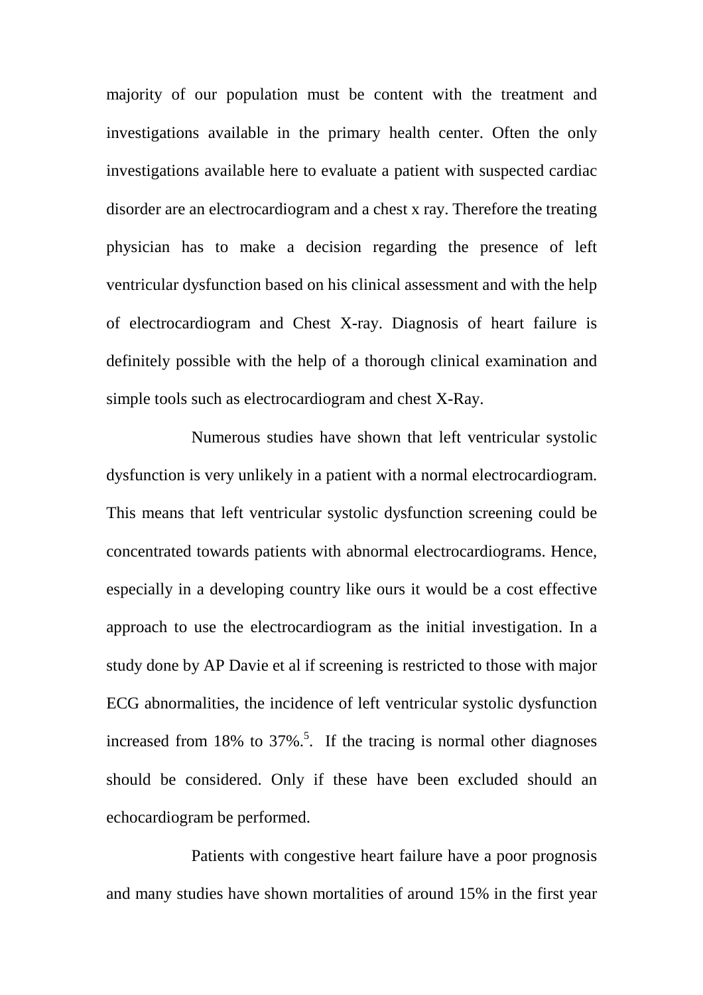majority of our population must be content with the treatment and investigations available in the primary health center. Often the only investigations available here to evaluate a patient with suspected cardiac disorder are an electrocardiogram and a chest x ray. Therefore the treating physician has to make a decision regarding the presence of left ventricular dysfunction based on his clinical assessment and with the help of electrocardiogram and Chest X-ray. Diagnosis of heart failure is definitely possible with the help of a thorough clinical examination and simple tools such as electrocardiogram and chest X-Ray.

Numerous studies have shown that left ventricular systolic dysfunction is very unlikely in a patient with a normal electrocardiogram. This means that left ventricular systolic dysfunction screening could be concentrated towards patients with abnormal electrocardiograms. Hence, especially in a developing country like ours it would be a cost effective approach to use the electrocardiogram as the initial investigation. In a study done by AP Davie et al if screening is restricted to those with major ECG abnormalities, the incidence of left ventricular systolic dysfunction increased from 18% to  $37\%$ <sup>5</sup>. If the tracing is normal other diagnoses should be considered. Only if these have been excluded should an echocardiogram be performed.

Patients with congestive heart failure have a poor prognosis and many studies have shown mortalities of around 15% in the first year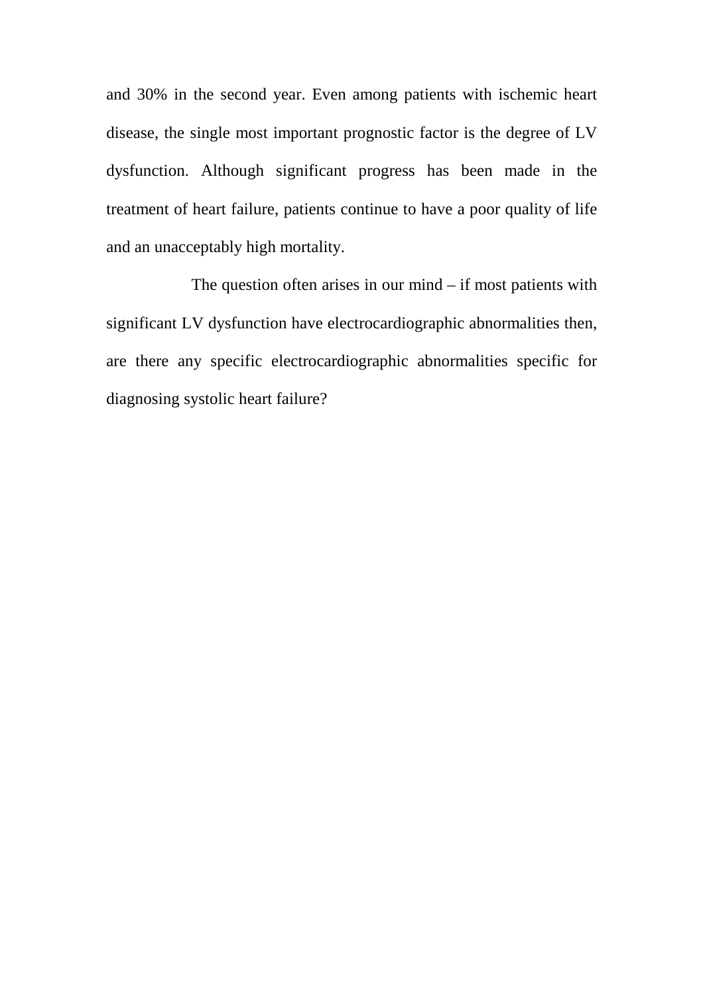and 30% in the second year. Even among patients with ischemic heart disease, the single most important prognostic factor is the degree of LV dysfunction. Although significant progress has been made in the treatment of heart failure, patients continue to have a poor quality of life and an unacceptably high mortality.

The question often arises in our mind – if most patients with significant LV dysfunction have electrocardiographic abnormalities then, are there any specific electrocardiographic abnormalities specific for diagnosing systolic heart failure?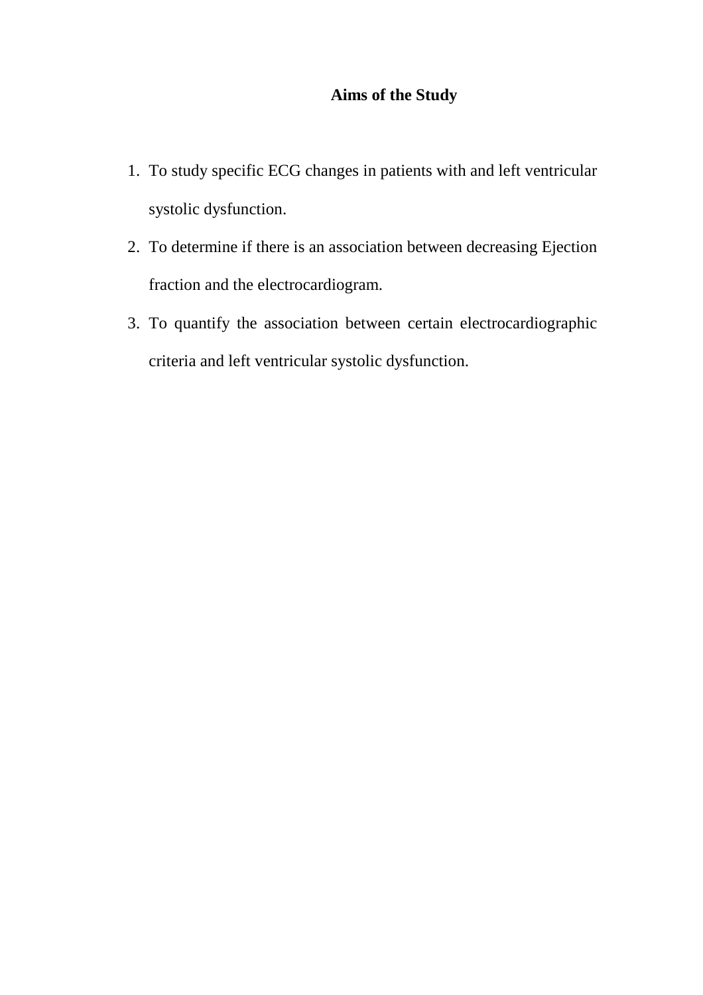## **Aims of the Study**

- 1. To study specific ECG changes in patients with and left ventricular systolic dysfunction.
- 2. To determine if there is an association between decreasing Ejection fraction and the electrocardiogram.
- 3. To quantify the association between certain electrocardiographic criteria and left ventricular systolic dysfunction.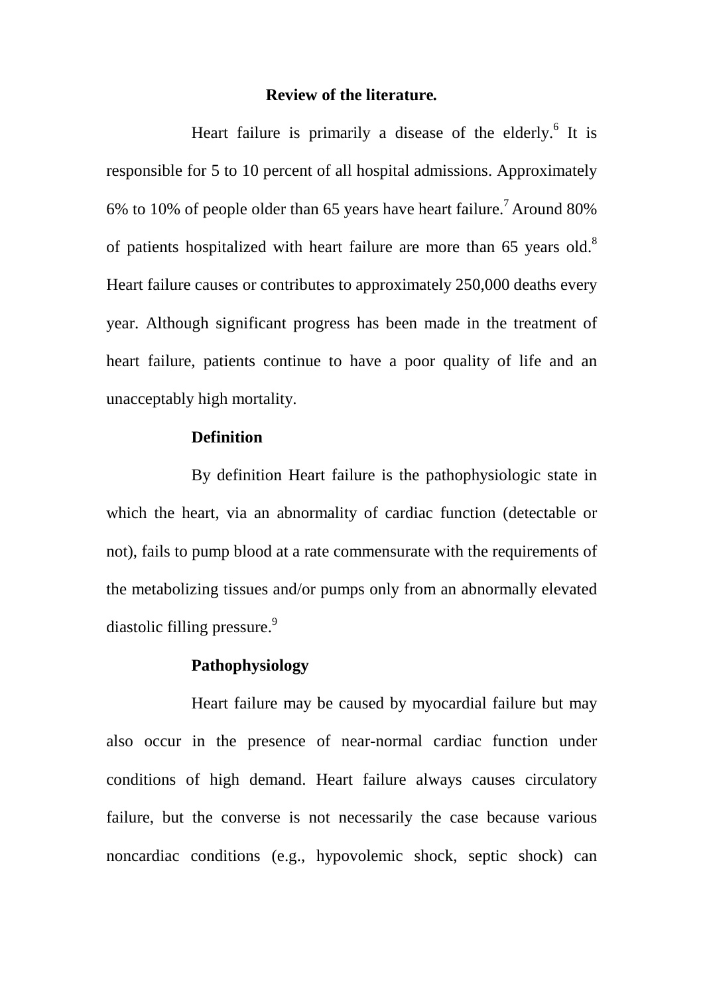#### **Review of the literature***.*

Heart failure is primarily a disease of the elderly.<sup>6</sup> It is responsible for 5 to 10 percent of all hospital admissions. Approximately 6% to 10% of people older than 65 years have heart failure.<sup>7</sup> Around 80% of patients hospitalized with heart failure are more than 65 years old.<sup>8</sup> Heart failure causes or contributes to approximately 250,000 deaths every year. Although significant progress has been made in the treatment of heart failure, patients continue to have a poor quality of life and an unacceptably high mortality.

## **Definition**

By definition Heart failure is the pathophysiologic state in which the heart, via an abnormality of cardiac function (detectable or not), fails to pump blood at a rate commensurate with the requirements of the metabolizing tissues and/or pumps only from an abnormally elevated diastolic filling pressure. $9$ 

#### **Pathophysiology**

Heart failure may be caused by myocardial failure but may also occur in the presence of near-normal cardiac function under conditions of high demand. Heart failure always causes circulatory failure, but the converse is not necessarily the case because various noncardiac conditions (e.g., hypovolemic shock, septic shock) can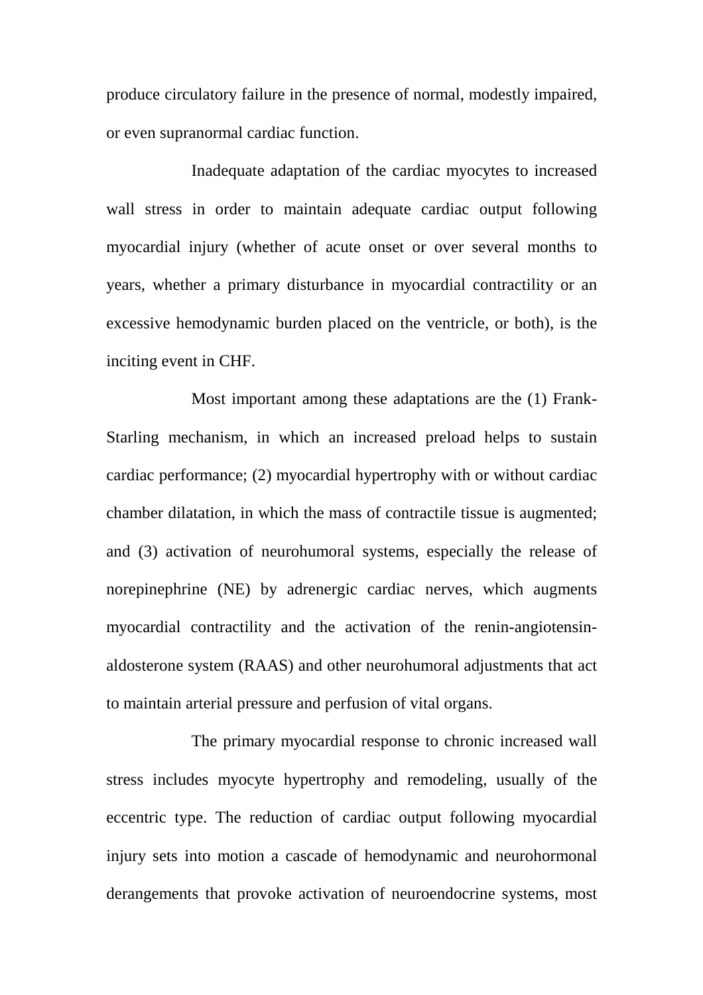produce circulatory failure in the presence of normal, modestly impaired, or even supranormal cardiac function.

Inadequate adaptation of the cardiac myocytes to increased wall stress in order to maintain adequate cardiac output following myocardial injury (whether of acute onset or over several months to years, whether a primary disturbance in myocardial contractility or an excessive hemodynamic burden placed on the ventricle, or both), is the inciting event in CHF.

Most important among these adaptations are the (1) Frank-Starling mechanism, in which an increased preload helps to sustain cardiac performance; (2) myocardial hypertrophy with or without cardiac chamber dilatation, in which the mass of contractile tissue is augmented; and (3) activation of neurohumoral systems, especially the release of norepinephrine (NE) by adrenergic cardiac nerves, which augments myocardial contractility and the activation of the renin-angiotensinaldosterone system (RAAS) and other neurohumoral adjustments that act to maintain arterial pressure and perfusion of vital organs.

The primary myocardial response to chronic increased wall stress includes myocyte hypertrophy and remodeling, usually of the eccentric type. The reduction of cardiac output following myocardial injury sets into motion a cascade of hemodynamic and neurohormonal derangements that provoke activation of neuroendocrine systems, most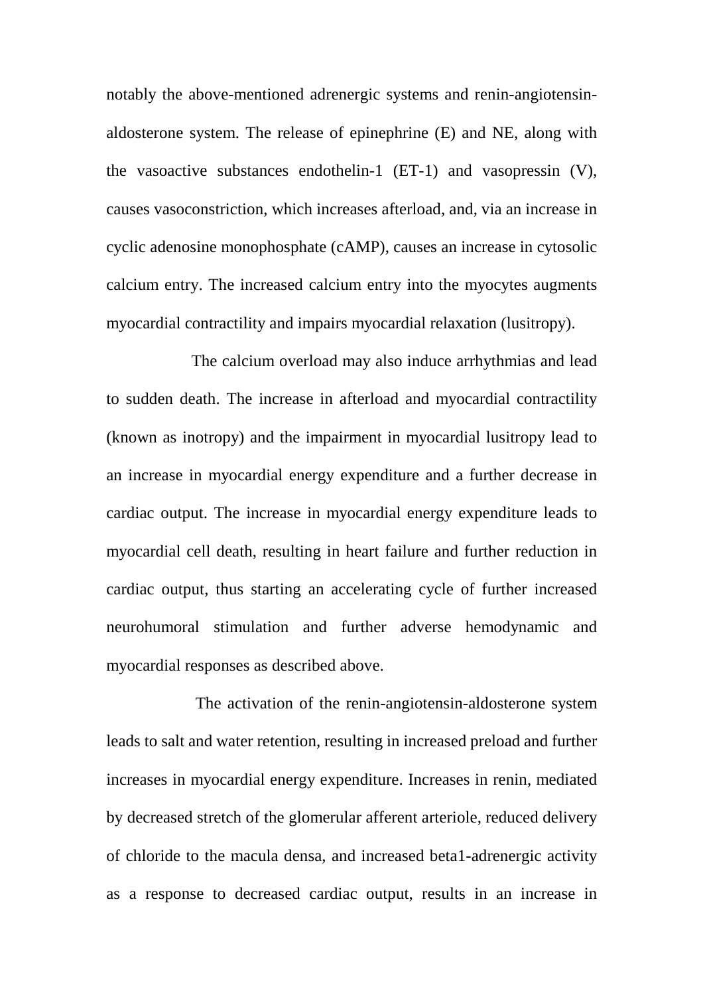notably the above-mentioned adrenergic systems and renin-angiotensinaldosterone system. The release of epinephrine (E) and NE, along with the vasoactive substances endothelin-1 (ET-1) and vasopressin (V), causes vasoconstriction, which increases afterload, and, via an increase in cyclic adenosine monophosphate (cAMP), causes an increase in cytosolic calcium entry. The increased calcium entry into the myocytes augments myocardial contractility and impairs myocardial relaxation (lusitropy).

The calcium overload may also induce arrhythmias and lead to sudden death. The increase in afterload and myocardial contractility (known as inotropy) and the impairment in myocardial lusitropy lead to an increase in myocardial energy expenditure and a further decrease in cardiac output. The increase in myocardial energy expenditure leads to myocardial cell death, resulting in heart failure and further reduction in cardiac output, thus starting an accelerating cycle of further increased neurohumoral stimulation and further adverse hemodynamic and myocardial responses as described above.

 The activation of the renin-angiotensin-aldosterone system leads to salt and water retention, resulting in increased preload and further increases in myocardial energy expenditure. Increases in renin, mediated by decreased stretch of the glomerular afferent arteriole, reduced delivery of chloride to the macula densa, and increased beta1-adrenergic activity as a response to decreased cardiac output, results in an increase in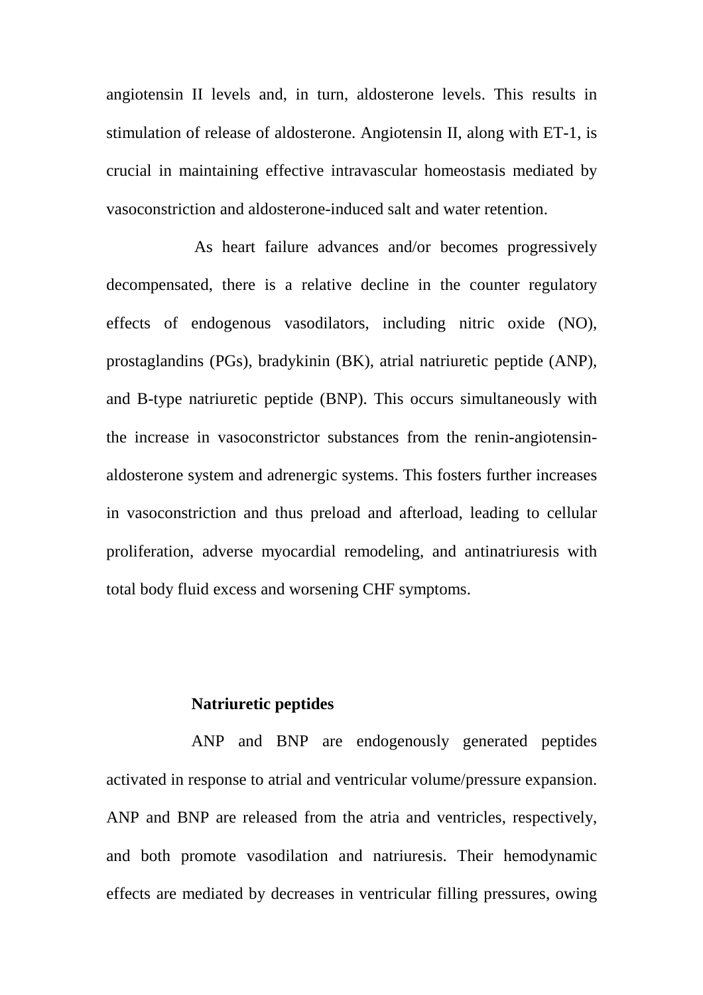angiotensin II levels and, in turn, aldosterone levels. This results in stimulation of release of aldosterone. Angiotensin II, along with ET-1, is crucial in maintaining effective intravascular homeostasis mediated by vasoconstriction and aldosterone-induced salt and water retention.

As heart failure advances and/or becomes progressively decompensated, there is a relative decline in the counter regulatory effects of endogenous vasodilators, including nitric oxide (NO), prostaglandins (PGs), bradykinin (BK), atrial natriuretic peptide (ANP), and B-type natriuretic peptide (BNP). This occurs simultaneously with the increase in vasoconstrictor substances from the renin-angiotensinaldosterone system and adrenergic systems. This fosters further increases in vasoconstriction and thus preload and afterload, leading to cellular proliferation, adverse myocardial remodeling, and antinatriuresis with total body fluid excess and worsening CHF symptoms.

#### **Natriuretic peptides**

ANP and BNP are endogenously generated peptides activated in response to atrial and ventricular volume/pressure expansion. ANP and BNP are released from the atria and ventricles, respectively, and both promote vasodilation and natriuresis. Their hemodynamic effects are mediated by decreases in ventricular filling pressures, owing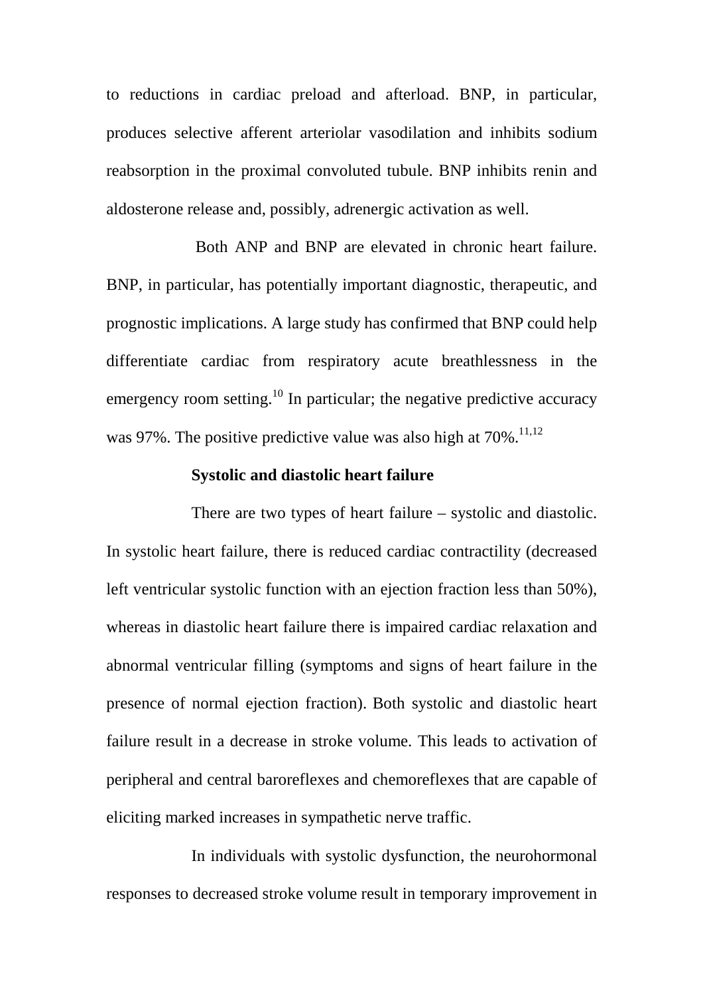to reductions in cardiac preload and afterload. BNP, in particular, produces selective afferent arteriolar vasodilation and inhibits sodium reabsorption in the proximal convoluted tubule. BNP inhibits renin and aldosterone release and, possibly, adrenergic activation as well.

 Both ANP and BNP are elevated in chronic heart failure. BNP, in particular, has potentially important diagnostic, therapeutic, and prognostic implications. A large study has confirmed that BNP could help differentiate cardiac from respiratory acute breathlessness in the emergency room setting.<sup>10</sup> In particular; the negative predictive accuracy was 97%. The positive predictive value was also high at  $70\%$ .<sup>11,12</sup>

#### **Systolic and diastolic heart failure**

There are two types of heart failure – systolic and diastolic. In systolic heart failure, there is reduced cardiac contractility (decreased left ventricular systolic function with an ejection fraction less than 50%), whereas in diastolic heart failure there is impaired cardiac relaxation and abnormal ventricular filling (symptoms and signs of heart failure in the presence of normal ejection fraction). Both systolic and diastolic heart failure result in a decrease in stroke volume. This leads to activation of peripheral and central baroreflexes and chemoreflexes that are capable of eliciting marked increases in sympathetic nerve traffic.

In individuals with systolic dysfunction, the neurohormonal responses to decreased stroke volume result in temporary improvement in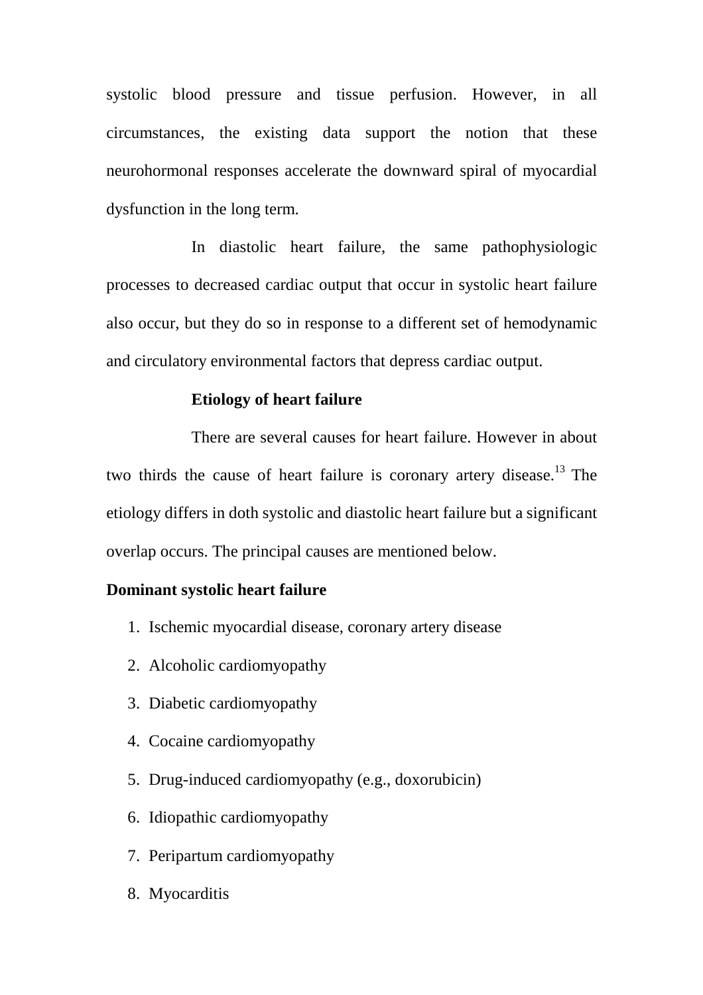systolic blood pressure and tissue perfusion. However, in all circumstances, the existing data support the notion that these neurohormonal responses accelerate the downward spiral of myocardial dysfunction in the long term.

In diastolic heart failure, the same pathophysiologic processes to decreased cardiac output that occur in systolic heart failure also occur, but they do so in response to a different set of hemodynamic and circulatory environmental factors that depress cardiac output.

#### **Etiology of heart failure**

There are several causes for heart failure. However in about two thirds the cause of heart failure is coronary artery disease.<sup>13</sup> The etiology differs in doth systolic and diastolic heart failure but a significant overlap occurs. The principal causes are mentioned below.

## **Dominant systolic heart failure**

- 1. Ischemic myocardial disease, coronary artery disease
- 2. Alcoholic cardiomyopathy
- 3. Diabetic cardiomyopathy
- 4. Cocaine cardiomyopathy
- 5. Drug-induced cardiomyopathy (e.g., doxorubicin)
- 6. Idiopathic cardiomyopathy
- 7. Peripartum cardiomyopathy
- 8. Myocarditis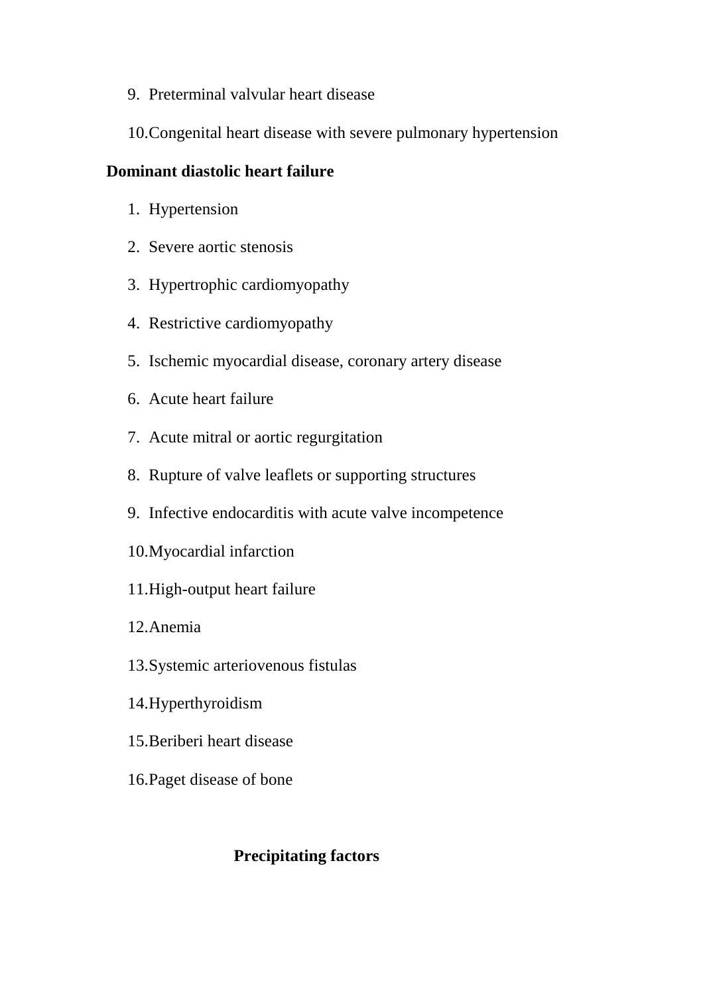- 9. Preterminal valvular heart disease
- 10. Congenital heart disease with severe pulmonary hypertension

## **Dominant diastolic heart failure**

- 1. Hypertension
- 2. Severe aortic stenosis
- 3. Hypertrophic cardiomyopathy
- 4. Restrictive cardiomyopathy
- 5. Ischemic myocardial disease, coronary artery disease
- 6. Acute heart failure
- 7. Acute mitral or aortic regurgitation
- 8. Rupture of valve leaflets or supporting structures
- 9. Infective endocarditis with acute valve incompetence
- 10. Myocardial infarction
- 11. High-output heart failure
- 12. Anemia
- 13. Systemic arteriovenous fistulas
- 14. Hyperthyroidism
- 15. Beriberi heart disease
- 16. Paget disease of bone

## **Precipitating factors**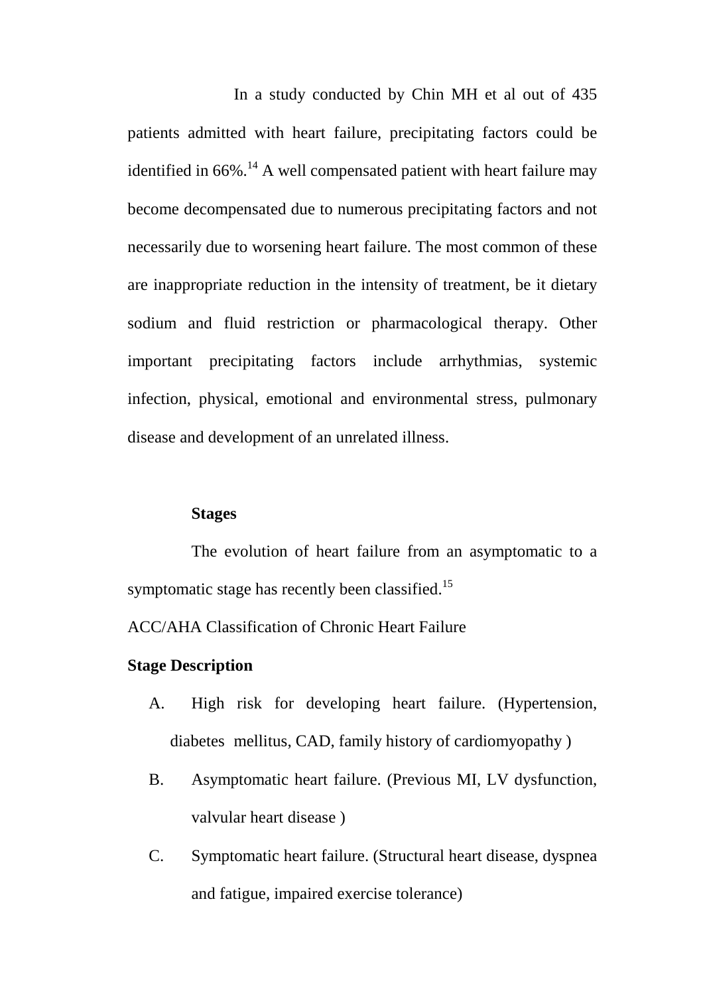In a study conducted by Chin MH et al out of 435 patients admitted with heart failure, precipitating factors could be identified in  $66\%$ .<sup>14</sup> A well compensated patient with heart failure may become decompensated due to numerous precipitating factors and not necessarily due to worsening heart failure. The most common of these are inappropriate reduction in the intensity of treatment, be it dietary sodium and fluid restriction or pharmacological therapy. Other important precipitating factors include arrhythmias, systemic infection, physical, emotional and environmental stress, pulmonary disease and development of an unrelated illness.

## **Stages**

The evolution of heart failure from an asymptomatic to a symptomatic stage has recently been classified.<sup>15</sup>

ACC/AHA Classification of Chronic Heart Failure

## **Stage Description**

- A. High risk for developing heart failure. (Hypertension, diabetes mellitus, CAD, family history of cardiomyopathy )
- B. Asymptomatic heart failure. (Previous MI, LV dysfunction, valvular heart disease )
- C. Symptomatic heart failure. (Structural heart disease, dyspnea and fatigue, impaired exercise tolerance)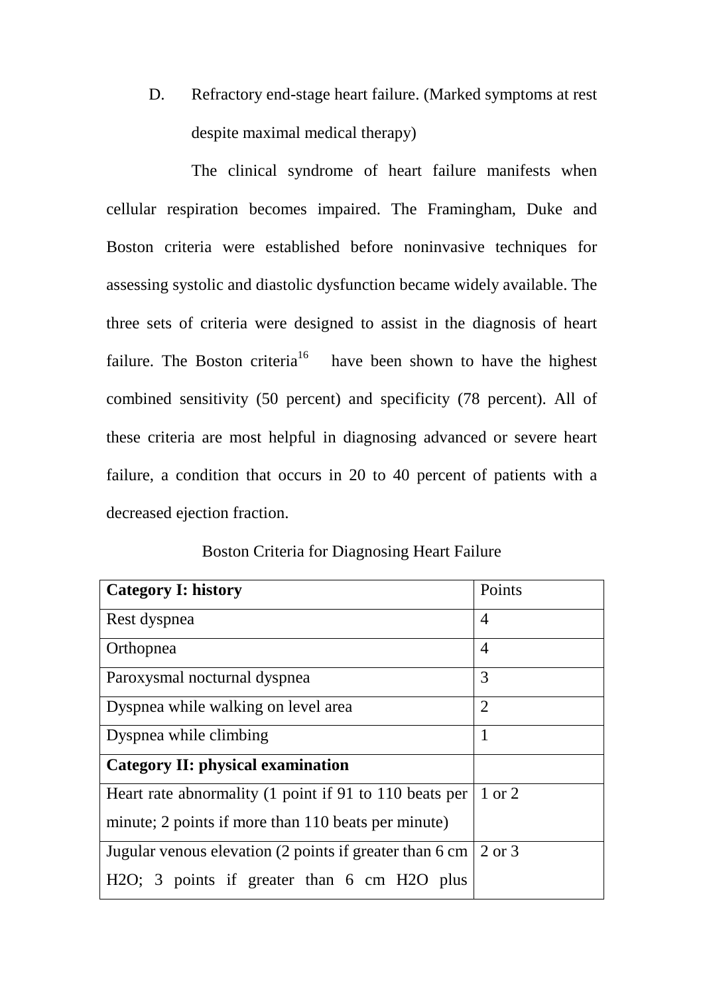D. Refractory end-stage heart failure. (Marked symptoms at rest despite maximal medical therapy)

The clinical syndrome of heart failure manifests when cellular respiration becomes impaired. The Framingham, Duke and Boston criteria were established before noninvasive techniques for assessing systolic and diastolic dysfunction became widely available. The three sets of criteria were designed to assist in the diagnosis of heart failure. The Boston criteria<sup>16</sup> have been shown to have the highest combined sensitivity (50 percent) and specificity (78 percent). All of these criteria are most helpful in diagnosing advanced or severe heart failure, a condition that occurs in 20 to 40 percent of patients with a decreased ejection fraction.

| <b>Category I: history</b>                                             | Points         |
|------------------------------------------------------------------------|----------------|
| Rest dyspnea                                                           | $\overline{4}$ |
| Orthopnea                                                              | $\overline{4}$ |
| Paroxysmal nocturnal dyspnea                                           | 3              |
| Dyspnea while walking on level area                                    | $\overline{2}$ |
| Dyspnea while climbing                                                 | $\mathbf{1}$   |
| <b>Category II: physical examination</b>                               |                |
| Heart rate abnormality (1 point if 91 to 110 beats per                 | 1 or 2         |
| minute; 2 points if more than 110 beats per minute)                    |                |
| Jugular venous elevation (2 points if greater than 6 cm $\vert$ 2 or 3 |                |
| H <sub>2</sub> O; 3 points if greater than 6 cm H <sub>2</sub> O plus  |                |

Boston Criteria for Diagnosing Heart Failure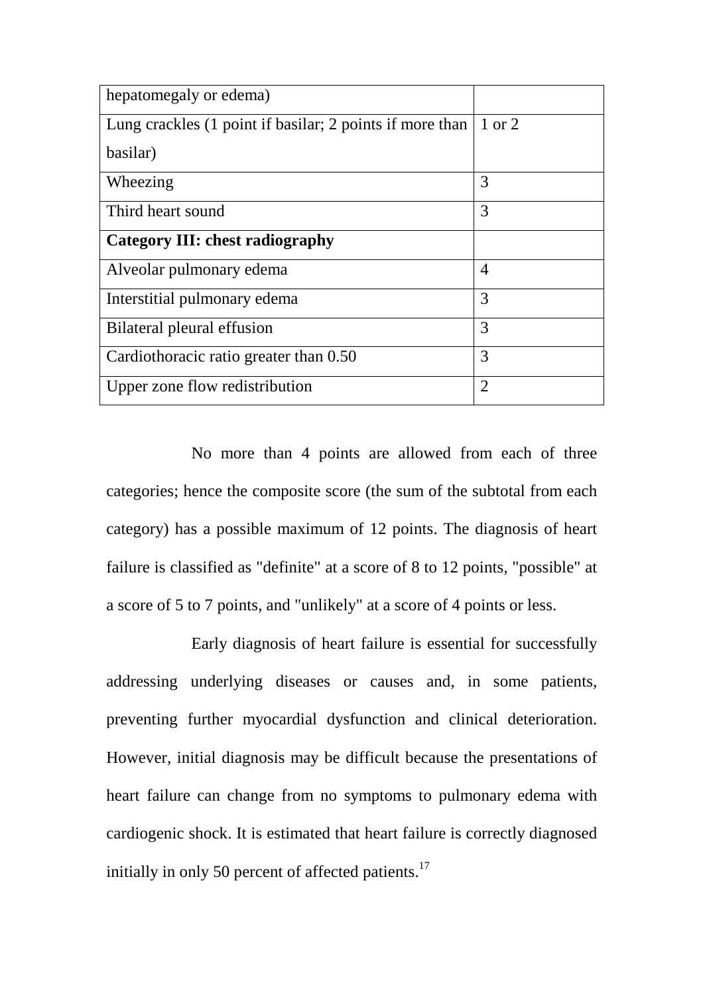| hepatomegaly or edema)                                   |                |
|----------------------------------------------------------|----------------|
| Lung crackles (1 point if basilar; 2 points if more than | 1 or 2         |
| basilar)                                                 |                |
| Wheezing                                                 | 3              |
| Third heart sound                                        | 3              |
| Category III: chest radiography                          |                |
| Alveolar pulmonary edema                                 | 4              |
| Interstitial pulmonary edema                             | 3              |
| Bilateral pleural effusion                               | 3              |
| Cardiothoracic ratio greater than 0.50                   | 3              |
| Upper zone flow redistribution                           | $\overline{2}$ |

No more than 4 points are allowed from each of three categories; hence the composite score (the sum of the subtotal from each category) has a possible maximum of 12 points. The diagnosis of heart failure is classified as "definite" at a score of 8 to 12 points, "possible" at a score of 5 to 7 points, and "unlikely" at a score of 4 points or less.

Early diagnosis of heart failure is essential for successfully addressing underlying diseases or causes and, in some patients, preventing further myocardial dysfunction and clinical deterioration. However, initial diagnosis may be difficult because the presentations of heart failure can change from no symptoms to pulmonary edema with cardiogenic shock. It is estimated that heart failure is correctly diagnosed initially in only 50 percent of affected patients. $^{17}$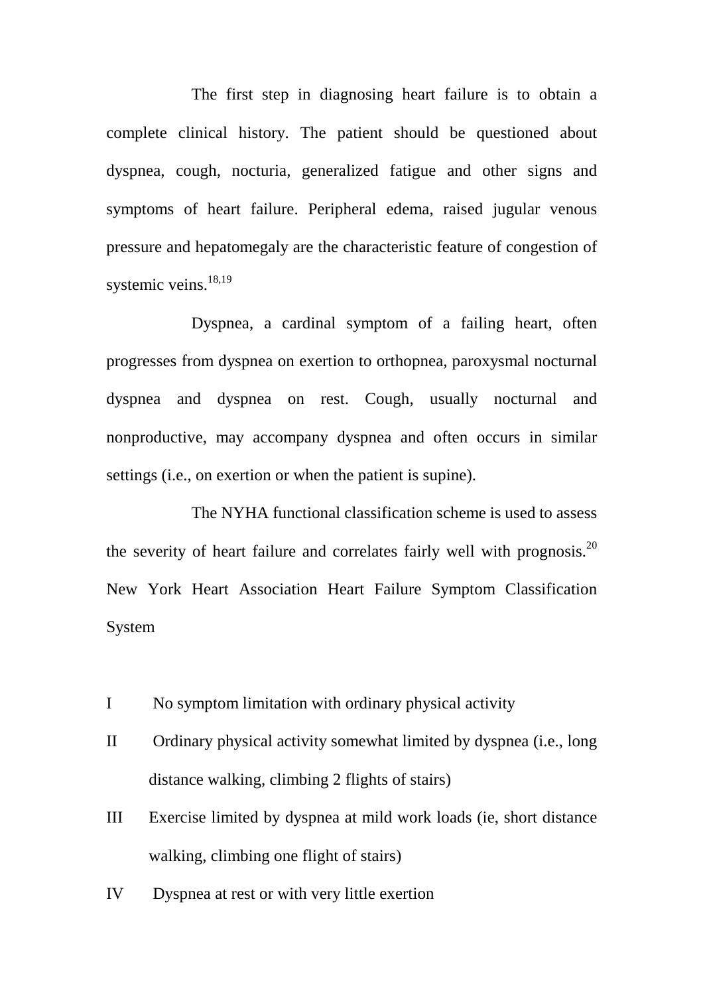The first step in diagnosing heart failure is to obtain a complete clinical history. The patient should be questioned about dyspnea, cough, nocturia, generalized fatigue and other signs and symptoms of heart failure. Peripheral edema, raised jugular venous pressure and hepatomegaly are the characteristic feature of congestion of systemic veins. $18,19$ 

Dyspnea, a cardinal symptom of a failing heart, often progresses from dyspnea on exertion to orthopnea, paroxysmal nocturnal dyspnea and dyspnea on rest. Cough, usually nocturnal and nonproductive, may accompany dyspnea and often occurs in similar settings (i.e., on exertion or when the patient is supine).

The NYHA functional classification scheme is used to assess the severity of heart failure and correlates fairly well with prognosis.<sup>20</sup> New York Heart Association Heart Failure Symptom Classification System

- I No symptom limitation with ordinary physical activity
- II Ordinary physical activity somewhat limited by dyspnea (i.e., long distance walking, climbing 2 flights of stairs)
- III Exercise limited by dyspnea at mild work loads (ie, short distance walking, climbing one flight of stairs)
- IV Dyspnea at rest or with very little exertion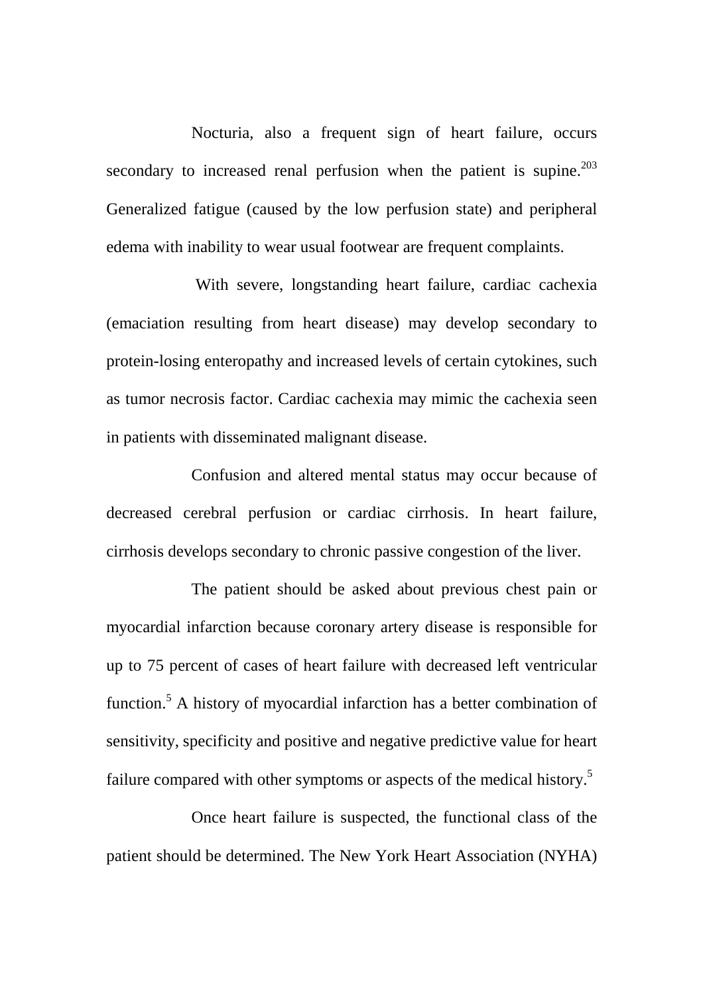Nocturia, also a frequent sign of heart failure, occurs secondary to increased renal perfusion when the patient is supine.<sup>203</sup> Generalized fatigue (caused by the low perfusion state) and peripheral edema with inability to wear usual footwear are frequent complaints.

 With severe, longstanding heart failure, cardiac cachexia (emaciation resulting from heart disease) may develop secondary to protein-losing enteropathy and increased levels of certain cytokines, such as tumor necrosis factor. Cardiac cachexia may mimic the cachexia seen in patients with disseminated malignant disease.

Confusion and altered mental status may occur because of decreased cerebral perfusion or cardiac cirrhosis. In heart failure, cirrhosis develops secondary to chronic passive congestion of the liver.

The patient should be asked about previous chest pain or myocardial infarction because coronary artery disease is responsible for up to 75 percent of cases of heart failure with decreased left ventricular function.<sup>5</sup> A history of myocardial infarction has a better combination of sensitivity, specificity and positive and negative predictive value for heart failure compared with other symptoms or aspects of the medical history.<sup>5</sup>

Once heart failure is suspected, the functional class of the patient should be determined. The New York Heart Association (NYHA)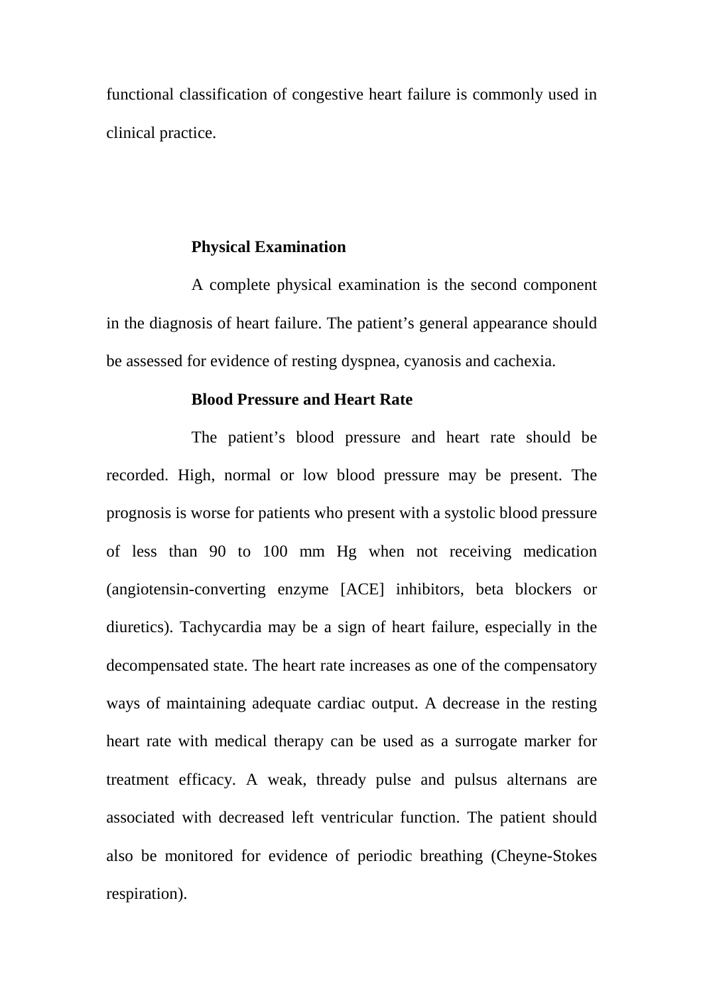functional classification of congestive heart failure is commonly used in clinical practice.

#### **Physical Examination**

A complete physical examination is the second component in the diagnosis of heart failure. The patient's general appearance should be assessed for evidence of resting dyspnea, cyanosis and cachexia.

#### **Blood Pressure and Heart Rate**

The patient's blood pressure and heart rate should be recorded. High, normal or low blood pressure may be present. The prognosis is worse for patients who present with a systolic blood pressure of less than 90 to 100 mm Hg when not receiving medication (angiotensin-converting enzyme [ACE] inhibitors, beta blockers or diuretics). Tachycardia may be a sign of heart failure, especially in the decompensated state. The heart rate increases as one of the compensatory ways of maintaining adequate cardiac output. A decrease in the resting heart rate with medical therapy can be used as a surrogate marker for treatment efficacy. A weak, thready pulse and pulsus alternans are associated with decreased left ventricular function. The patient should also be monitored for evidence of periodic breathing (Cheyne-Stokes respiration).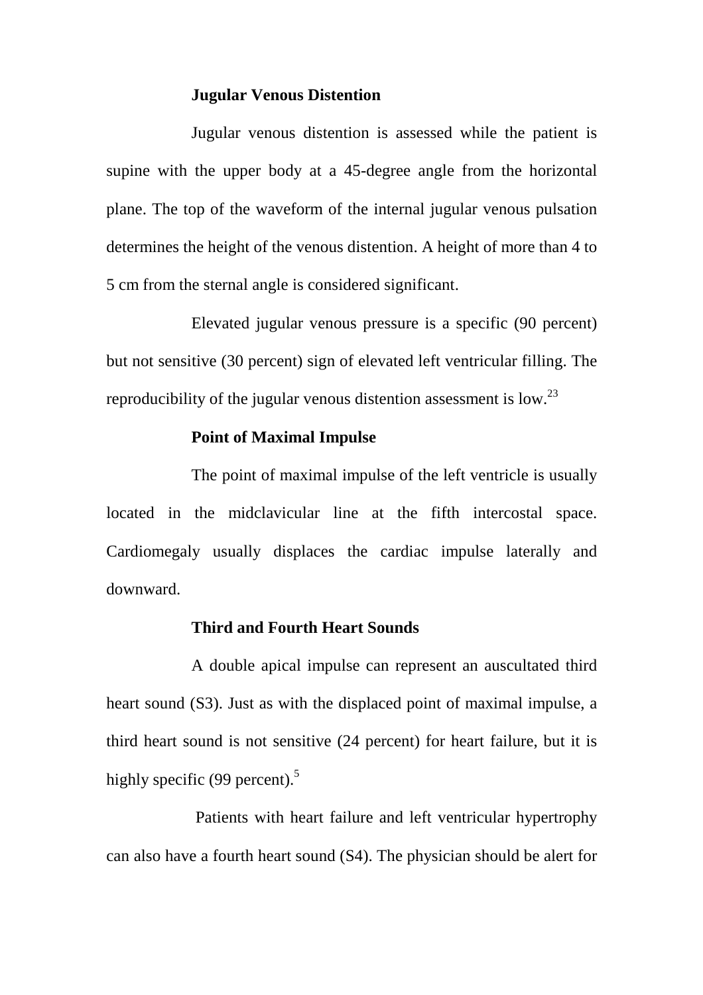#### **Jugular Venous Distention**

Jugular venous distention is assessed while the patient is supine with the upper body at a 45-degree angle from the horizontal plane. The top of the waveform of the internal jugular venous pulsation determines the height of the venous distention. A height of more than 4 to 5 cm from the sternal angle is considered significant.

Elevated jugular venous pressure is a specific (90 percent) but not sensitive (30 percent) sign of elevated left ventricular filling. The reproducibility of the jugular venous distention assessment is low.<sup>23</sup>

## **Point of Maximal Impulse**

The point of maximal impulse of the left ventricle is usually located in the midclavicular line at the fifth intercostal space. Cardiomegaly usually displaces the cardiac impulse laterally and downward.

#### **Third and Fourth Heart Sounds**

A double apical impulse can represent an auscultated third heart sound (S3). Just as with the displaced point of maximal impulse, a third heart sound is not sensitive (24 percent) for heart failure, but it is highly specific (99 percent). $5$ 

 Patients with heart failure and left ventricular hypertrophy can also have a fourth heart sound (S4). The physician should be alert for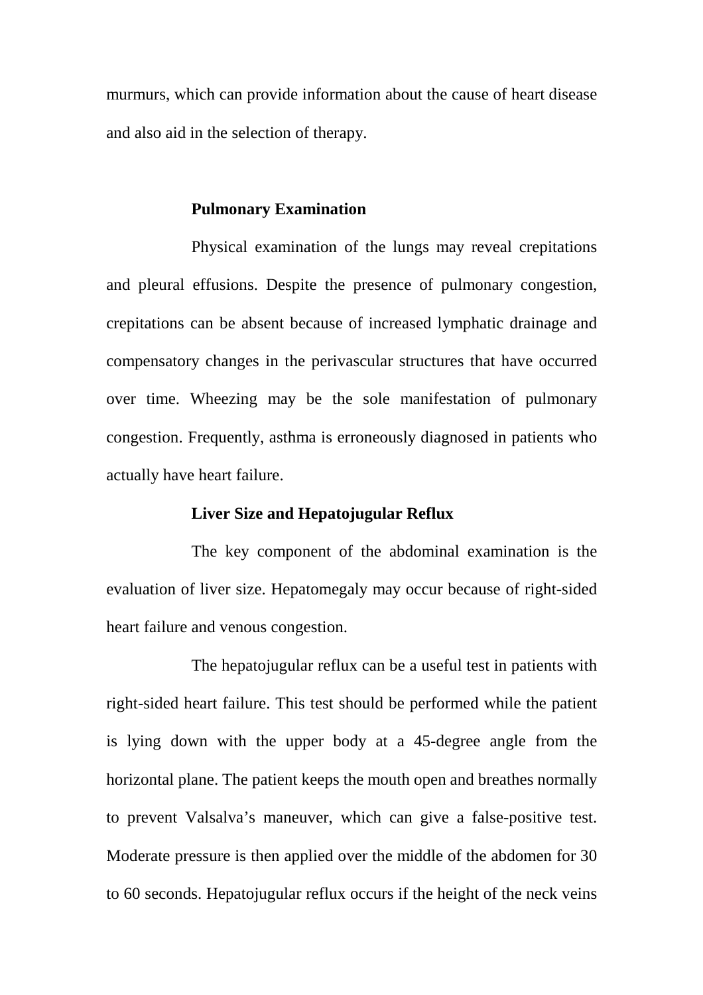murmurs, which can provide information about the cause of heart disease and also aid in the selection of therapy.

#### **Pulmonary Examination**

Physical examination of the lungs may reveal crepitations and pleural effusions. Despite the presence of pulmonary congestion, crepitations can be absent because of increased lymphatic drainage and compensatory changes in the perivascular structures that have occurred over time. Wheezing may be the sole manifestation of pulmonary congestion. Frequently, asthma is erroneously diagnosed in patients who actually have heart failure.

## **Liver Size and Hepatojugular Reflux**

The key component of the abdominal examination is the evaluation of liver size. Hepatomegaly may occur because of right-sided heart failure and venous congestion.

The hepatojugular reflux can be a useful test in patients with right-sided heart failure. This test should be performed while the patient is lying down with the upper body at a 45-degree angle from the horizontal plane. The patient keeps the mouth open and breathes normally to prevent Valsalva's maneuver, which can give a false-positive test. Moderate pressure is then applied over the middle of the abdomen for 30 to 60 seconds. Hepatojugular reflux occurs if the height of the neck veins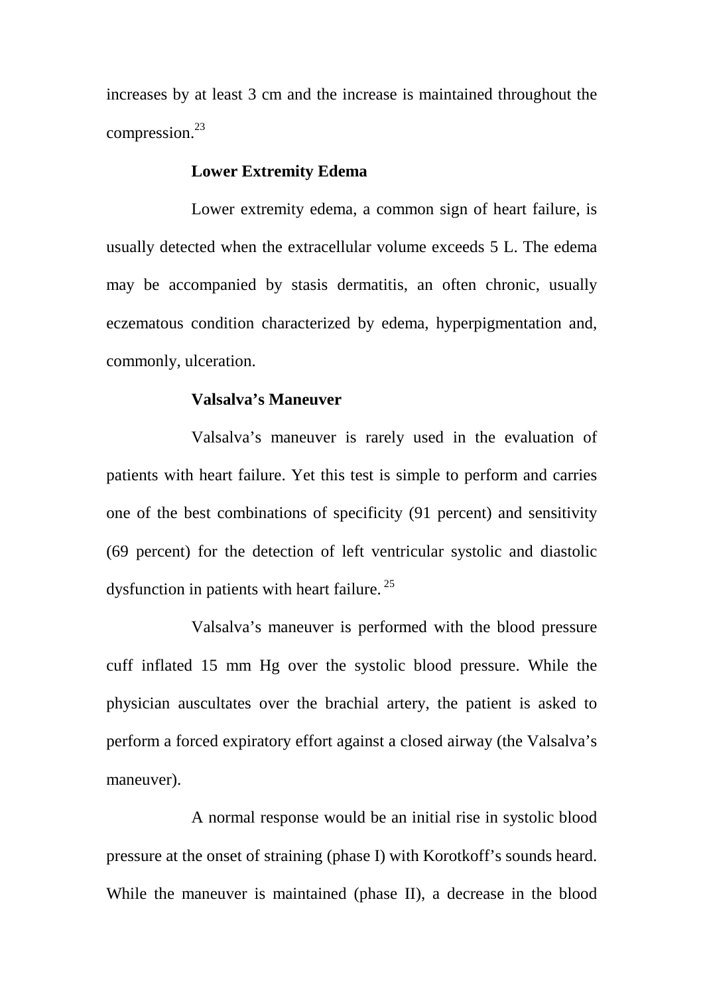increases by at least 3 cm and the increase is maintained throughout the compression.<sup>23</sup>

#### **Lower Extremity Edema**

Lower extremity edema, a common sign of heart failure, is usually detected when the extracellular volume exceeds 5 L. The edema may be accompanied by stasis dermatitis, an often chronic, usually eczematous condition characterized by edema, hyperpigmentation and, commonly, ulceration.

#### **Valsalva's Maneuver**

Valsalva's maneuver is rarely used in the evaluation of patients with heart failure. Yet this test is simple to perform and carries one of the best combinations of specificity (91 percent) and sensitivity (69 percent) for the detection of left ventricular systolic and diastolic dysfunction in patients with heart failure.<sup>25</sup>

Valsalva's maneuver is performed with the blood pressure cuff inflated 15 mm Hg over the systolic blood pressure. While the physician auscultates over the brachial artery, the patient is asked to perform a forced expiratory effort against a closed airway (the Valsalva's maneuver).

A normal response would be an initial rise in systolic blood pressure at the onset of straining (phase I) with Korotkoff's sounds heard. While the maneuver is maintained (phase II), a decrease in the blood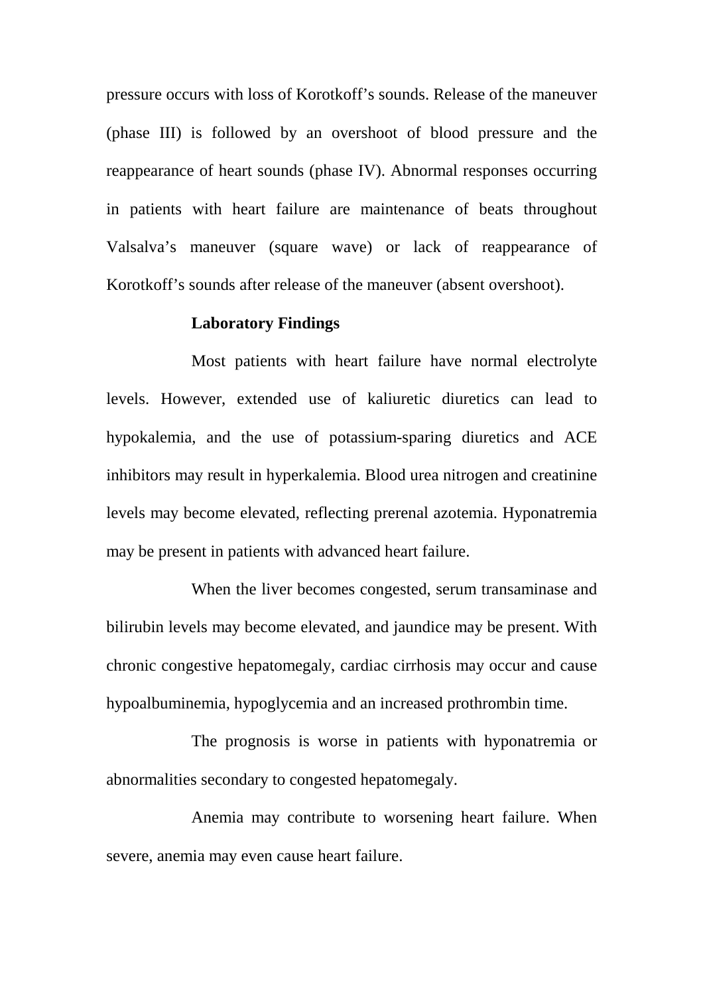pressure occurs with loss of Korotkoff's sounds. Release of the maneuver (phase III) is followed by an overshoot of blood pressure and the reappearance of heart sounds (phase IV). Abnormal responses occurring in patients with heart failure are maintenance of beats throughout Valsalva's maneuver (square wave) or lack of reappearance of Korotkoff's sounds after release of the maneuver (absent overshoot).

#### **Laboratory Findings**

Most patients with heart failure have normal electrolyte levels. However, extended use of kaliuretic diuretics can lead to hypokalemia, and the use of potassium-sparing diuretics and ACE inhibitors may result in hyperkalemia. Blood urea nitrogen and creatinine levels may become elevated, reflecting prerenal azotemia. Hyponatremia may be present in patients with advanced heart failure.

When the liver becomes congested, serum transaminase and bilirubin levels may become elevated, and jaundice may be present. With chronic congestive hepatomegaly, cardiac cirrhosis may occur and cause hypoalbuminemia, hypoglycemia and an increased prothrombin time.

The prognosis is worse in patients with hyponatremia or abnormalities secondary to congested hepatomegaly.

Anemia may contribute to worsening heart failure. When severe, anemia may even cause heart failure.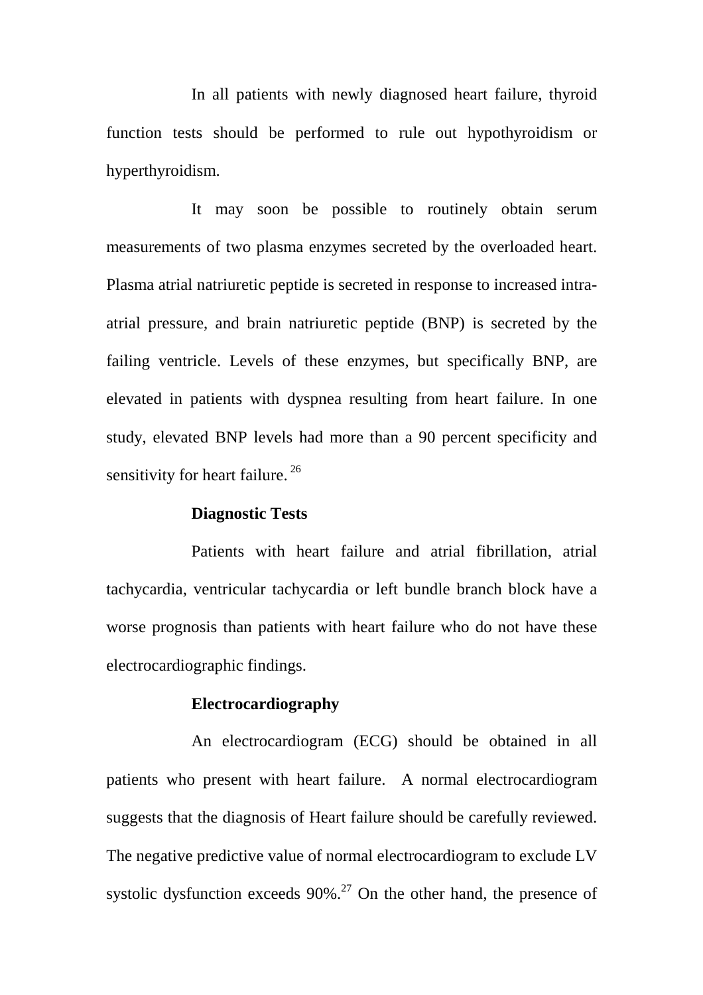In all patients with newly diagnosed heart failure, thyroid function tests should be performed to rule out hypothyroidism or hyperthyroidism.

It may soon be possible to routinely obtain serum measurements of two plasma enzymes secreted by the overloaded heart. Plasma atrial natriuretic peptide is secreted in response to increased intraatrial pressure, and brain natriuretic peptide (BNP) is secreted by the failing ventricle. Levels of these enzymes, but specifically BNP, are elevated in patients with dyspnea resulting from heart failure. In one study, elevated BNP levels had more than a 90 percent specificity and sensitivity for heart failure.  $26$ 

## **Diagnostic Tests**

Patients with heart failure and atrial fibrillation, atrial tachycardia, ventricular tachycardia or left bundle branch block have a worse prognosis than patients with heart failure who do not have these electrocardiographic findings.

#### **Electrocardiography**

An electrocardiogram (ECG) should be obtained in all patients who present with heart failure. A normal electrocardiogram suggests that the diagnosis of Heart failure should be carefully reviewed. The negative predictive value of normal electrocardiogram to exclude LV systolic dysfunction exceeds  $90\%$ .<sup>27</sup> On the other hand, the presence of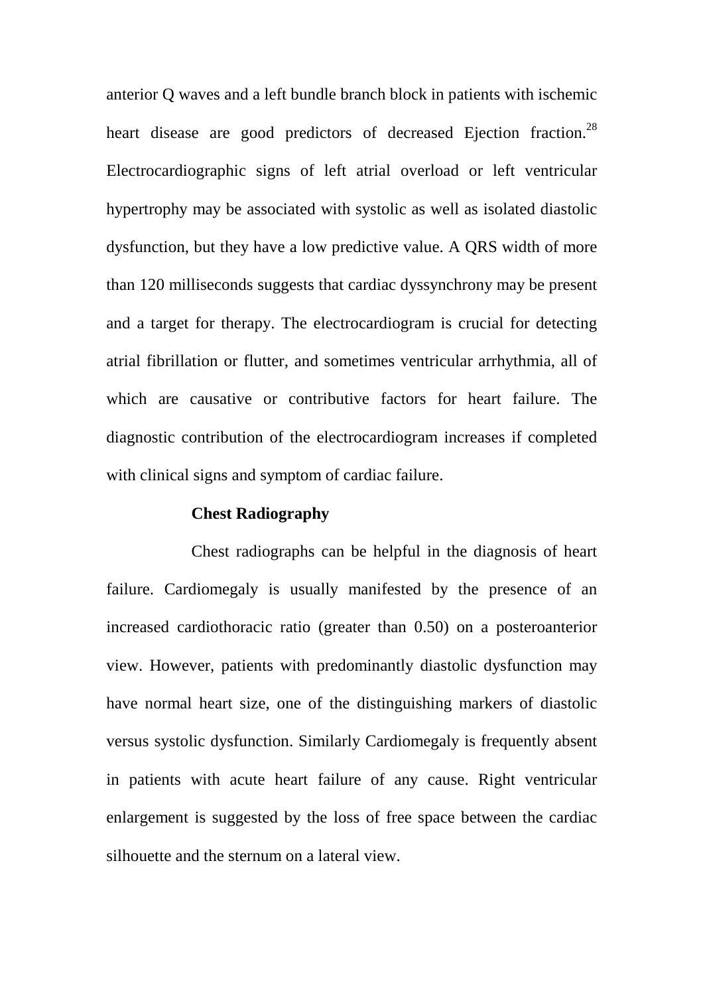anterior Q waves and a left bundle branch block in patients with ischemic heart disease are good predictors of decreased Ejection fraction.<sup>28</sup> Electrocardiographic signs of left atrial overload or left ventricular hypertrophy may be associated with systolic as well as isolated diastolic dysfunction, but they have a low predictive value. A QRS width of more than 120 milliseconds suggests that cardiac dyssynchrony may be present and a target for therapy. The electrocardiogram is crucial for detecting atrial fibrillation or flutter, and sometimes ventricular arrhythmia, all of which are causative or contributive factors for heart failure. The diagnostic contribution of the electrocardiogram increases if completed with clinical signs and symptom of cardiac failure.

## **Chest Radiography**

Chest radiographs can be helpful in the diagnosis of heart failure. Cardiomegaly is usually manifested by the presence of an increased cardiothoracic ratio (greater than 0.50) on a posteroanterior view. However, patients with predominantly diastolic dysfunction may have normal heart size, one of the distinguishing markers of diastolic versus systolic dysfunction. Similarly Cardiomegaly is frequently absent in patients with acute heart failure of any cause. Right ventricular enlargement is suggested by the loss of free space between the cardiac silhouette and the sternum on a lateral view.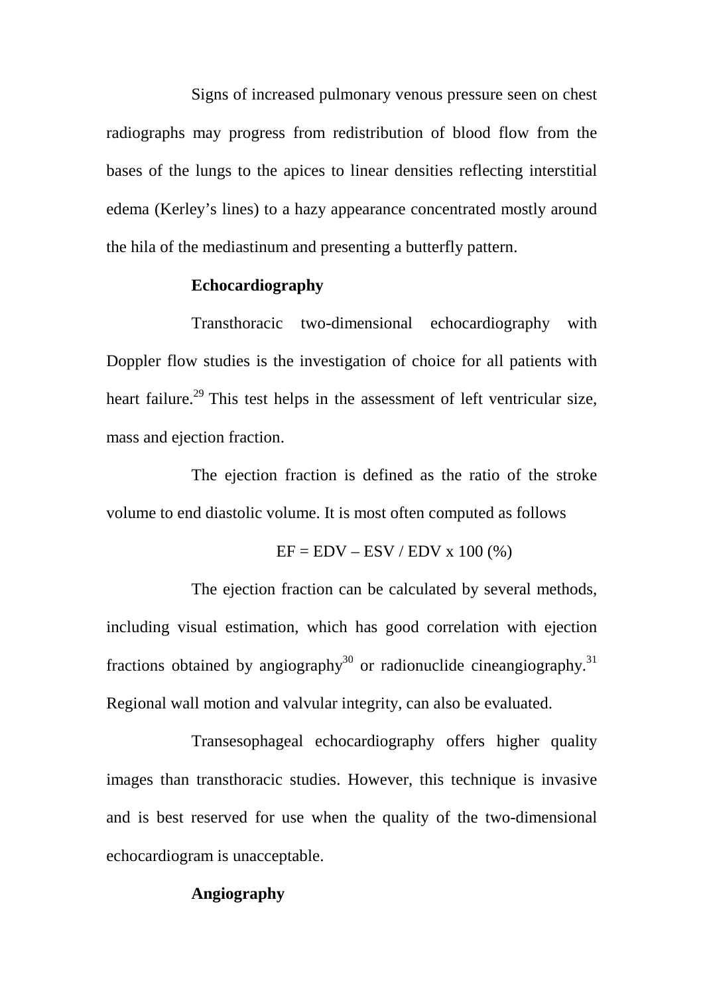Signs of increased pulmonary venous pressure seen on chest radiographs may progress from redistribution of blood flow from the bases of the lungs to the apices to linear densities reflecting interstitial edema (Kerley's lines) to a hazy appearance concentrated mostly around the hila of the mediastinum and presenting a butterfly pattern.

## **Echocardiography**

Transthoracic two-dimensional echocardiography with Doppler flow studies is the investigation of choice for all patients with heart failure.<sup>29</sup> This test helps in the assessment of left ventricular size, mass and ejection fraction.

The ejection fraction is defined as the ratio of the stroke volume to end diastolic volume. It is most often computed as follows

$$
EF = EDV - ESV / EDV x 100 (%)
$$

The ejection fraction can be calculated by several methods, including visual estimation, which has good correlation with ejection fractions obtained by angiography<sup>30</sup> or radionuclide cineangiography.<sup>31</sup> Regional wall motion and valvular integrity, can also be evaluated.

Transesophageal echocardiography offers higher quality images than transthoracic studies. However, this technique is invasive and is best reserved for use when the quality of the two-dimensional echocardiogram is unacceptable.

## **Angiography**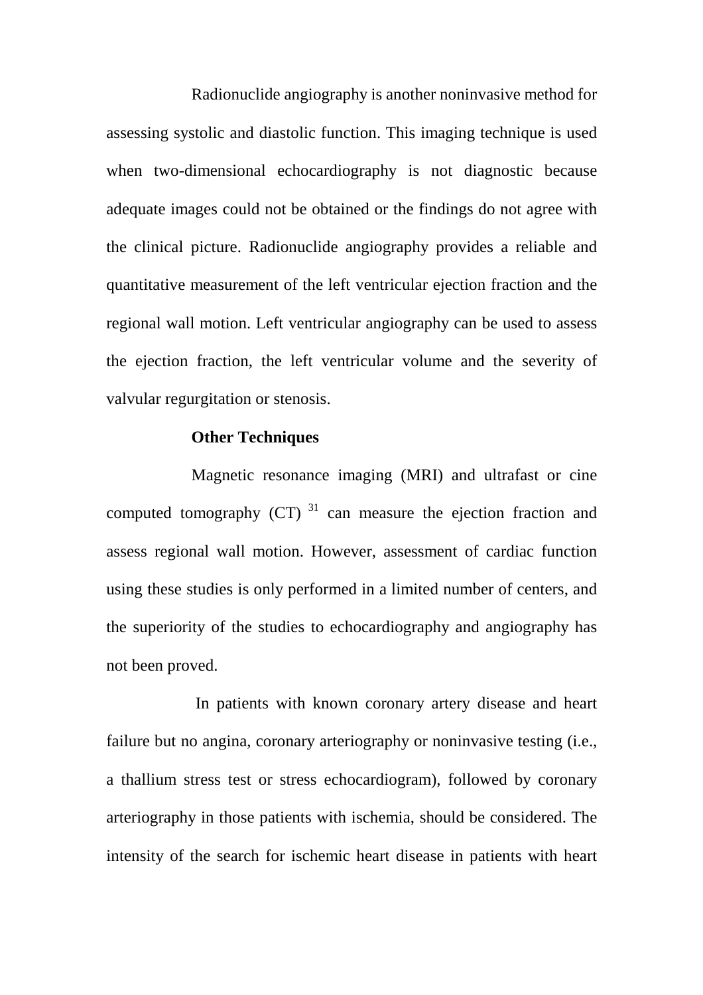Radionuclide angiography is another noninvasive method for assessing systolic and diastolic function. This imaging technique is used when two-dimensional echocardiography is not diagnostic because adequate images could not be obtained or the findings do not agree with the clinical picture. Radionuclide angiography provides a reliable and quantitative measurement of the left ventricular ejection fraction and the regional wall motion. Left ventricular angiography can be used to assess the ejection fraction, the left ventricular volume and the severity of valvular regurgitation or stenosis.

## **Other Techniques**

Magnetic resonance imaging (MRI) and ultrafast or cine computed tomography  $(CT)^{31}$  can measure the ejection fraction and assess regional wall motion. However, assessment of cardiac function using these studies is only performed in a limited number of centers, and the superiority of the studies to echocardiography and angiography has not been proved.

 In patients with known coronary artery disease and heart failure but no angina, coronary arteriography or noninvasive testing (i.e., a thallium stress test or stress echocardiogram), followed by coronary arteriography in those patients with ischemia, should be considered. The intensity of the search for ischemic heart disease in patients with heart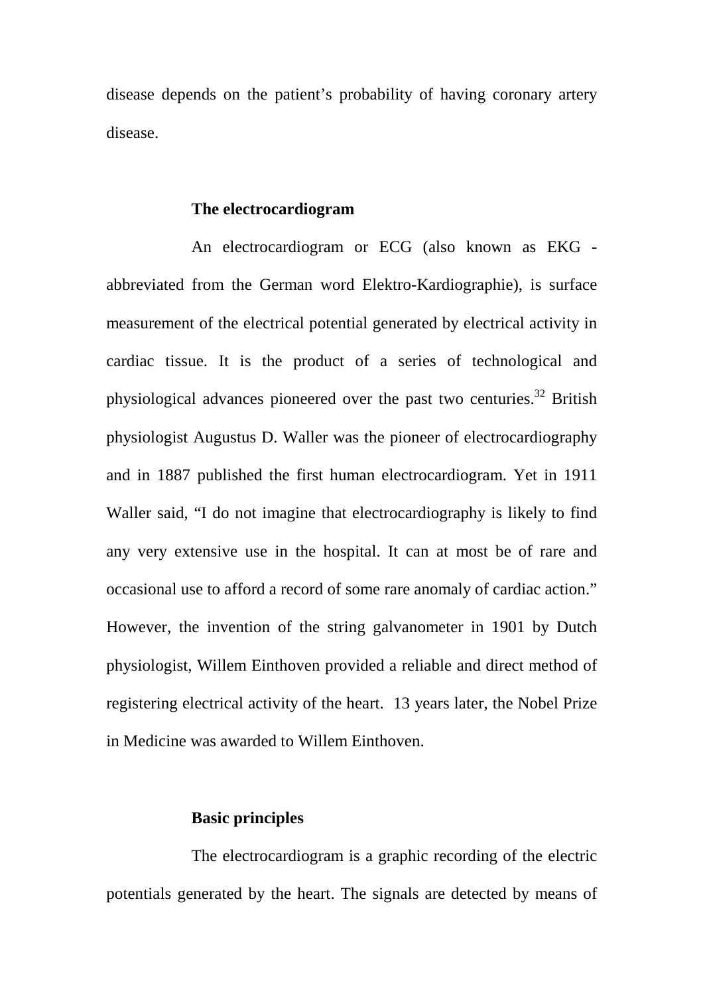disease depends on the patient's probability of having coronary artery disease.

#### **The electrocardiogram**

An electrocardiogram or ECG (also known as EKG abbreviated from the German word Elektro-Kardiographie), is surface measurement of the electrical potential generated by electrical activity in cardiac tissue. It is the product of a series of technological and physiological advances pioneered over the past two centuries.<sup>32</sup> British physiologist Augustus D. Waller was the pioneer of electrocardiography and in 1887 published the first human electrocardiogram. Yet in 1911 Waller said, "I do not imagine that electrocardiography is likely to find any very extensive use in the hospital. It can at most be of rare and occasional use to afford a record of some rare anomaly of cardiac action." However, the invention of the string galvanometer in 1901 by Dutch physiologist, Willem Einthoven provided a reliable and direct method of registering electrical activity of the heart. 13 years later, the Nobel Prize in Medicine was awarded to Willem Einthoven.

#### **Basic principles**

The electrocardiogram is a graphic recording of the electric potentials generated by the heart. The signals are detected by means of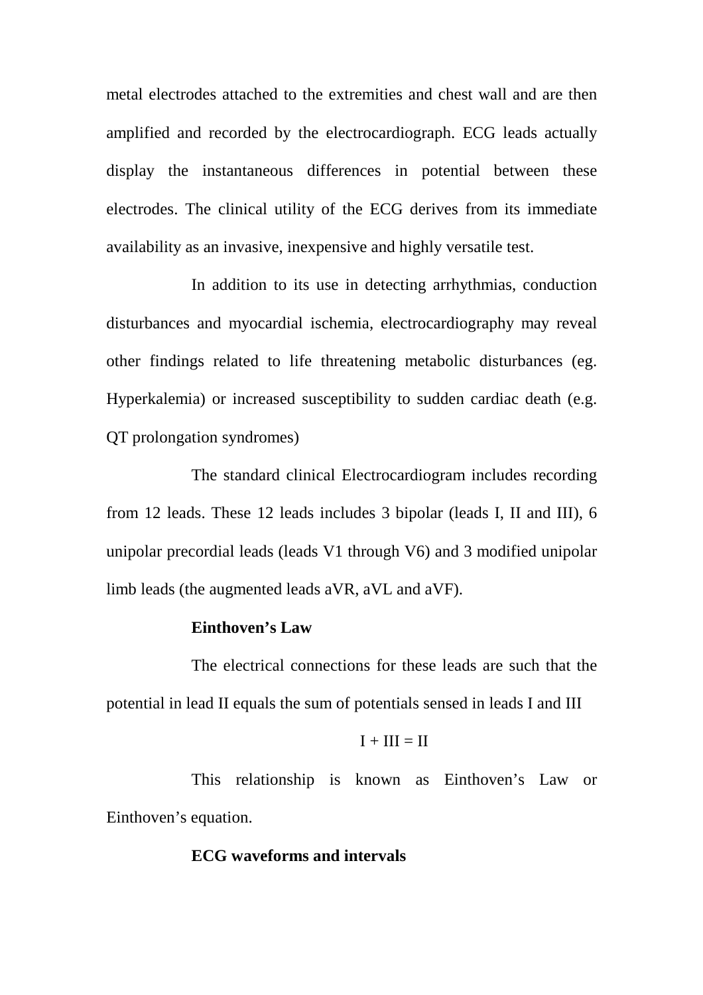metal electrodes attached to the extremities and chest wall and are then amplified and recorded by the electrocardiograph. ECG leads actually display the instantaneous differences in potential between these electrodes. The clinical utility of the ECG derives from its immediate availability as an invasive, inexpensive and highly versatile test.

In addition to its use in detecting arrhythmias, conduction disturbances and myocardial ischemia, electrocardiography may reveal other findings related to life threatening metabolic disturbances (eg. Hyperkalemia) or increased susceptibility to sudden cardiac death (e.g. QT prolongation syndromes)

The standard clinical Electrocardiogram includes recording from 12 leads. These 12 leads includes 3 bipolar (leads I, II and III), 6 unipolar precordial leads (leads V1 through V6) and 3 modified unipolar limb leads (the augmented leads aVR, aVL and aVF).

## **Einthoven's Law**

The electrical connections for these leads are such that the potential in lead II equals the sum of potentials sensed in leads I and III

$$
\mathbf{I} + \mathbf{III} = \mathbf{II}
$$

This relationship is known as Einthoven's Law or Einthoven's equation.

## **ECG waveforms and intervals**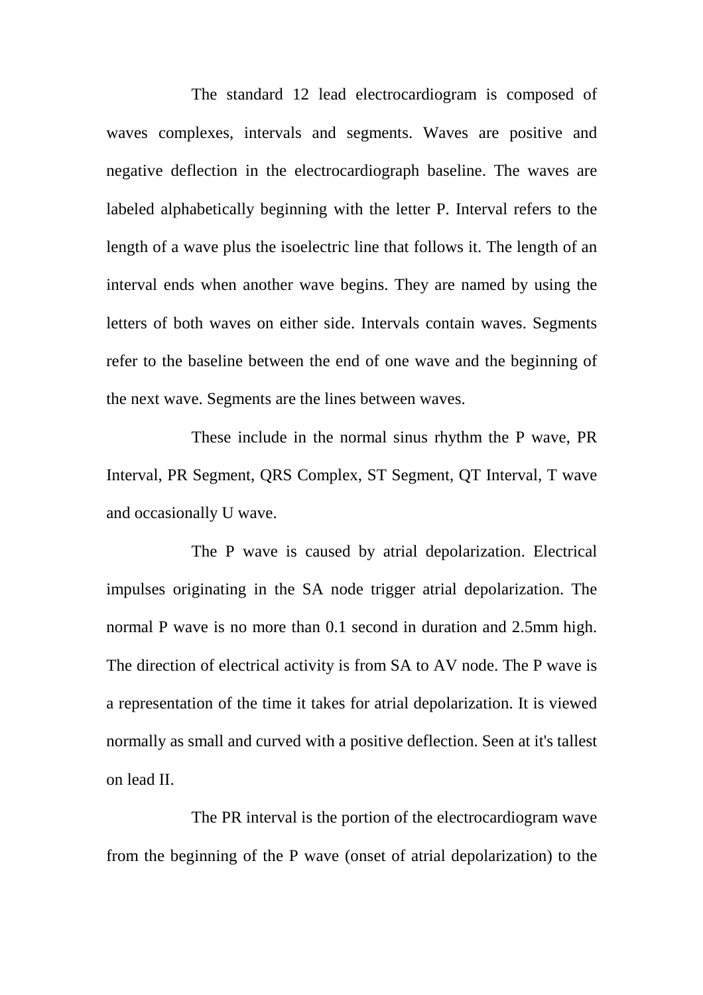The standard 12 lead electrocardiogram is composed of waves complexes, intervals and segments. Waves are positive and negative deflection in the electrocardiograph baseline. The waves are labeled alphabetically beginning with the letter P. Interval refers to the length of a wave plus the isoelectric line that follows it. The length of an interval ends when another wave begins. They are named by using the letters of both waves on either side. Intervals contain waves. Segments refer to the baseline between the end of one wave and the beginning of the next wave. Segments are the lines between waves.

These include in the normal sinus rhythm the P wave, PR Interval, PR Segment, QRS Complex, ST Segment, QT Interval, T wave and occasionally U wave.

The P wave is caused by atrial depolarization. Electrical impulses originating in the SA node trigger atrial depolarization. The normal P wave is no more than 0.1 second in duration and 2.5mm high. The direction of electrical activity is from SA to AV node. The P wave is a representation of the time it takes for atrial depolarization. It is viewed normally as small and curved with a positive deflection. Seen at it's tallest on lead II.

The PR interval is the portion of the electrocardiogram wave from the beginning of the P wave (onset of atrial depolarization) to the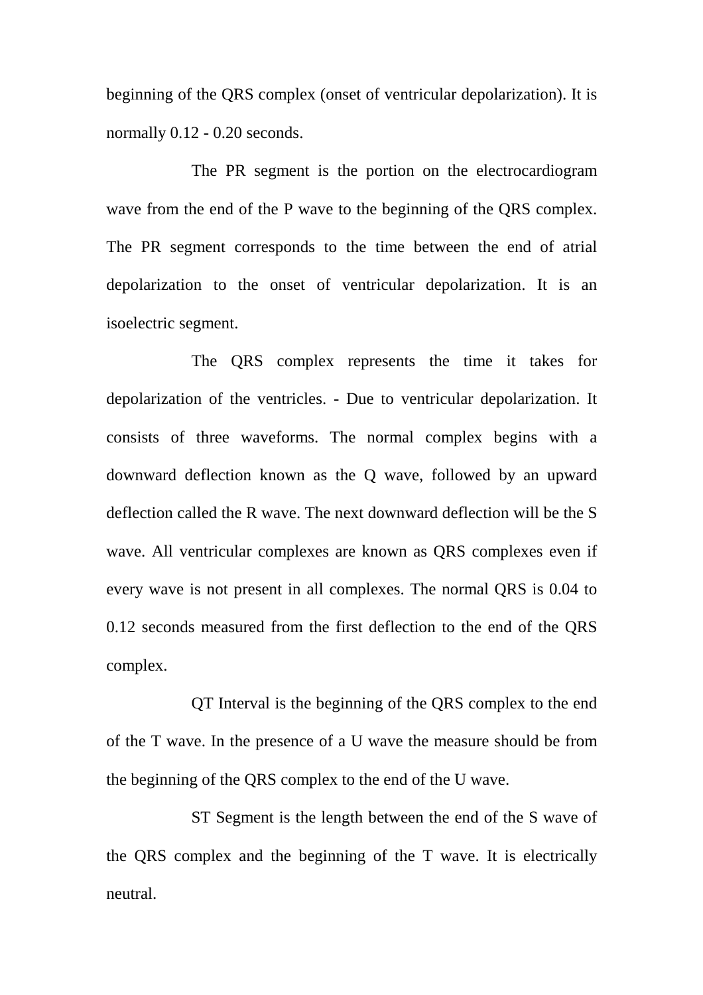beginning of the QRS complex (onset of ventricular depolarization). It is normally 0.12 - 0.20 seconds.

The PR segment is the portion on the electrocardiogram wave from the end of the P wave to the beginning of the QRS complex. The PR segment corresponds to the time between the end of atrial depolarization to the onset of ventricular depolarization. It is an isoelectric segment.

The QRS complex represents the time it takes for depolarization of the ventricles. - Due to ventricular depolarization. It consists of three waveforms. The normal complex begins with a downward deflection known as the Q wave, followed by an upward deflection called the R wave. The next downward deflection will be the S wave. All ventricular complexes are known as QRS complexes even if every wave is not present in all complexes. The normal QRS is 0.04 to 0.12 seconds measured from the first deflection to the end of the QRS complex.

QT Interval is the beginning of the QRS complex to the end of the T wave. In the presence of a U wave the measure should be from the beginning of the QRS complex to the end of the U wave.

ST Segment is the length between the end of the S wave of the QRS complex and the beginning of the T wave. It is electrically neutral.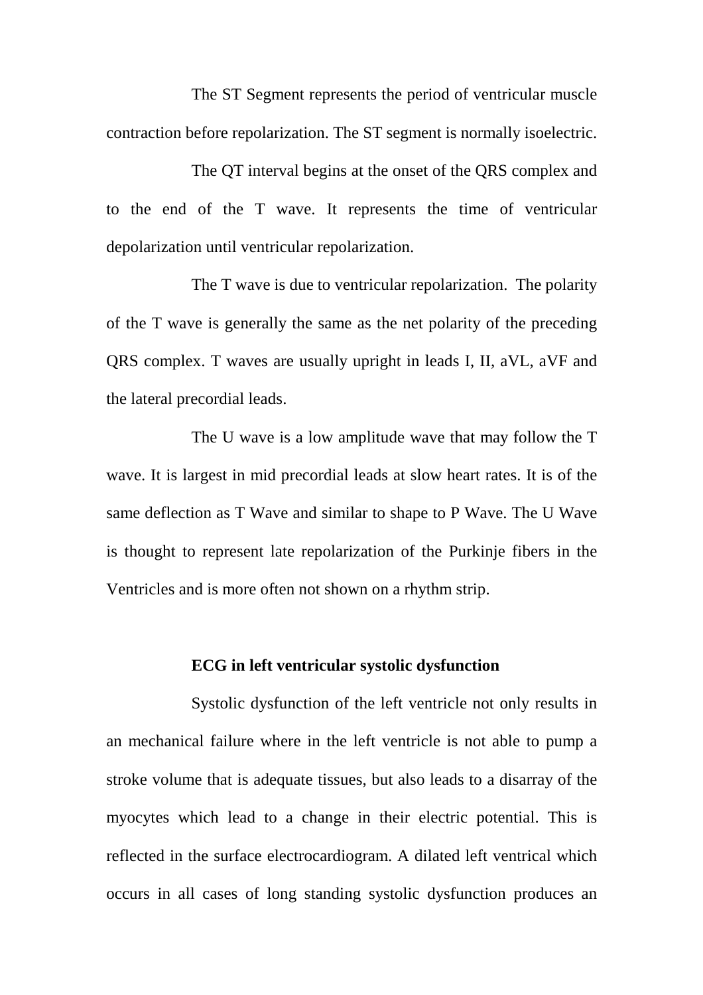The ST Segment represents the period of ventricular muscle contraction before repolarization. The ST segment is normally isoelectric.

The QT interval begins at the onset of the QRS complex and to the end of the T wave. It represents the time of ventricular depolarization until ventricular repolarization.

The T wave is due to ventricular repolarization. The polarity of the T wave is generally the same as the net polarity of the preceding QRS complex. T waves are usually upright in leads I, II, aVL, aVF and the lateral precordial leads.

The U wave is a low amplitude wave that may follow the T wave. It is largest in mid precordial leads at slow heart rates. It is of the same deflection as T Wave and similar to shape to P Wave. The U Wave is thought to represent late repolarization of the Purkinje fibers in the Ventricles and is more often not shown on a rhythm strip.

## **ECG in left ventricular systolic dysfunction**

Systolic dysfunction of the left ventricle not only results in an mechanical failure where in the left ventricle is not able to pump a stroke volume that is adequate tissues, but also leads to a disarray of the myocytes which lead to a change in their electric potential. This is reflected in the surface electrocardiogram. A dilated left ventrical which occurs in all cases of long standing systolic dysfunction produces an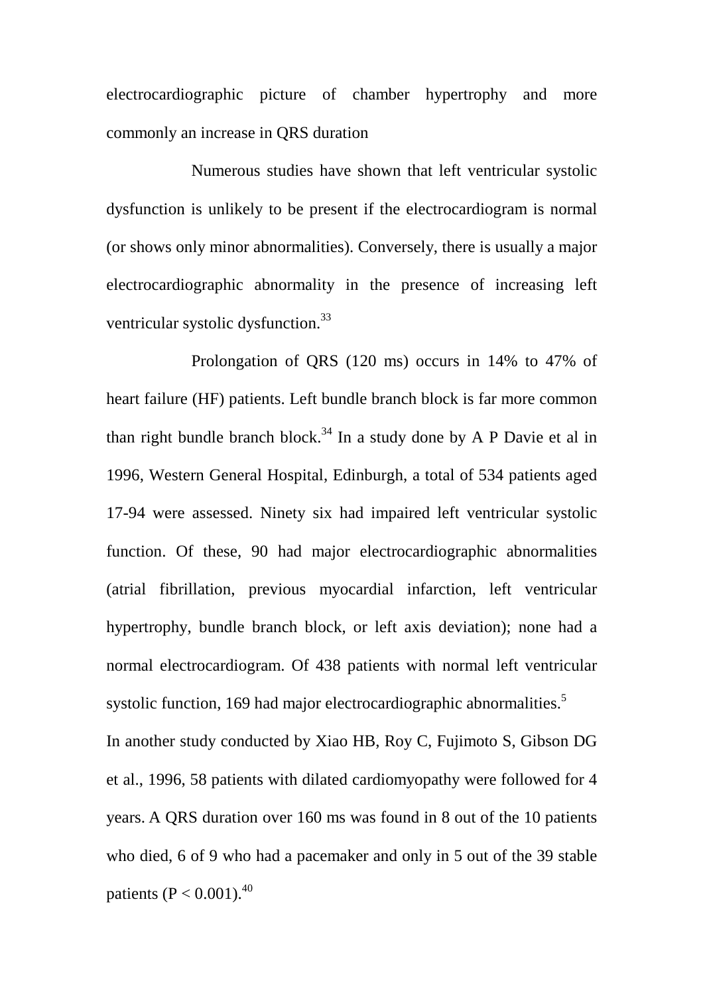electrocardiographic picture of chamber hypertrophy and more commonly an increase in QRS duration

Numerous studies have shown that left ventricular systolic dysfunction is unlikely to be present if the electrocardiogram is normal (or shows only minor abnormalities). Conversely, there is usually a major electrocardiographic abnormality in the presence of increasing left ventricular systolic dysfunction.<sup>33</sup>

Prolongation of QRS (120 ms) occurs in 14% to 47% of heart failure (HF) patients. Left bundle branch block is far more common than right bundle branch block.<sup>34</sup> In a study done by A P Davie et al in 1996, Western General Hospital, Edinburgh, a total of 534 patients aged 17-94 were assessed. Ninety six had impaired left ventricular systolic function. Of these, 90 had major electrocardiographic abnormalities (atrial fibrillation, previous myocardial infarction, left ventricular hypertrophy, bundle branch block, or left axis deviation); none had a normal electrocardiogram. Of 438 patients with normal left ventricular systolic function, 169 had major electrocardiographic abnormalities.<sup>5</sup> In another study conducted by Xiao HB, Roy C, Fujimoto S, Gibson DG

et al., 1996, 58 patients with dilated cardiomyopathy were followed for 4 years. A QRS duration over 160 ms was found in 8 out of the 10 patients who died, 6 of 9 who had a pacemaker and only in 5 out of the 39 stable patients (P <  $0.001$ ).<sup>40</sup>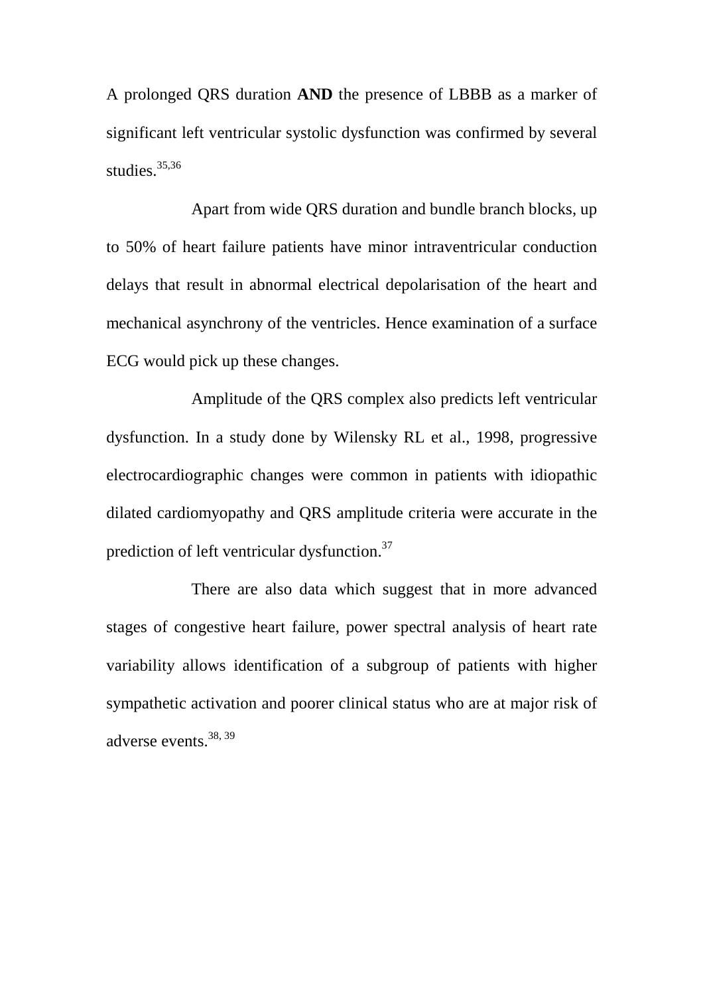A prolonged QRS duration **AND** the presence of LBBB as a marker of significant left ventricular systolic dysfunction was confirmed by several studies. $35,36$ 

Apart from wide QRS duration and bundle branch blocks, up to 50% of heart failure patients have minor intraventricular conduction delays that result in abnormal electrical depolarisation of the heart and mechanical asynchrony of the ventricles. Hence examination of a surface ECG would pick up these changes.

Amplitude of the QRS complex also predicts left ventricular dysfunction. In a study done by Wilensky RL et al., 1998, progressive electrocardiographic changes were common in patients with idiopathic dilated cardiomyopathy and QRS amplitude criteria were accurate in the prediction of left ventricular dysfunction.<sup>37</sup>

There are also data which suggest that in more advanced stages of congestive heart failure, power spectral analysis of heart rate variability allows identification of a subgroup of patients with higher sympathetic activation and poorer clinical status who are at major risk of adverse events.38, 39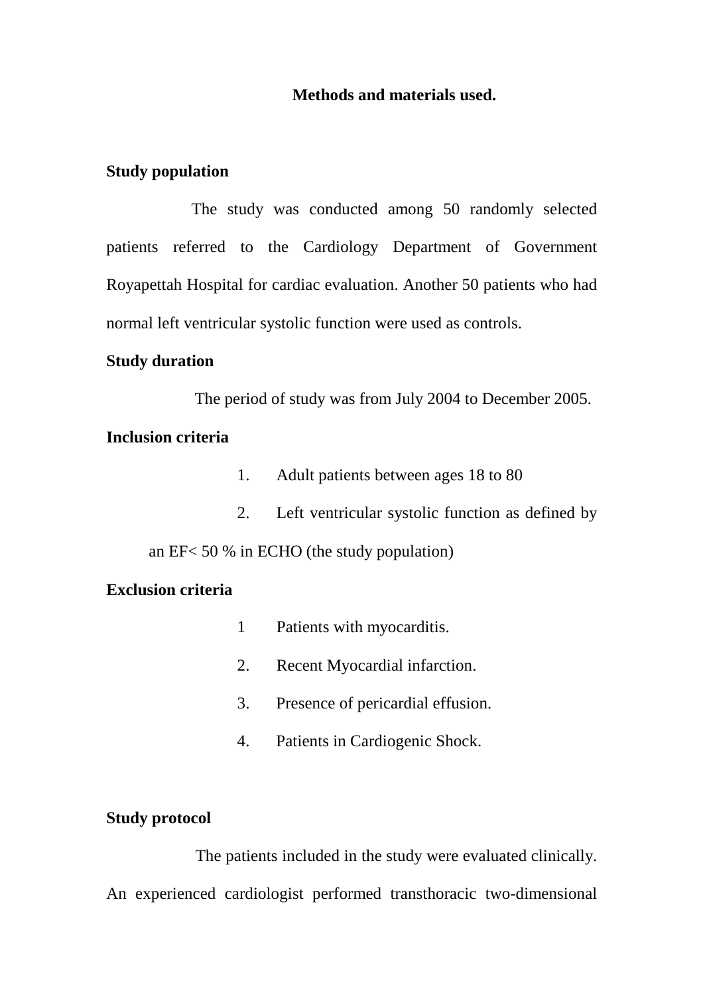### **Methods and materials used.**

### **Study population**

The study was conducted among 50 randomly selected patients referred to the Cardiology Department of Government Royapettah Hospital for cardiac evaluation. Another 50 patients who had normal left ventricular systolic function were used as controls.

### **Study duration**

The period of study was from July 2004 to December 2005.

## **Inclusion criteria**

- 1. Adult patients between ages 18 to 80
- 2. Left ventricular systolic function as defined by

an EF< 50 % in ECHO (the study population)

### **Exclusion criteria**

- 1 Patients with myocarditis.
- 2. Recent Myocardial infarction.
- 3. Presence of pericardial effusion.
- 4. Patients in Cardiogenic Shock.

#### **Study protocol**

 The patients included in the study were evaluated clinically. An experienced cardiologist performed transthoracic two-dimensional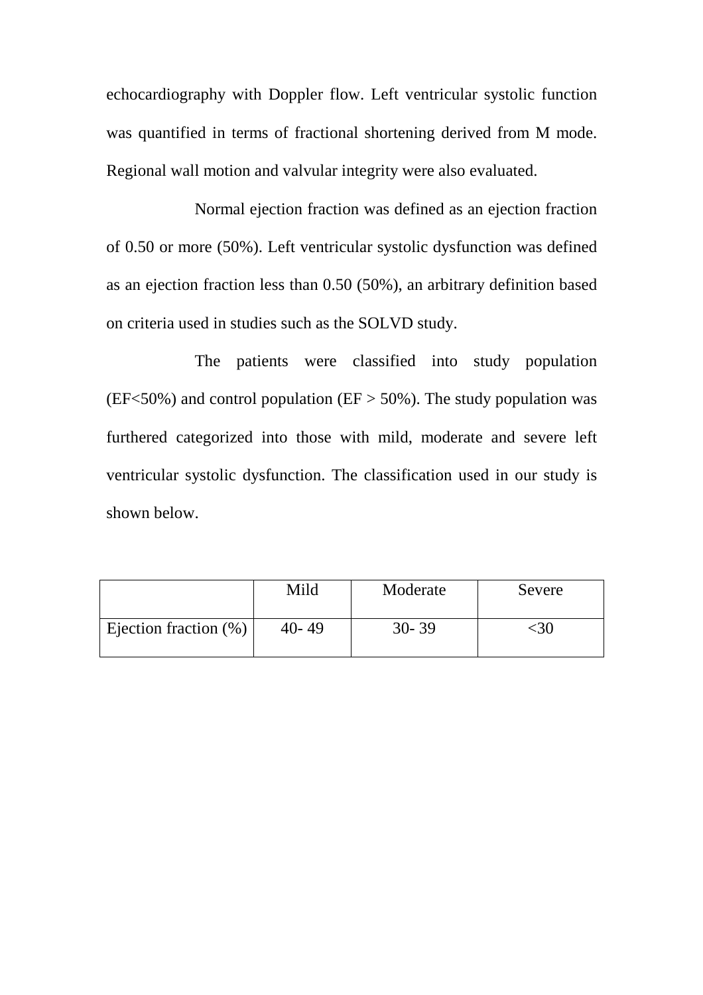echocardiography with Doppler flow. Left ventricular systolic function was quantified in terms of fractional shortening derived from M mode. Regional wall motion and valvular integrity were also evaluated.

Normal ejection fraction was defined as an ejection fraction of 0.50 or more (50%). Left ventricular systolic dysfunction was defined as an ejection fraction less than 0.50 (50%), an arbitrary definition based on criteria used in studies such as the SOLVD study.

The patients were classified into study population (EF<50%) and control population (EF  $>$  50%). The study population was furthered categorized into those with mild, moderate and severe left ventricular systolic dysfunction. The classification used in our study is shown below.

|                          | Mild      | Moderate  | Severe |
|--------------------------|-----------|-----------|--------|
| Ejection fraction $(\%)$ | $40 - 49$ | $30 - 39$ |        |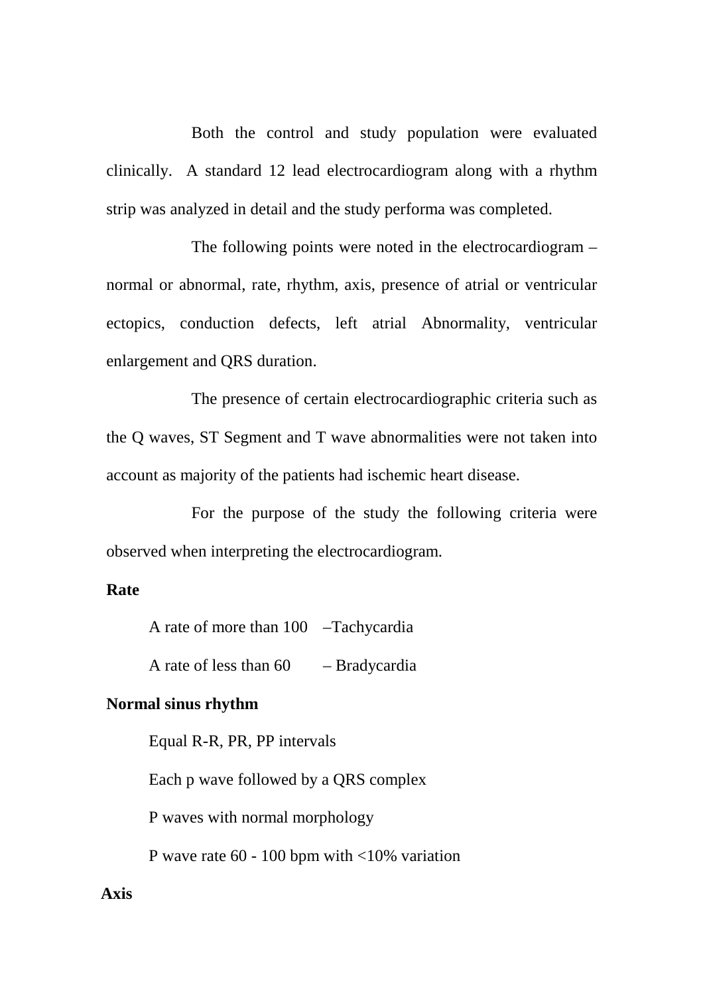Both the control and study population were evaluated clinically. A standard 12 lead electrocardiogram along with a rhythm strip was analyzed in detail and the study performa was completed.

The following points were noted in the electrocardiogram – normal or abnormal, rate, rhythm, axis, presence of atrial or ventricular ectopics, conduction defects, left atrial Abnormality, ventricular enlargement and QRS duration.

The presence of certain electrocardiographic criteria such as the Q waves, ST Segment and T wave abnormalities were not taken into account as majority of the patients had ischemic heart disease.

For the purpose of the study the following criteria were observed when interpreting the electrocardiogram.

## **Rate**

A rate of more than 100 –Tachycardia

A rate of less than  $60 -$ Bradycardia

#### **Normal sinus rhythm**

Equal R-R, PR, PP intervals Each p wave followed by a QRS complex P waves with normal morphology P wave rate 60 - 100 bpm with <10% variation

### **Axis**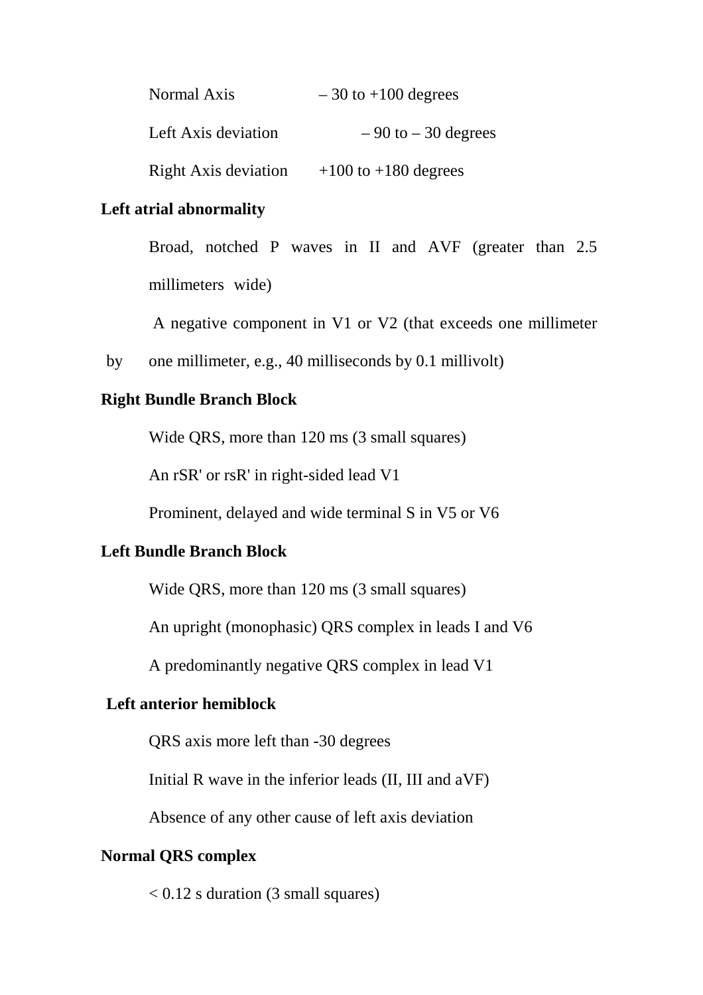| Normal Axis                 | $-30$ to $+100$ degrees  |
|-----------------------------|--------------------------|
| Left Axis deviation         | $-90$ to $-30$ degrees   |
| <b>Right Axis deviation</b> | $+100$ to $+180$ degrees |

### **Left atrial abnormality**

 Broad, notched P waves in II and AVF (greater than 2.5 millimeters wide)

A negative component in V1 or V2 (that exceeds one millimeter

by one millimeter, e.g., 40 milliseconds by 0.1 millivolt)

### **Right Bundle Branch Block**

Wide QRS, more than 120 ms (3 small squares)

An rSR' or rsR' in right-sided lead V1

Prominent, delayed and wide terminal S in V5 or V6

## **Left Bundle Branch Block**

Wide QRS, more than 120 ms (3 small squares)

An upright (monophasic) QRS complex in leads I and V6

A predominantly negative QRS complex in lead V1

## **Left anterior hemiblock**

QRS axis more left than -30 degrees

Initial R wave in the inferior leads (II, III and aVF)

Absence of any other cause of left axis deviation

### **Normal QRS complex**

 $< 0.12$  s duration (3 small squares)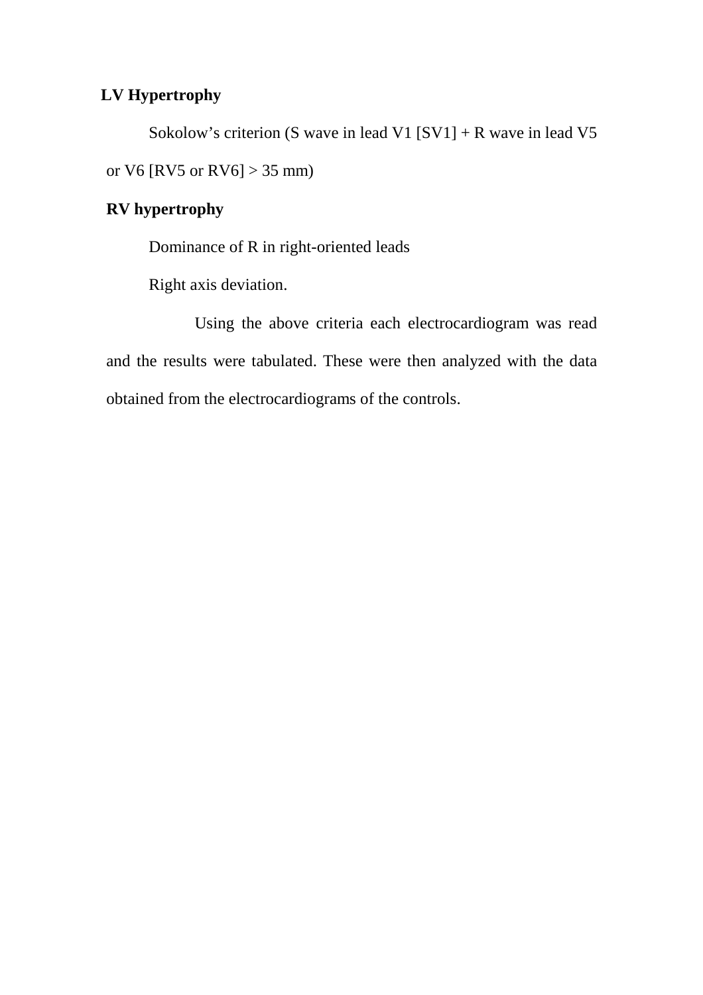## **LV Hypertrophy**

Sokolow's criterion (S wave in lead V1 [SV1] + R wave in lead V5 or V6 [RV5 or RV6] > 35 mm)

# **RV hypertrophy**

Dominance of R in right-oriented leads

Right axis deviation.

Using the above criteria each electrocardiogram was read and the results were tabulated. These were then analyzed with the data obtained from the electrocardiograms of the controls.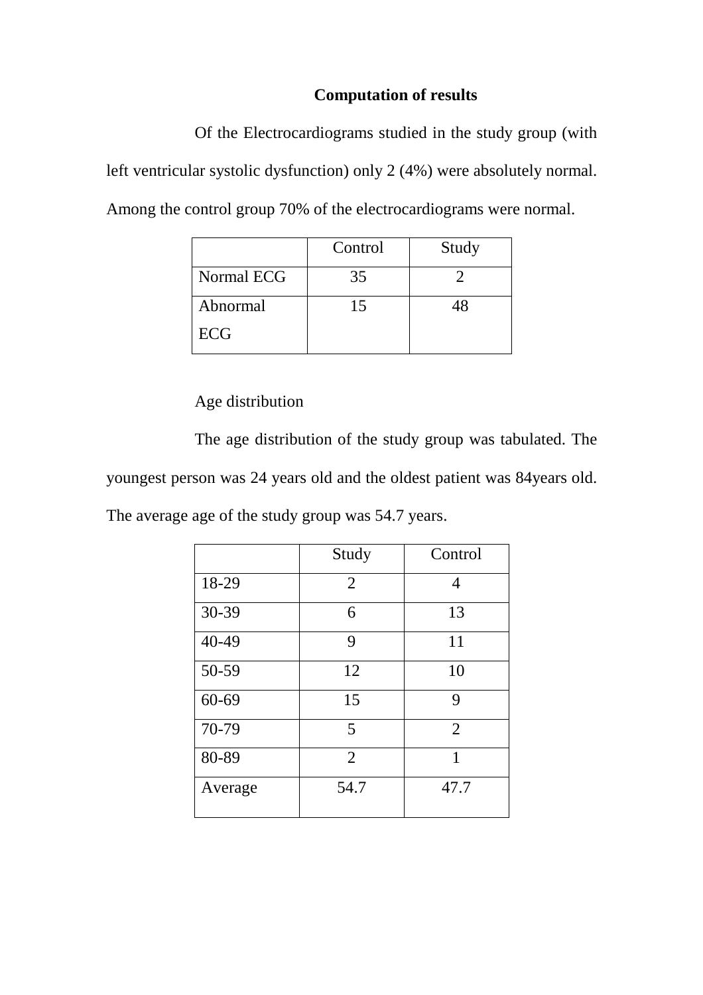## **Computation of results**

Of the Electrocardiograms studied in the study group (with left ventricular systolic dysfunction) only 2 (4%) were absolutely normal. Among the control group 70% of the electrocardiograms were normal.

|            | Control | Study |
|------------|---------|-------|
| Normal ECG | 35      |       |
| Abnormal   | 15      |       |
| <b>ECG</b> |         |       |

## Age distribution

The age distribution of the study group was tabulated. The youngest person was 24 years old and the oldest patient was 84years old.

The average age of the study group was 54.7 years.

|           | Study          | Control        |
|-----------|----------------|----------------|
| 18-29     | $\overline{2}$ | 4              |
| 30-39     | 6              | 13             |
| 40-49     | 9              | 11             |
| 50-59     | 12             | 10             |
| $60 - 69$ | 15             | 9              |
| 70-79     | 5              | $\overline{2}$ |
| 80-89     | $\overline{2}$ | 1              |
| Average   | 54.7           | 47.7           |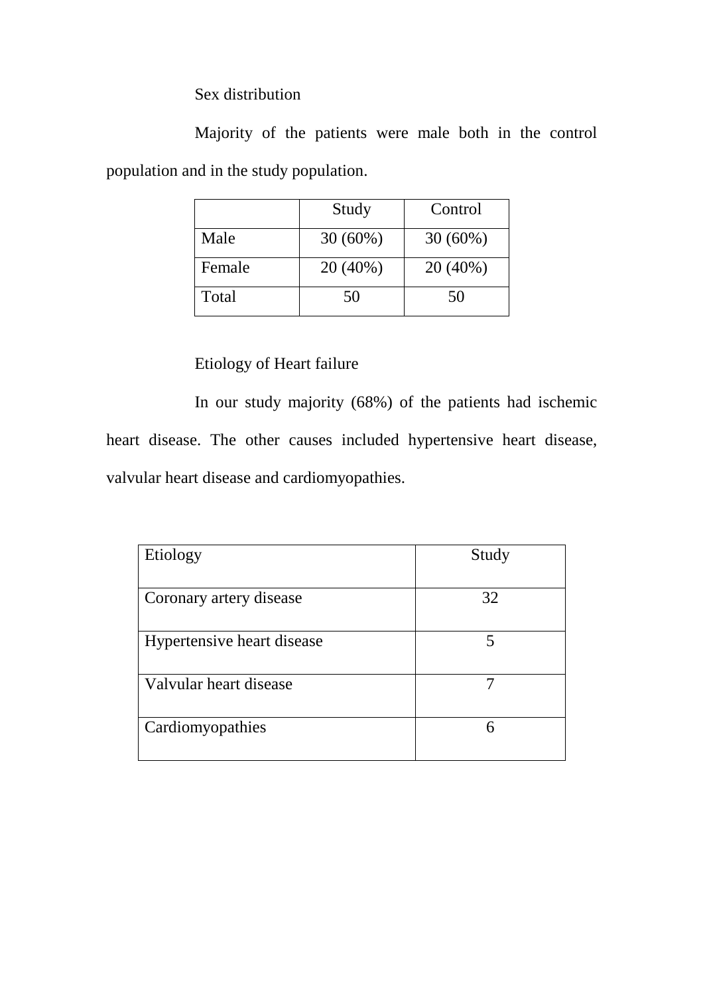Sex distribution

Majority of the patients were male both in the control population and in the study population.

|        | Study      | Control    |
|--------|------------|------------|
| Male   | $30(60\%)$ | $30(60\%)$ |
| Female | 20 (40%)   | 20 (40%)   |
| Total  | 50         | 50         |

# Etiology of Heart failure

In our study majority (68%) of the patients had ischemic heart disease. The other causes included hypertensive heart disease, valvular heart disease and cardiomyopathies.

| Etiology                   | Study |
|----------------------------|-------|
| Coronary artery disease    | 32    |
| Hypertensive heart disease | 5     |
| Valvular heart disease     |       |
| Cardiomyopathies           | 6     |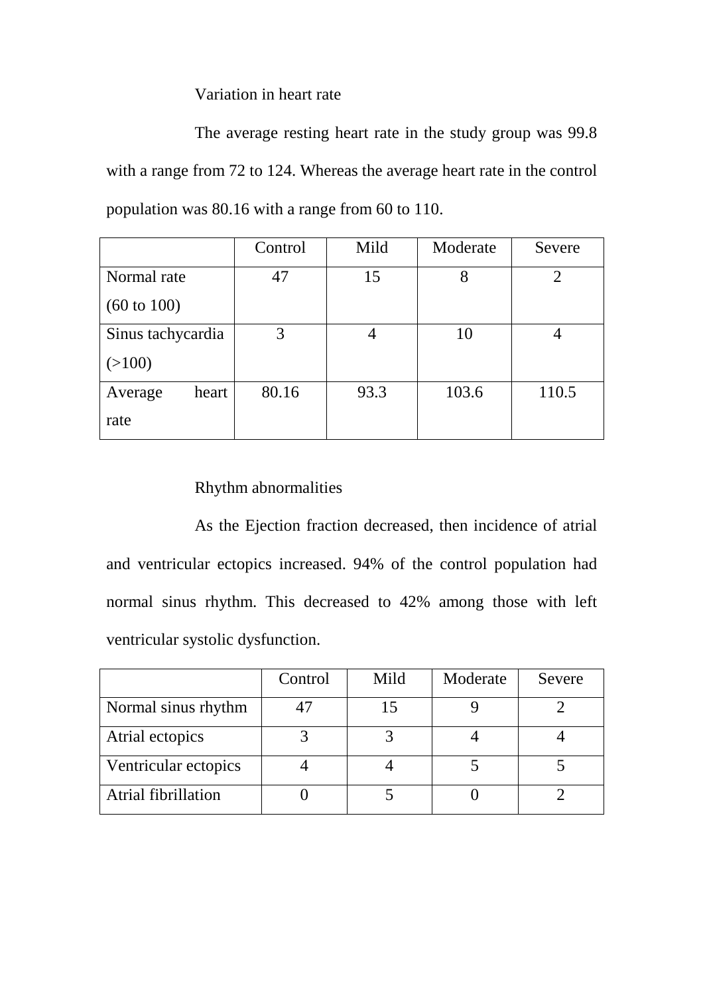Variation in heart rate

The average resting heart rate in the study group was 99.8 with a range from 72 to 124. Whereas the average heart rate in the control population was 80.16 with a range from 60 to 110.

|                        | Control | Mild | Moderate | Severe |
|------------------------|---------|------|----------|--------|
| Normal rate            | 47      | 15   | 8        | 2      |
| $(60 \text{ to } 100)$ |         |      |          |        |
| Sinus tachycardia      | 3       | 4    | 10       |        |
| (>100)                 |         |      |          |        |
| heart<br>Average       | 80.16   | 93.3 | 103.6    | 110.5  |
| rate                   |         |      |          |        |

## Rhythm abnormalities

As the Ejection fraction decreased, then incidence of atrial and ventricular ectopics increased. 94% of the control population had normal sinus rhythm. This decreased to 42% among those with left ventricular systolic dysfunction.

|                      | Control | Mild | Moderate | Severe |
|----------------------|---------|------|----------|--------|
| Normal sinus rhythm  |         |      |          |        |
| Atrial ectopics      |         |      |          |        |
| Ventricular ectopics |         |      |          |        |
| Atrial fibrillation  |         |      |          |        |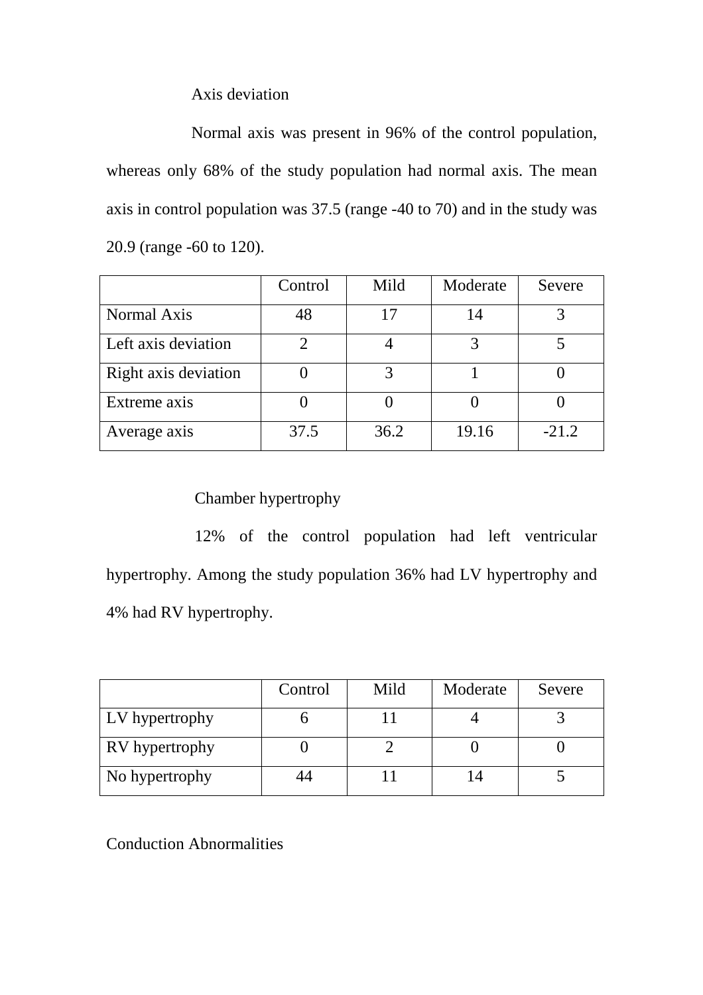Axis deviation

Normal axis was present in 96% of the control population, whereas only 68% of the study population had normal axis. The mean axis in control population was 37.5 (range -40 to 70) and in the study was 20.9 (range -60 to 120).

|                      | Control | Mild | Moderate | Severe  |
|----------------------|---------|------|----------|---------|
| Normal Axis          | 48      | 17   | 14       |         |
| Left axis deviation  |         |      |          |         |
| Right axis deviation |         |      |          |         |
| Extreme axis         |         |      |          |         |
| Average axis         | 37.5    | 36.2 | 19.16    | $-21.2$ |

## Chamber hypertrophy

12% of the control population had left ventricular hypertrophy. Among the study population 36% had LV hypertrophy and 4% had RV hypertrophy.

|                       | Control | Mild | Moderate | Severe |
|-----------------------|---------|------|----------|--------|
| LV hypertrophy        |         |      |          |        |
| <b>RV</b> hypertrophy |         |      |          |        |
| No hypertrophy        |         |      |          |        |

Conduction Abnormalities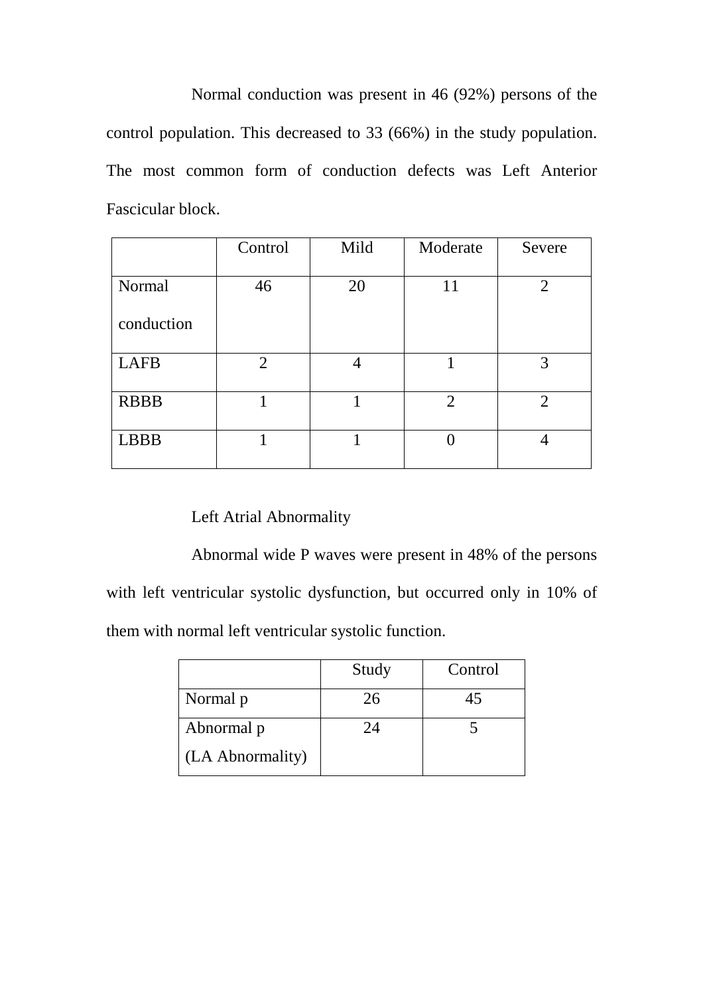Normal conduction was present in 46 (92%) persons of the control population. This decreased to 33 (66%) in the study population. The most common form of conduction defects was Left Anterior Fascicular block.

|             | Control | Mild | Moderate       | Severe         |
|-------------|---------|------|----------------|----------------|
|             |         |      |                |                |
| Normal      | 46      | 20   | 11             | $\overline{2}$ |
| conduction  |         |      |                |                |
| <b>LAFB</b> | 2       |      |                | 3              |
| <b>RBBB</b> |         |      | $\overline{2}$ | 2              |
| <b>LBBB</b> |         |      |                | 4              |

## Left Atrial Abnormality

Abnormal wide P waves were present in 48% of the persons with left ventricular systolic dysfunction, but occurred only in 10% of them with normal left ventricular systolic function.

|                  | Study | Control |
|------------------|-------|---------|
| Normal p         | 26    | 45      |
| Abnormal p       | 24    |         |
| (LA Abnormality) |       |         |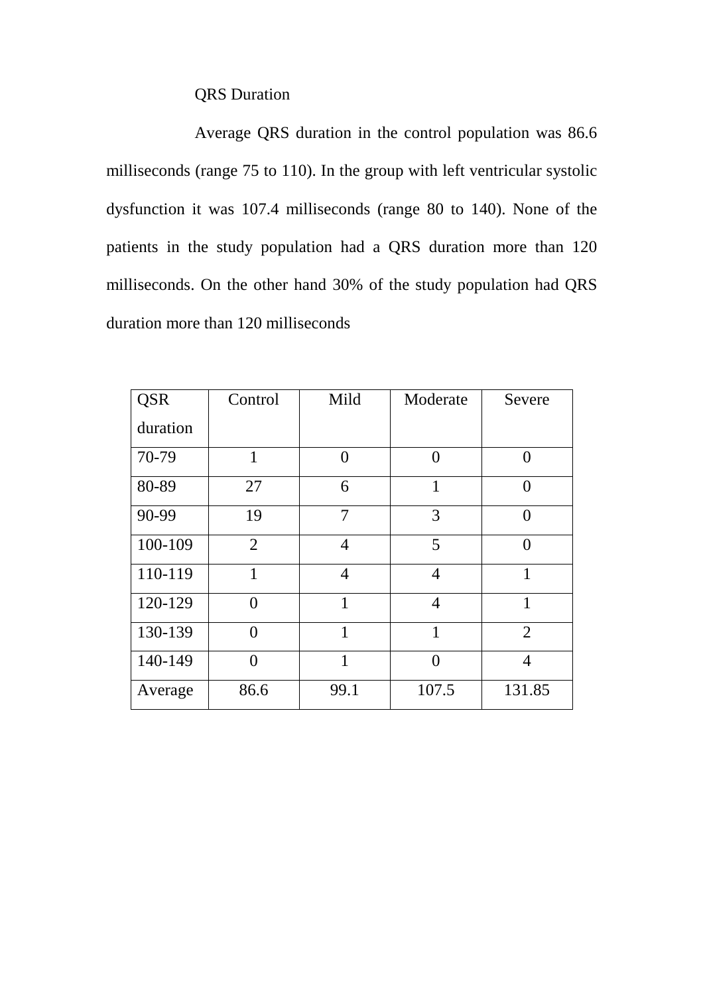## QRS Duration

Average QRS duration in the control population was 86.6 milliseconds (range 75 to 110). In the group with left ventricular systolic dysfunction it was 107.4 milliseconds (range 80 to 140). None of the patients in the study population had a QRS duration more than 120 milliseconds. On the other hand 30% of the study population had QRS duration more than 120 milliseconds

| <b>QSR</b> | Control        | Mild           | Moderate       | Severe            |
|------------|----------------|----------------|----------------|-------------------|
| duration   |                |                |                |                   |
| 70-79      | 1              | $\Omega$       | $\theta$       | 0                 |
| 80-89      | 27             | 6              | 1              | 0                 |
| 90-99      | 19             | 7              | 3              | $\mathbf{\Omega}$ |
| 100-109    | $\overline{2}$ | $\overline{4}$ | 5              | $\Omega$          |
| 110-119    | 1              | $\overline{4}$ | $\overline{4}$ | $\mathbf{1}$      |
| 120-129    | 0              | 1              | $\overline{4}$ | 1                 |
| 130-139    | 0              | 1              | 1              | $\overline{2}$    |
| 140-149    | 0              | 1              | $\Omega$       | 4                 |
| Average    | 86.6           | 99.1           | 107.5          | 131.85            |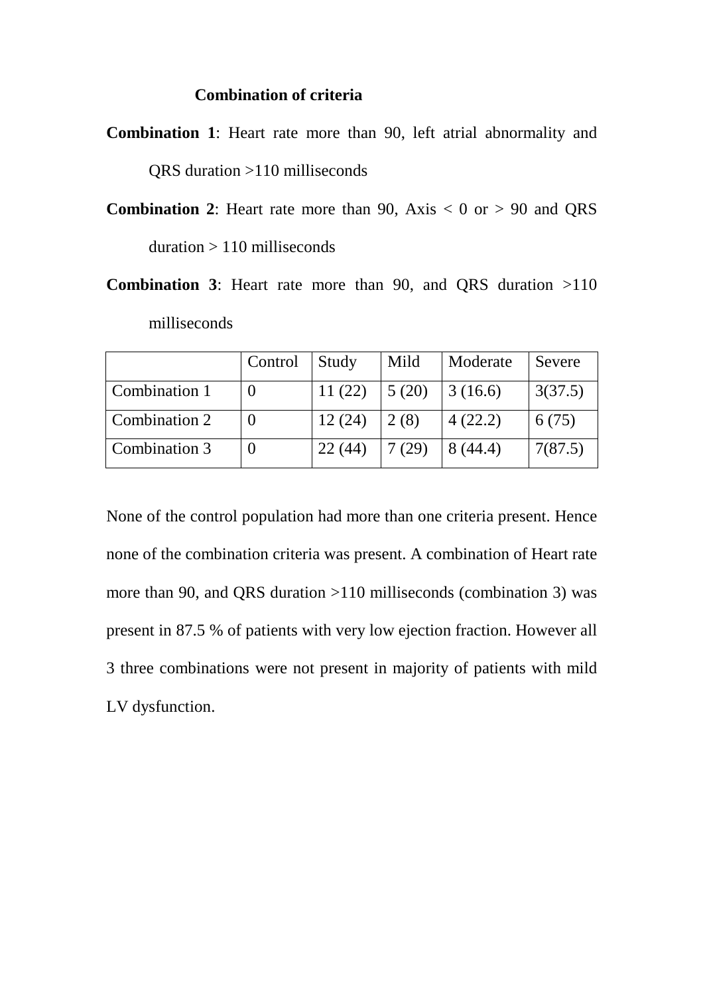### **Combination of criteria**

**Combination 1**: Heart rate more than 90, left atrial abnormality and QRS duration >110 milliseconds

- **Combination 2:** Heart rate more than 90, Axis  $< 0$  or  $> 90$  and QRS duration > 110 milliseconds
- **Combination 3**: Heart rate more than 90, and QRS duration >110 milliseconds

|               | Control | Study  | Mild  | Moderate | Severe  |
|---------------|---------|--------|-------|----------|---------|
| Combination 1 |         | 11(22) | 5(20) | 3(16.6)  | 3(37.5) |
| Combination 2 |         | 12(24) | 2(8)  | 4(22.2)  | 6(75)   |
| Combination 3 |         | 22(44) | 7(29) | 8(44.4)  | 7(87.5) |

None of the control population had more than one criteria present. Hence none of the combination criteria was present. A combination of Heart rate more than 90, and QRS duration >110 milliseconds (combination 3) was present in 87.5 % of patients with very low ejection fraction. However all 3 three combinations were not present in majority of patients with mild LV dysfunction.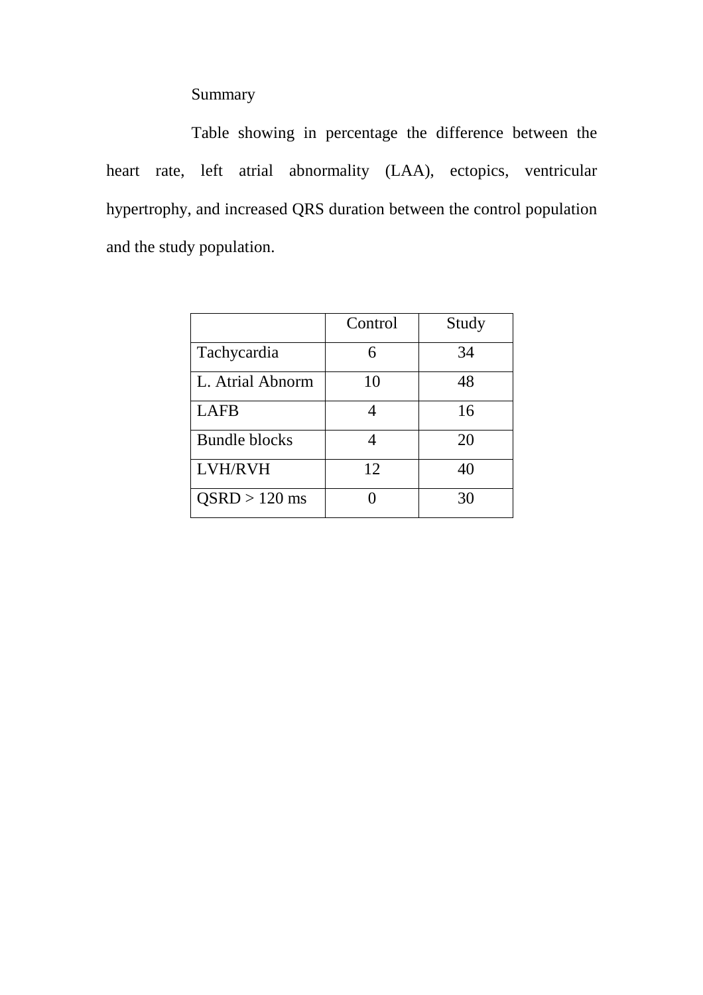## Summary

Table showing in percentage the difference between the heart rate, left atrial abnormality (LAA), ectopics, ventricular hypertrophy, and increased QRS duration between the control population and the study population.

|                      | Control | Study |
|----------------------|---------|-------|
| Tachycardia          | 6       | 34    |
| L. Atrial Abnorm     | 10      | 48    |
| <b>LAFB</b>          |         | 16    |
| <b>Bundle blocks</b> |         | 20    |
| <b>LVH/RVH</b>       | 12      | 40    |
| $OSRD > 120$ ms      |         | 30    |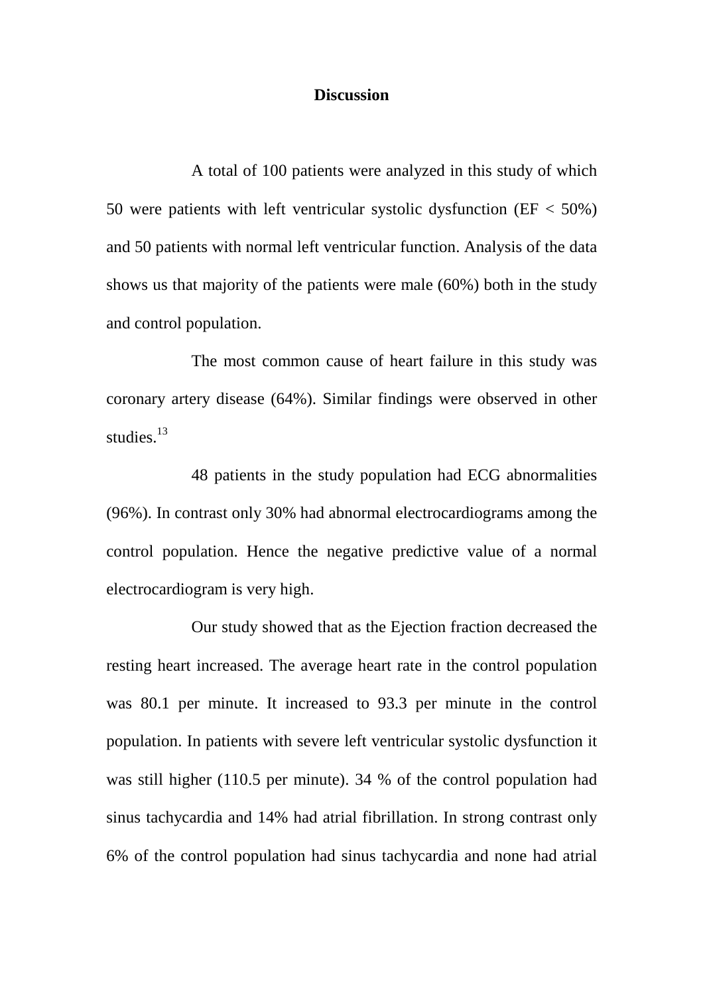#### **Discussion**

A total of 100 patients were analyzed in this study of which 50 were patients with left ventricular systolic dysfunction (EF < 50%) and 50 patients with normal left ventricular function. Analysis of the data shows us that majority of the patients were male (60%) both in the study and control population.

The most common cause of heart failure in this study was coronary artery disease (64%). Similar findings were observed in other studies.<sup>13</sup>

48 patients in the study population had ECG abnormalities (96%). In contrast only 30% had abnormal electrocardiograms among the control population. Hence the negative predictive value of a normal electrocardiogram is very high.

Our study showed that as the Ejection fraction decreased the resting heart increased. The average heart rate in the control population was 80.1 per minute. It increased to 93.3 per minute in the control population. In patients with severe left ventricular systolic dysfunction it was still higher (110.5 per minute). 34 % of the control population had sinus tachycardia and 14% had atrial fibrillation. In strong contrast only 6% of the control population had sinus tachycardia and none had atrial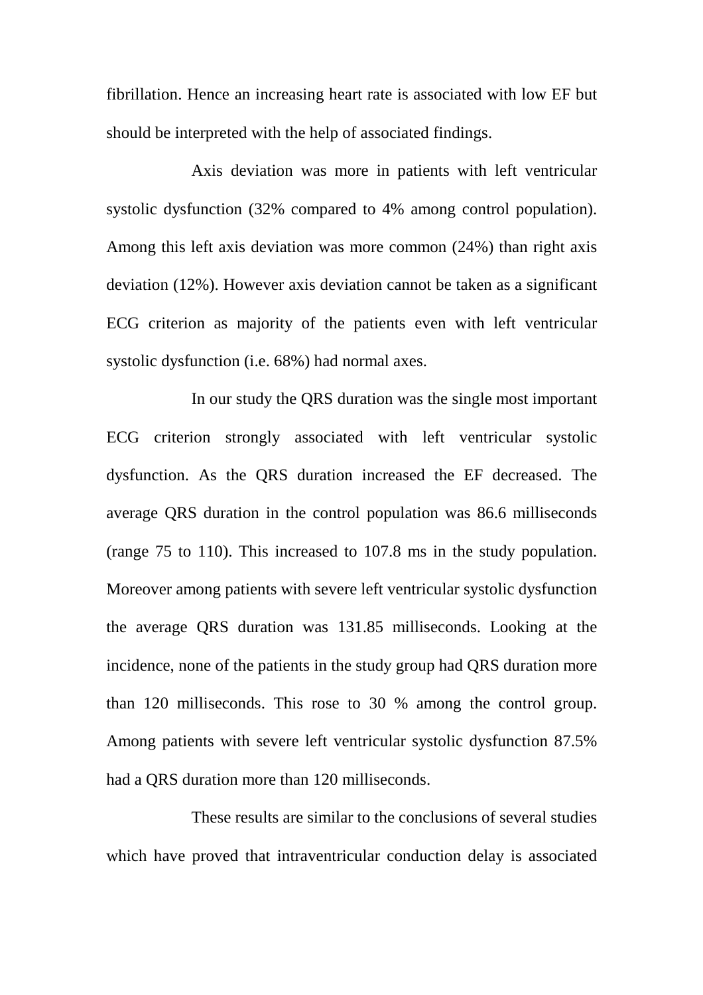fibrillation. Hence an increasing heart rate is associated with low EF but should be interpreted with the help of associated findings.

Axis deviation was more in patients with left ventricular systolic dysfunction (32% compared to 4% among control population). Among this left axis deviation was more common (24%) than right axis deviation (12%). However axis deviation cannot be taken as a significant ECG criterion as majority of the patients even with left ventricular systolic dysfunction (i.e. 68%) had normal axes.

In our study the QRS duration was the single most important ECG criterion strongly associated with left ventricular systolic dysfunction. As the QRS duration increased the EF decreased. The average QRS duration in the control population was 86.6 milliseconds (range 75 to 110). This increased to 107.8 ms in the study population. Moreover among patients with severe left ventricular systolic dysfunction the average QRS duration was 131.85 milliseconds. Looking at the incidence, none of the patients in the study group had QRS duration more than 120 milliseconds. This rose to 30 % among the control group. Among patients with severe left ventricular systolic dysfunction 87.5% had a QRS duration more than 120 milliseconds.

These results are similar to the conclusions of several studies which have proved that intraventricular conduction delay is associated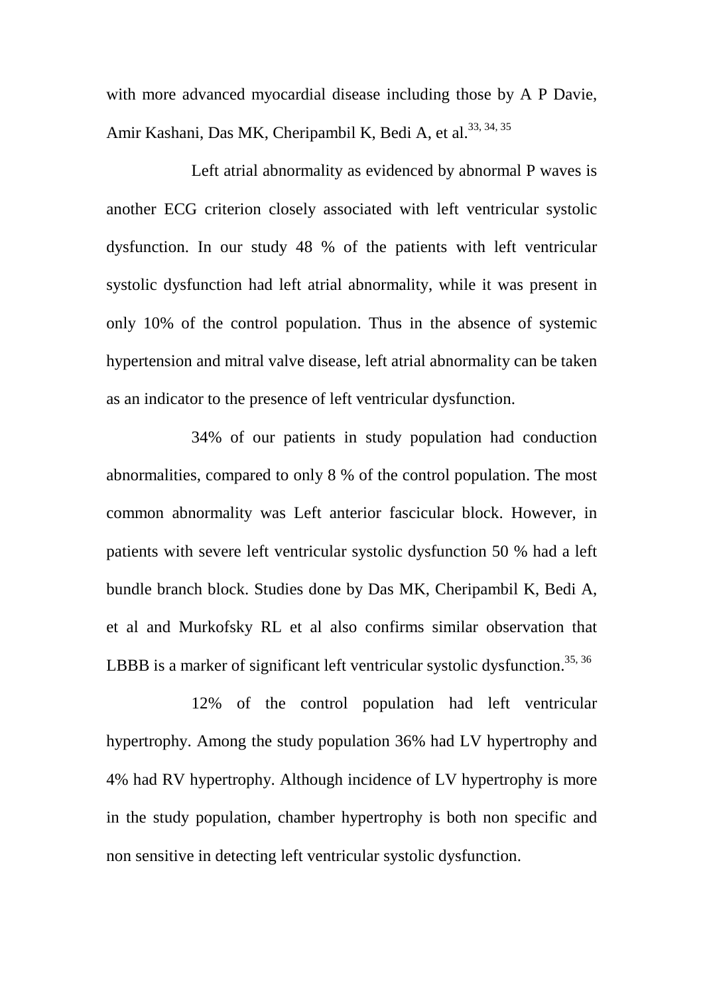with more advanced myocardial disease including those by A P Davie, Amir Kashani, Das MK, Cheripambil K, Bedi A, et al.<sup>33, 34, 35</sup>

Left atrial abnormality as evidenced by abnormal P waves is another ECG criterion closely associated with left ventricular systolic dysfunction. In our study 48 % of the patients with left ventricular systolic dysfunction had left atrial abnormality, while it was present in only 10% of the control population. Thus in the absence of systemic hypertension and mitral valve disease, left atrial abnormality can be taken as an indicator to the presence of left ventricular dysfunction.

34% of our patients in study population had conduction abnormalities, compared to only 8 % of the control population. The most common abnormality was Left anterior fascicular block. However, in patients with severe left ventricular systolic dysfunction 50 % had a left bundle branch block. Studies done by Das MK, Cheripambil K, Bedi A, et al and Murkofsky RL et al also confirms similar observation that LBBB is a marker of significant left ventricular systolic dysfunction.<sup>35, 36</sup>

12% of the control population had left ventricular hypertrophy. Among the study population 36% had LV hypertrophy and 4% had RV hypertrophy. Although incidence of LV hypertrophy is more in the study population, chamber hypertrophy is both non specific and non sensitive in detecting left ventricular systolic dysfunction.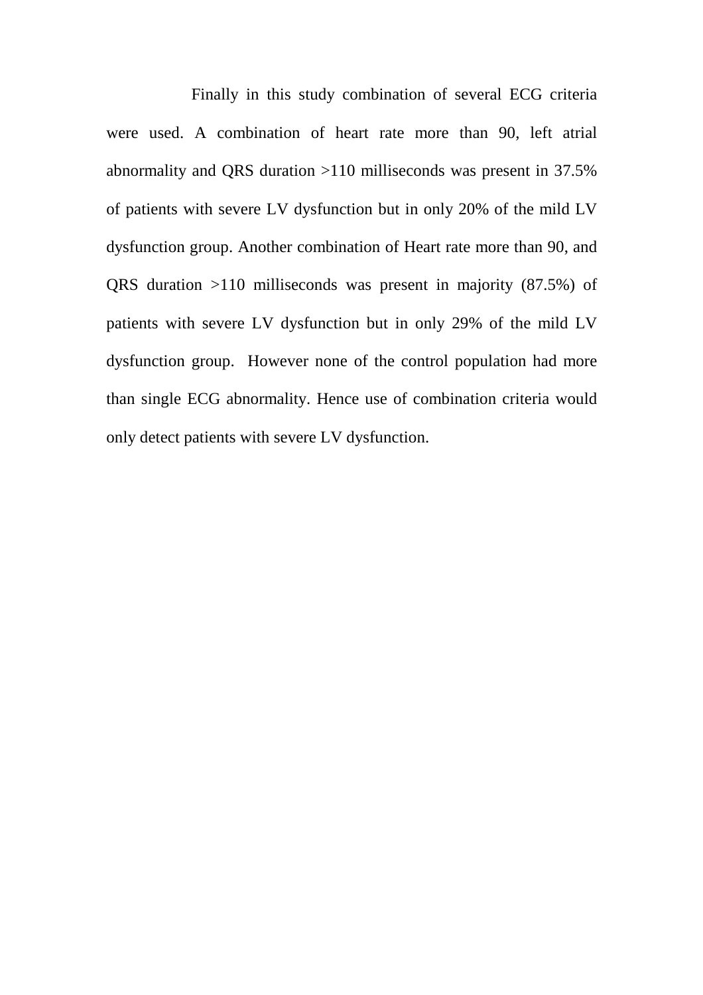Finally in this study combination of several ECG criteria were used. A combination of heart rate more than 90, left atrial abnormality and QRS duration >110 milliseconds was present in 37.5% of patients with severe LV dysfunction but in only 20% of the mild LV dysfunction group. Another combination of Heart rate more than 90, and QRS duration >110 milliseconds was present in majority (87.5%) of patients with severe LV dysfunction but in only 29% of the mild LV dysfunction group. However none of the control population had more than single ECG abnormality. Hence use of combination criteria would only detect patients with severe LV dysfunction.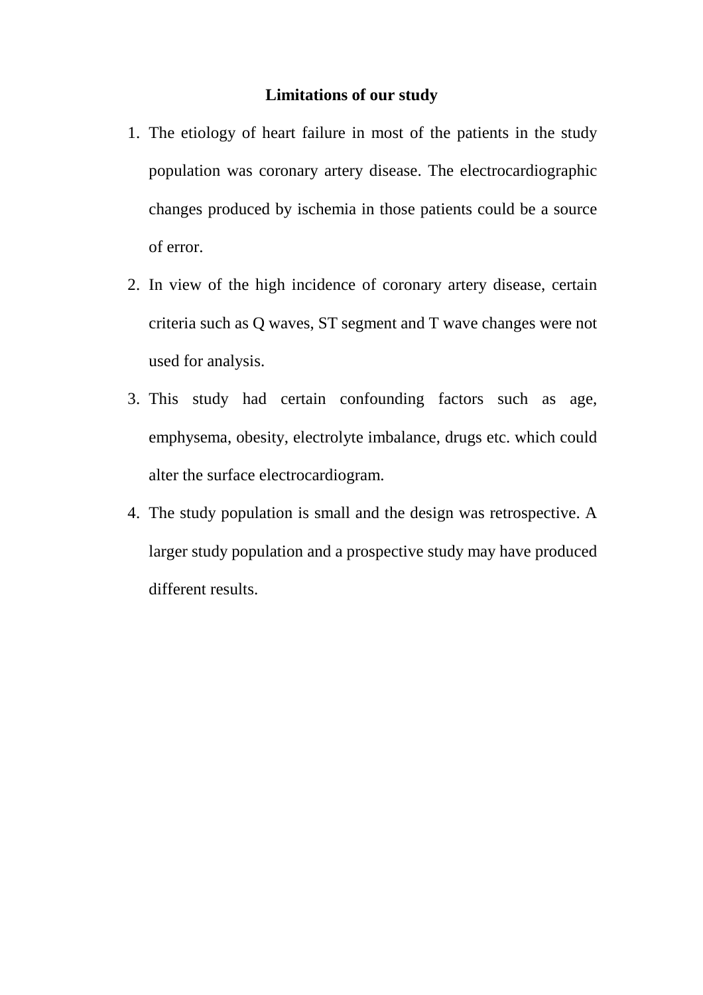## **Limitations of our study**

- 1. The etiology of heart failure in most of the patients in the study population was coronary artery disease. The electrocardiographic changes produced by ischemia in those patients could be a source of error.
- 2. In view of the high incidence of coronary artery disease, certain criteria such as Q waves, ST segment and T wave changes were not used for analysis.
- 3. This study had certain confounding factors such as age, emphysema, obesity, electrolyte imbalance, drugs etc. which could alter the surface electrocardiogram.
- 4. The study population is small and the design was retrospective. A larger study population and a prospective study may have produced different results.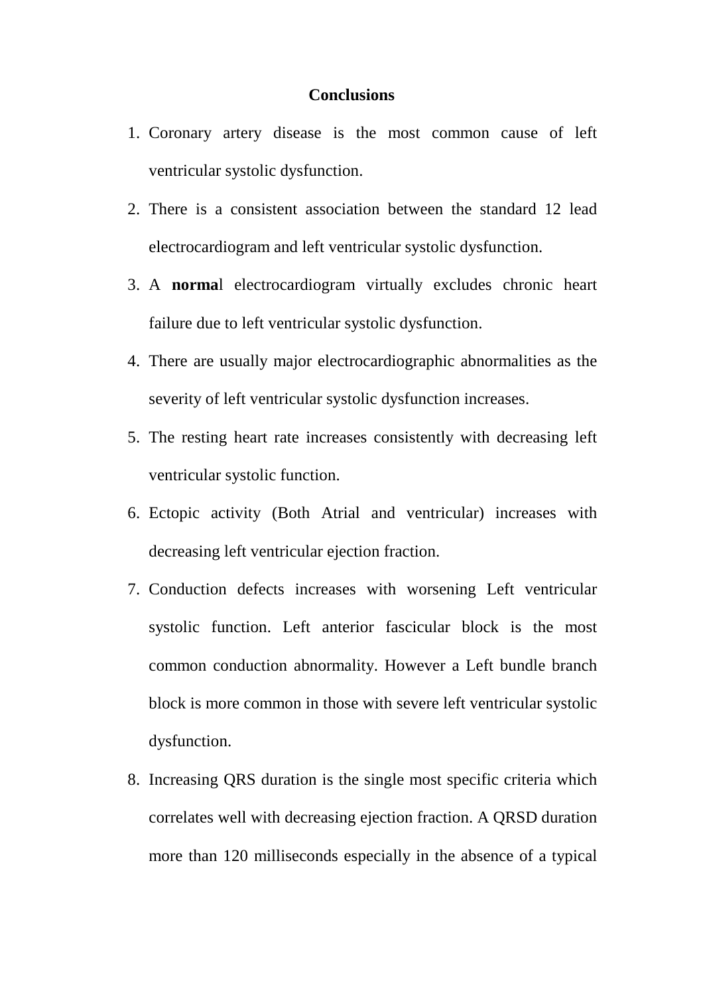#### **Conclusions**

- 1. Coronary artery disease is the most common cause of left ventricular systolic dysfunction.
- 2. There is a consistent association between the standard 12 lead electrocardiogram and left ventricular systolic dysfunction.
- 3. A **norma**l electrocardiogram virtually excludes chronic heart failure due to left ventricular systolic dysfunction.
- 4. There are usually major electrocardiographic abnormalities as the severity of left ventricular systolic dysfunction increases.
- 5. The resting heart rate increases consistently with decreasing left ventricular systolic function.
- 6. Ectopic activity (Both Atrial and ventricular) increases with decreasing left ventricular ejection fraction.
- 7. Conduction defects increases with worsening Left ventricular systolic function. Left anterior fascicular block is the most common conduction abnormality. However a Left bundle branch block is more common in those with severe left ventricular systolic dysfunction.
- 8. Increasing QRS duration is the single most specific criteria which correlates well with decreasing ejection fraction. A QRSD duration more than 120 milliseconds especially in the absence of a typical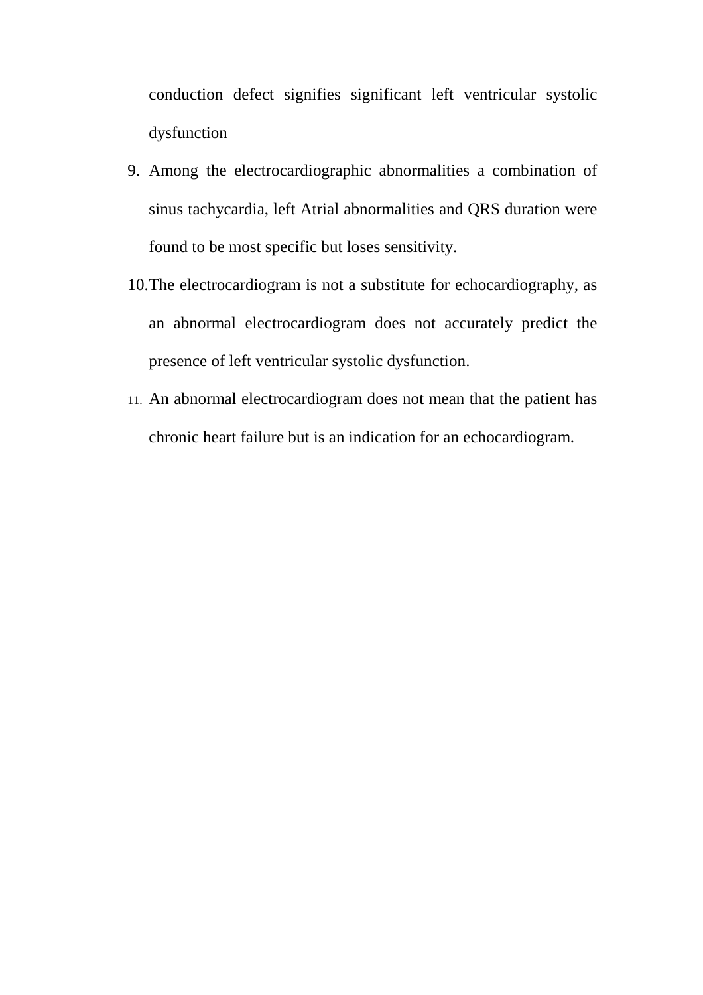conduction defect signifies significant left ventricular systolic dysfunction

- 9. Among the electrocardiographic abnormalities a combination of sinus tachycardia, left Atrial abnormalities and QRS duration were found to be most specific but loses sensitivity.
- 10. The electrocardiogram is not a substitute for echocardiography, as an abnormal electrocardiogram does not accurately predict the presence of left ventricular systolic dysfunction.
- 11. An abnormal electrocardiogram does not mean that the patient has chronic heart failure but is an indication for an echocardiogram.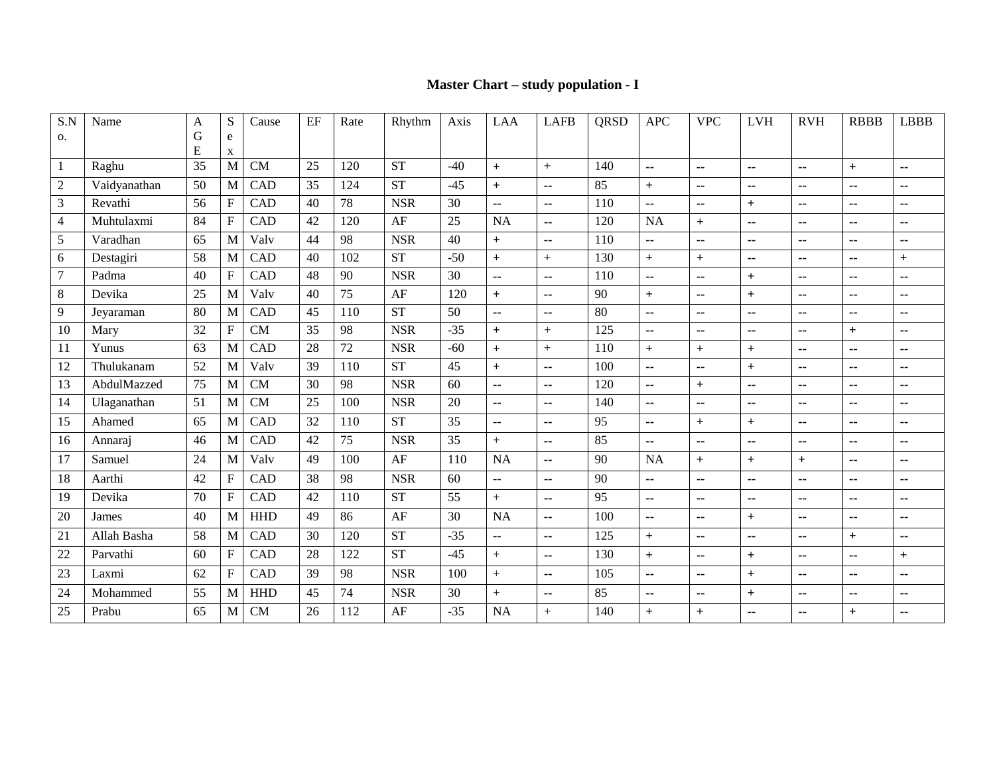### **Master Chart – study population - I**

| S.N            | Name         | A      | S                         | Cause      | EF | Rate | Rhythm     | Axis  | LAA                       | <b>LAFB</b>              | <b>QRSD</b> | <b>APC</b>               | <b>VPC</b>               | <b>LVH</b>               | <b>RVH</b>               | <b>RBBB</b>              | <b>LBBB</b>              |
|----------------|--------------|--------|---------------------------|------------|----|------|------------|-------|---------------------------|--------------------------|-------------|--------------------------|--------------------------|--------------------------|--------------------------|--------------------------|--------------------------|
| 0.             |              | G<br>E | e                         |            |    |      |            |       |                           |                          |             |                          |                          |                          |                          |                          |                          |
| $\mathbf{1}$   | Raghu        | 35     | X<br>M                    | CM         | 25 | 120  | <b>ST</b>  | $-40$ | $+$                       | $+$                      | 140         | $\sim$                   | $\overline{\phantom{a}}$ | $\sim$                   | $\sim$ $\sim$            | $+$                      | --                       |
| $\overline{2}$ | Vaidyanathan | 50     | M                         | CAD        | 35 | 124  | <b>ST</b>  | $-45$ | $+$                       | ц.                       | 85          | $+$                      | $\overline{\phantom{a}}$ | $\overline{\phantom{a}}$ | $\mathbf{u}$             | --                       | --                       |
| 3              | Revathi      | 56     | $\mathbf F$               | CAD        | 40 | 78   | <b>NSR</b> | 30    | $\overline{\phantom{a}}$  | $\overline{\phantom{a}}$ | 110         | $\overline{\phantom{a}}$ | $\overline{\phantom{a}}$ | $+$                      | $\overline{\phantom{a}}$ | $\overline{\phantom{a}}$ | $\overline{\phantom{a}}$ |
| 4              | Muhtulaxmi   | 84     | $\boldsymbol{\mathrm{F}}$ | CAD        | 42 | 120  | AF         | 25    | <b>NA</b>                 | $\overline{\phantom{a}}$ | 120         | <b>NA</b>                | $\boldsymbol{+}$         | $\overline{\phantom{a}}$ | ٠.                       | ٠.                       | $\sim$                   |
| 5              | Varadhan     | 65     | M                         | Valv       | 44 | 98   | <b>NSR</b> | 40    | $+$                       | $\overline{\phantom{a}}$ | 110         | --                       | $\sim$                   | $\overline{\phantom{a}}$ | $\overline{\phantom{a}}$ | $\overline{\phantom{a}}$ | --                       |
| 6              | Destagiri    | 58     | M                         | CAD        | 40 | 102  | <b>ST</b>  | $-50$ | $+$                       | $+$                      | 130         | $+$                      | $+$                      | $\overline{\phantom{a}}$ | $\sim$                   | ٠.                       | $+$                      |
| 7              | Padma        | 40     | $\mathbf F$               | <b>CAD</b> | 48 | 90   | <b>NSR</b> | 30    | $\overline{a}$            | $\overline{\phantom{a}}$ | 110         | --                       | $\overline{\phantom{a}}$ | $+$                      | --                       | ٠.                       | --                       |
| 8              | Devika       | 25     | M                         | Valv       | 40 | 75   | AF         | 120   | $+$                       | $\overline{a}$           | 90          | $+$                      | $\sim$                   | $+$                      | $\overline{\phantom{a}}$ | --                       | --                       |
| 9              | Jeyaraman    | 80     | M                         | CAD        | 45 | 110  | <b>ST</b>  | 50    | $\ddotsc$                 | $\ddotsc$                | 80          | $\sim$                   | $\mathbf{L}$             | $\overline{\phantom{a}}$ | $\overline{a}$           | --                       | $\overline{\phantom{a}}$ |
| 10             | Mary         | 32     | $\mathbf F$               | <b>CM</b>  | 35 | 98   | <b>NSR</b> | $-35$ | $+$                       | $+$                      | 125         | --                       | $\sim$                   | $\overline{\phantom{a}}$ | --                       | $+$                      | $\overline{\phantom{a}}$ |
| 11             | Yunus        | 63     | M                         | CAD        | 28 | 72   | <b>NSR</b> | $-60$ | $+$                       | $+$                      | 110         | $+$                      | $+$                      | $+$                      | $\overline{\phantom{a}}$ | $\overline{\phantom{a}}$ | $\overline{\phantom{a}}$ |
| 12             | Thulukanam   | 52     | M                         | Valv       | 39 | 110  | ST         | 45    | $\ddot{}$                 | $\overline{\phantom{a}}$ | 100         | $\sim$                   | $\overline{\phantom{a}}$ | $+$                      | $\overline{\phantom{a}}$ | $\overline{\phantom{a}}$ | $\sim$ $\sim$            |
| 13             | AbdulMazzed  | 75     | M                         | <b>CM</b>  | 30 | 98   | <b>NSR</b> | 60    | $\ddot{\phantom{a}}$      | μ.                       | 120         | --                       | $+$                      | н.                       | --                       | --                       | --                       |
| 14             | Ulaganathan  | 51     | $\mathbf{M}$              | <b>CM</b>  | 25 | 100  | <b>NSR</b> | 20    | $\mathbf{u}$              | $\sim$                   | 140         | ۰.                       | $\overline{\phantom{a}}$ | $\sim$                   | $\sim$                   | $\overline{\phantom{a}}$ | $\sim$                   |
| 15             | Ahamed       | 65     | $\mathbf M$               | CAD        | 32 | 110  | <b>ST</b>  | 35    | $\mathbb{L}^{\mathbb{L}}$ | $\sim$                   | 95          | --                       | $+$                      | $+$                      | ٠.                       | ٠.                       | $\overline{\phantom{a}}$ |
| 16             | Annaraj      | 46     | M                         | CAD        | 42 | 75   | <b>NSR</b> | 35    | $+$                       | $\overline{\phantom{a}}$ | 85          | --                       | $\overline{\phantom{a}}$ | $\overline{\phantom{a}}$ | --                       | --                       | --                       |
| 17             | Samuel       | 24     | M                         | Valv       | 49 | 100  | $\rm AF$   | 110   | <b>NA</b>                 | $\overline{a}$           | 90          | <b>NA</b>                | $+$                      | $+$                      | $+$                      | --                       | --                       |
| 18             | Aarthi       | 42     | F                         | <b>CAD</b> | 38 | 98   | <b>NSR</b> | 60    | $\sim$ $\sim$             | $\sim$                   | 90          | ۰.                       | $\sim$                   | $\overline{\phantom{a}}$ | $\overline{\phantom{a}}$ | --                       | $\overline{\phantom{a}}$ |
| 19             | Devika       | 70     | $\mathbf F$               | CAD        | 42 | 110  | ST         | 55    | $+$                       | $\overline{a}$           | 95          | $\overline{a}$           | $\mathbf{u}$             | $\overline{\phantom{a}}$ | $\sim$ $\sim$            | $\overline{a}$           | $\overline{\phantom{a}}$ |
| 20             | James        | 40     | M                         | <b>HHD</b> | 49 | 86   | AF         | 30    | <b>NA</b>                 | $\overline{a}$           | 100         | $\sim$                   | $\sim$                   | $+$                      | $\sim$ $\sim$            | $\overline{\phantom{a}}$ | --                       |
| 21             | Allah Basha  | 58     | M                         | CAD        | 30 | 120  | <b>ST</b>  | $-35$ | $\overline{a}$            | $\overline{\phantom{a}}$ | 125         | $+$                      | $\sim$                   | $\overline{\phantom{a}}$ | $\overline{\phantom{a}}$ | $+$                      | --                       |
| 22             | Parvathi     | 60     | $\mathbf{F}$              | <b>CAD</b> | 28 | 122  | <b>ST</b>  | $-45$ | $+$                       | $\overline{\phantom{a}}$ | 130         | $+$                      | $\overline{\phantom{a}}$ | $+$                      | --                       | ۰.                       | $+$                      |
| 23             | Laxmi        | 62     | F                         | <b>CAD</b> | 39 | 98   | <b>NSR</b> | 100   | $+$                       | $\overline{\phantom{a}}$ | 105         | $\overline{\phantom{a}}$ | $\overline{\phantom{a}}$ | $+$                      | --                       | --                       | $\mathbf{L}$             |
| 24             | Mohammed     | 55     | M                         | <b>HHD</b> | 45 | 74   | <b>NSR</b> | 30    | $+$                       | $\overline{a}$           | 85          | $\overline{\phantom{a}}$ | $\overline{\phantom{a}}$ | $+$                      | $\sim$ $\sim$            | ٠.                       | $\sim$ $\sim$            |
| 25             | Prabu        | 65     | M                         | <b>CM</b>  | 26 | 112  | AF         | $-35$ | <b>NA</b>                 | $+$                      | 140         | $\ddot{}$                | $+$                      | $\overline{\phantom{a}}$ | $\sim$ $\sim$            | $\ddot{}$                | $\overline{\phantom{a}}$ |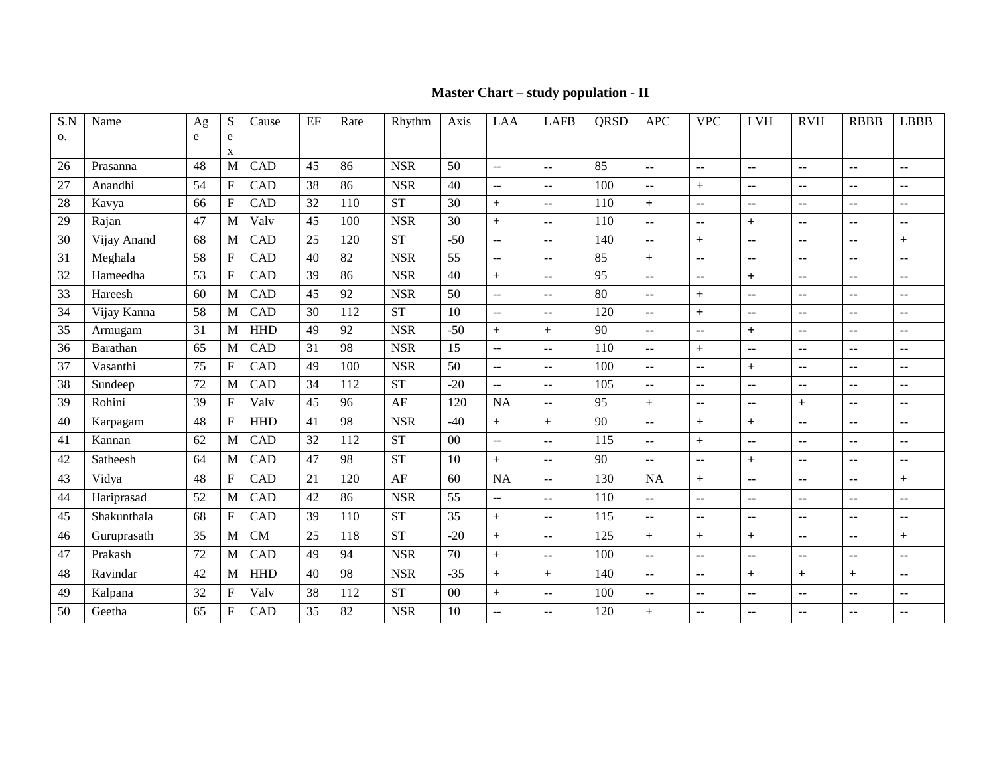### **Master Chart – study population - II**

| S.N | Name        | Ag | ${\bf S}$                 | Cause      | EF | Rate | Rhythm     | Axis   | <b>LAA</b>              | <b>LAFB</b>              | QRSD | <b>APC</b>               | <b>VPC</b>               | <b>LVH</b>               | <b>RVH</b>               | <b>RBBB</b>   | <b>LBBB</b>   |
|-----|-------------|----|---------------------------|------------|----|------|------------|--------|-------------------------|--------------------------|------|--------------------------|--------------------------|--------------------------|--------------------------|---------------|---------------|
| 0.  |             | e  | e                         |            |    |      |            |        |                         |                          |      |                          |                          |                          |                          |               |               |
| 26  | Prasanna    | 48 | X<br>$\mathbf{M}$         | CAD        | 45 | 86   | <b>NSR</b> | 50     | $\sim$                  | $\sim$ $\sim$            | 85   | $\sim$                   | --                       | $\sim$                   | $\mathbf{u}$             | $\sim$ $\sim$ | $\sim$ $\sim$ |
| 27  | Anandhi     | 54 | ${\bf F}$                 | CAD        | 38 | 86   | <b>NSR</b> | 40     | $\sim$                  | $\sim$                   | 100  | $\overline{\phantom{a}}$ | $+$                      | $\sim$                   | $\sim$ $\sim$            | ۰.            | $-$           |
| 28  | Kavya       | 66 | $\boldsymbol{\mathrm{F}}$ | CAD        | 32 | 110  | <b>ST</b>  | 30     | $\pm$                   | $\sim$                   | 110  | $+$                      | $\overline{\phantom{a}}$ | $\overline{\phantom{a}}$ | $\sim$                   | $\sim$        | $\sim$        |
| 29  | Rajan       | 47 | $\mathbf M$               | Valv       | 45 | 100  | <b>NSR</b> | 30     | $\! +$                  | $\sim$                   | 110  | $\overline{\phantom{a}}$ | $\sim$                   | $+$                      | $\sim$                   | $\sim$        | $\sim$ $\sim$ |
| 30  | Vijay Anand | 68 | M                         | CAD        | 25 | 120  | ST         | $-50$  | $\sim$ $\sim$           | $\sim$                   | 140  | $\mathbf{u}$             | $+$                      | $\sim$                   | $\sim$                   | $\sim$        | $+$           |
| 31  | Meghala     | 58 | $\mathbf F$               | CAD        | 40 | 82   | <b>NSR</b> | 55     | $\mathbb{L} \mathbb{L}$ | $\overline{\phantom{a}}$ | 85   | $+$                      | $\overline{\phantom{a}}$ | $\overline{\phantom{a}}$ | $\sim$                   | $\sim$        | $\sim$        |
| 32  | Hameedha    | 53 | ${\bf F}$                 | CAD        | 39 | 86   | <b>NSR</b> | 40     | $+$                     | $\sim$                   | 95   | $\overline{\phantom{a}}$ | ۰.                       | $+$                      | $\sim$ $\sim$            | $\sim$        | $\sim$        |
| 33  | Hareesh     | 60 | $\mathbf{M}$              | CAD        | 45 | 92   | <b>NSR</b> | 50     | $\sim$                  | $\sim$                   | 80   | $\mathbf{u}$             | $+$                      | $\sim$                   | $\sim$                   | $\sim$        | --            |
| 34  | Vijay Kanna | 58 | $\mathbf M$               | CAD        | 30 | 112  | <b>ST</b>  | 10     | $\sim$ $\sim$           | $\overline{\phantom{a}}$ | 120  | $\overline{\phantom{a}}$ | $+$                      | $\overline{\phantom{a}}$ | $\sim$                   | $\sim$        | $\sim$        |
| 35  | Armugam     | 31 | $\mathbf M$               | <b>HHD</b> | 49 | 92   | <b>NSR</b> | $-50$  | $+$                     | $+$                      | 90   | $\mathbf{u}$             | $\overline{\phantom{a}}$ | $+$                      | $\sim$                   | $\sim$        | $\sim$        |
| 36  | Barathan    | 65 | $\mathbf{M}$              | CAD        | 31 | 98   | <b>NSR</b> | 15     | $\sim$                  | $\ddotsc$                | 110  | $\mathbf{L}$             | $+$                      | $\overline{a}$           | $\sim$                   | $\sim$        | $\sim$        |
| 37  | Vasanthi    | 75 | $\boldsymbol{\mathrm{F}}$ | CAD        | 49 | 100  | <b>NSR</b> | 50     | $\mathbb{L} \mathbb{L}$ | $\overline{\phantom{a}}$ | 100  | $\overline{\phantom{a}}$ | $\overline{\phantom{a}}$ | $+$                      | $\sim$                   | $\sim$ $\sim$ | $\sim$        |
| 38  | Sundeep     | 72 | $\mathbf M$               | CAD        | 34 | 112  | ST         | $-20$  | $\overline{a}$          | $\sim$                   | 105  | $\overline{\phantom{a}}$ | $\sim$ $\sim$            | $\overline{\phantom{a}}$ | $\sim$                   | $\sim$        | $\sim$        |
| 39  | Rohini      | 39 | $\boldsymbol{\mathrm{F}}$ | Valv       | 45 | 96   | AF         | 120    | <b>NA</b>               | $\sim$                   | 95   | $+$                      | $\overline{\phantom{a}}$ | $\overline{\phantom{a}}$ | $+$                      | $\sim$        | $\sim$        |
| 40  | Karpagam    | 48 | $\boldsymbol{\mathrm{F}}$ | <b>HHD</b> | 41 | 98   | <b>NSR</b> | $-40$  | $+$                     | $+$                      | 90   | $\overline{\phantom{a}}$ | $+$                      | $+$                      | $\sim$                   | $\sim$        | $\sim$        |
| 41  | Kannan      | 62 | $\mathbf{M}$              | CAD        | 32 | 112  | <b>ST</b>  | $00\,$ | $\sim$                  | $\mathbf{L}$             | 115  | $\overline{\phantom{a}}$ | $+$                      | $\overline{a}$           | $\sim$ $\sim$            | $\sim$ $\sim$ | $\sim$        |
| 42  | Satheesh    | 64 | $\mathbf M$               | CAD        | 47 | 98   | <b>ST</b>  | 10     | $+$                     | $\sim$                   | 90   | $\mathbf{u}$             | $\sim$                   | $+$                      | $\sim$                   | $\sim$        | $\sim$ $\sim$ |
| 43  | Vidya       | 48 | ${\bf F}$                 | CAD        | 21 | 120  | AF         | 60     | <b>NA</b>               | $\mathbf{L}$             | 130  | <b>NA</b>                | $+$                      | $\overline{a}$           | $\sim$                   | --            | $+$           |
| 44  | Hariprasad  | 52 | M                         | CAD        | 42 | 86   | <b>NSR</b> | 55     | $\mathbf{u}$            | $\overline{\phantom{a}}$ | 110  | $\overline{\phantom{a}}$ | ۰.                       | $\overline{\phantom{a}}$ | $\overline{\phantom{a}}$ | ۰.            | --            |
| 45  | Shakunthala | 68 | ${\bf F}$                 | CAD        | 39 | 110  | <b>ST</b>  | 35     | $\pm$                   | $\sim$                   | 115  | $\mathbf{u}$             | $\sim$ $\sim$            | $\sim$                   | $\sim$                   | $\sim$ $\sim$ | $\sim$ $\sim$ |
| 46  | Guruprasath | 35 | $\mathbf M$               | CM         | 25 | 118  | <b>ST</b>  | $-20$  | $\! +$                  | $\sim$                   | 125  | $+$                      | $+$                      | $+$                      | $\sim$                   | $\sim$        | $+$           |
| 47  | Prakash     | 72 | $\mathbf M$               | CAD        | 49 | 94   | <b>NSR</b> | 70     | $+$                     | $\mathbf{L}$             | 100  | μ.                       | $\sim$                   | $\sim$                   | $\sim$                   | $\sim$        | $\sim$ $\sim$ |
| 48  | Ravindar    | 42 | $\mathbf{M}$              | <b>HHD</b> | 40 | 98   | <b>NSR</b> | $-35$  | $+$                     | $+$                      | 140  | $\ddotsc$                | $\mathbf{u}$             | $+$                      | $+$                      | $+$           | $\sim$        |
| 49  | Kalpana     | 32 | ${\bf F}$                 | Valv       | 38 | 112  | <b>ST</b>  | $00\,$ | $+$                     | $\sim$                   | 100  | $\overline{\phantom{a}}$ | $\sim$ $\sim$            | $\sim$                   | $\sim$                   | $\sim$        | $\sim$ $\sim$ |
| 50  | Geetha      | 65 | F                         | CAD        | 35 | 82   | <b>NSR</b> | 10     | $\sim$                  | --                       | 120  | $+$                      | ۰.                       | --                       | $-$                      | --            | --            |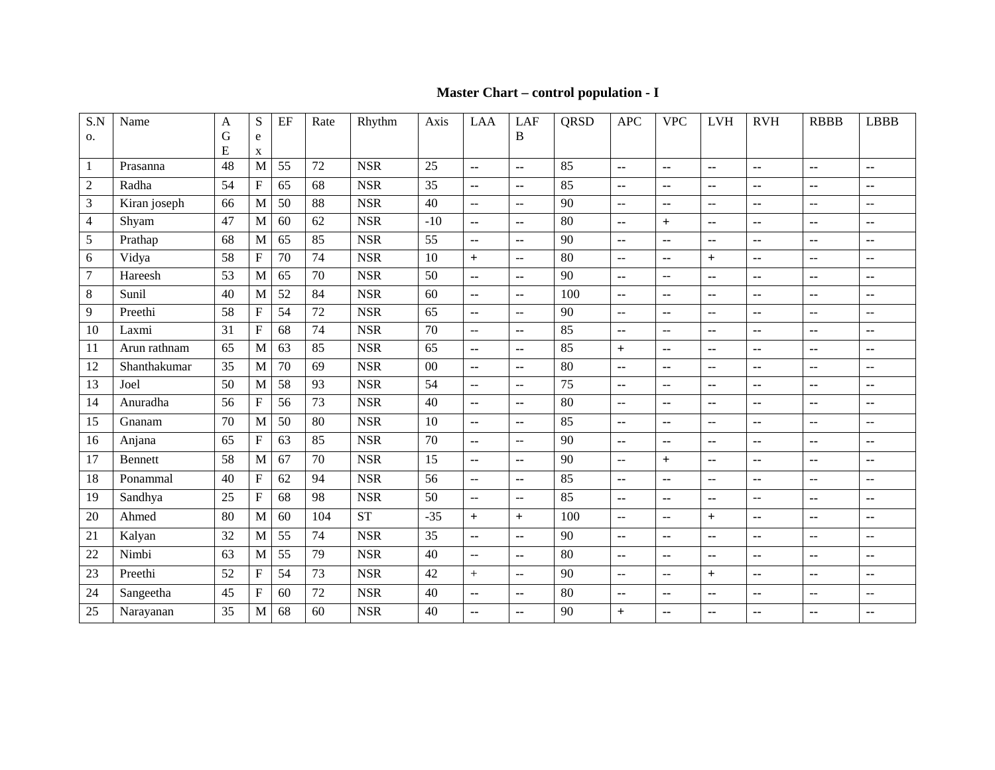### **Master Chart – control population - I**

| S.N            | Name           | A  | S                         | EF | Rate | Rhythm     | Axis  | LAA                       | <b>LAF</b>                | <b>QRSD</b>     | <b>APC</b>                                    | <b>VPC</b>                | <b>LVH</b>                                    | <b>RVH</b>     | <b>RBBB</b>              | <b>LBBB</b>    |
|----------------|----------------|----|---------------------------|----|------|------------|-------|---------------------------|---------------------------|-----------------|-----------------------------------------------|---------------------------|-----------------------------------------------|----------------|--------------------------|----------------|
| 0.             |                | G  | e                         |    |      |            |       |                           | B                         |                 |                                               |                           |                                               |                |                          |                |
|                |                | E  | X                         |    |      |            |       |                           |                           |                 |                                               |                           |                                               |                |                          |                |
| 1              | Prasanna       | 48 | M                         | 55 | 72   | <b>NSR</b> | 25    | $\mathbf{u}$              | $\overline{a}$            | 85              | $\mathbf{u}$                                  | $\overline{a}$            | --                                            | $\overline{a}$ | $\overline{a}$           | $\overline{a}$ |
| $\overline{c}$ | Radha          | 54 | $\boldsymbol{\mathrm{F}}$ | 65 | 68   | <b>NSR</b> | 35    | $\overline{\phantom{a}}$  | $\mathbf{u}$              | 85              | $\mathbf{u}$                                  | ۰.                        | ۰.                                            | --             | $\overline{\phantom{a}}$ | --             |
| 3              | Kiran joseph   | 66 | M                         | 50 | 88   | <b>NSR</b> | 40    | $\sim$                    | $\sim$ $\sim$             | 90              | $\mathord{\hspace{1pt}\text{--}\hspace{1pt}}$ | $\overline{\phantom{a}}$  | $\mathord{\hspace{1pt}\text{--}\hspace{1pt}}$ | --             | $\overline{a}$           | $-$            |
| $\overline{4}$ | Shyam          | 47 | M                         | 60 | 62   | <b>NSR</b> | $-10$ | $\sim$                    | $\overline{a}$            | 80              | $\mathbf{u}$                                  | $+$                       | ۰.                                            | --             | $\overline{\phantom{a}}$ | --             |
| 5              | Prathap        | 68 | M                         | 65 | 85   | <b>NSR</b> | 55    | $\mathbf{u}$              | $\sim$ $\sim$             | 90              | ۰.                                            | ۰.                        | ۰.                                            | --             | $\overline{\phantom{a}}$ | --             |
| 6              | Vidya          | 58 | $\boldsymbol{\mathrm{F}}$ | 70 | 74   | <b>NSR</b> | 10    | $+$                       | $\sim$                    | 80              | $\mathbb{L}^{\mathbb{L}}$                     | н.                        | $+$                                           | μ.             | $\overline{\phantom{a}}$ | $\overline{a}$ |
| 7              | Hareesh        | 53 | M                         | 65 | 70   | <b>NSR</b> | 50    | $\mathbf{u}$              | $\sim$                    | 90              | $\sim$ $\sim$                                 | $\overline{\phantom{a}}$  | ۰.                                            | ۰.             | $\overline{\phantom{a}}$ | ٠.             |
| 8              | Sunil          | 40 | M                         | 52 | 84   | <b>NSR</b> | 60    | $\mathbf{u}$              | $\sim$ $\sim$             | 100             | $\overline{\phantom{a}}$                      | ۰.                        | ۰.                                            | --             | $\overline{\phantom{a}}$ | --             |
| 9              | Preethi        | 58 | $\boldsymbol{\mathrm{F}}$ | 54 | 72   | <b>NSR</b> | 65    | $\mathbf{u}$              | $\overline{a}$            | 90              | $\mathbb{L} \mathbb{L}$                       | $\overline{a}$            | --                                            | $\overline{a}$ | $\overline{a}$           | $-$            |
| 10             | Laxmi          | 31 | $\overline{\mathrm{F}}$   | 68 | 74   | <b>NSR</b> | 70    | $\mathbb{L}^{\mathbb{L}}$ | $\overline{a}$            | 85              | $\sim$ $\sim$                                 | $\overline{\phantom{a}}$  | ۰.                                            | --             | $\overline{a}$           | --             |
| 11             | Arun rathnam   | 65 | M                         | 63 | 85   | <b>NSR</b> | 65    | $\sim$ $\sim$             | $\sim$                    | 85              | $+$                                           | $\overline{\phantom{a}}$  | ۰.                                            | --             | $\overline{\phantom{a}}$ | ۰.             |
| 12             | Shanthakumar   | 35 | M                         | 70 | 69   | <b>NSR</b> | 00    | $\mathbf{u}$              | $\sim$                    | 80              | $\overline{\phantom{a}}$                      | ۰.                        | $- -$                                         | --             | $\overline{a}$           | $-$            |
| 13             | Joel           | 50 | M                         | 58 | 93   | <b>NSR</b> | 54    | $\mathbb{L}^{\mathbb{L}}$ | $\mathbb{L}^{\mathbb{L}}$ | $\overline{75}$ | $\overline{\phantom{a}}$                      | $\mathbb{L}^{\mathbb{L}}$ | ۰.                                            | $\overline{a}$ | $\overline{a}$           | --             |
| 14             | Anuradha       | 56 | $\boldsymbol{\mathrm{F}}$ | 56 | 73   | <b>NSR</b> | 40    | $\sim$ $\sim$             | $\sim$                    | 80              | $\sim$ $\sim$                                 | ۰.                        | ۰.                                            | ۰.             | ۰.                       | --             |
| 15             | Gnanam         | 70 | M                         | 50 | 80   | <b>NSR</b> | 10    | $\sim$ $\sim$             | $\sim$ $\sim$             | 85              | $\sim$ $\sim$                                 | ۰.                        | --                                            | ۰.             | $-$                      | $\sim$ $\sim$  |
| 16             | Anjana         | 65 | $\mathbf F$               | 63 | 85   | <b>NSR</b> | 70    | $\sim$ $\sim$             | $\overline{a}$            | 90              | $\sim$ $\sim$                                 | ۰.                        | ۰.                                            | ۰.             | $\overline{a}$           | ٠.             |
| 17             | <b>Bennett</b> | 58 | M                         | 67 | 70   | <b>NSR</b> | 15    | $\sim$ $\sim$             | $\sim$ $\sim$             | 90              | --                                            | $+$                       | ۰.                                            | ۰.             | $\overline{\phantom{a}}$ | ۰.             |
| 18             | Ponammal       | 40 | $\boldsymbol{\mathrm{F}}$ | 62 | 94   | <b>NSR</b> | 56    | $\overline{\phantom{a}}$  | $\sim$                    | 85              | $\overline{\phantom{a}}$                      | $\overline{\phantom{a}}$  | $\mathord{\hspace{1pt}\text{--}\hspace{1pt}}$ | --             | $\overline{a}$           | $-$            |
| 19             | Sandhya        | 25 | $\boldsymbol{\mathrm{F}}$ | 68 | 98   | <b>NSR</b> | 50    | $\mathbb{L}^{\mathbb{L}}$ | $\overline{a}$            | 85              | $\mathbf{u}$                                  | ۰.                        | --                                            | --             | $\overline{\phantom{a}}$ | --             |
| 20             | Ahmed          | 80 | M                         | 60 | 104  | <b>ST</b>  | $-35$ | $+$                       | $+$                       | 100             | $\mathbf{u}$                                  | $\mathbb{L} \mathbb{L}$   | $+$                                           | ۰.             | ۰.                       | ٠.             |
| 21             | Kalyan         | 32 | M                         | 55 | 74   | <b>NSR</b> | 35    | $\mathbf{u}$              | $\sim$                    | 90              | ۰.                                            | ۰.                        | ۰.                                            | --             | $\overline{a}$           | $-$            |
| 22             | Nimbi          | 63 | M                         | 55 | 79   | <b>NSR</b> | 40    | $\mathbb{L}^{\mathbb{L}}$ | $\overline{\phantom{a}}$  | 80              | $\overline{\phantom{a}}$                      | $\overline{\phantom{a}}$  | --                                            | ۰.             | $\overline{\phantom{a}}$ | ۰.             |
| 23             | Preethi        | 52 | $\boldsymbol{\mathrm{F}}$ | 54 | 73   | <b>NSR</b> | 42    | $+$                       | $\sim$                    | 90              | $\mathbb{L}^{\mathbb{L}}$                     | $\mathbb{L}^{\mathbb{L}}$ | $+$                                           | ۰.             | $\overline{\phantom{a}}$ | --             |
| 24             | Sangeetha      | 45 | $\boldsymbol{\mathrm{F}}$ | 60 | 72   | <b>NSR</b> | 40    | $\sim$                    | $\sim$ $\sim$             | 80              | $\mathbf{u}$                                  | ۰.                        | ۰.                                            | --             | $-$                      | $-$            |
| 25             | Narayanan      | 35 | M                         | 68 | 60   | <b>NSR</b> | 40    | $\sim$ $\sim$             | $\sim$ $\sim$             | 90              | $+$                                           | ۰.                        | ۰.                                            | --             | $\overline{\phantom{a}}$ | --             |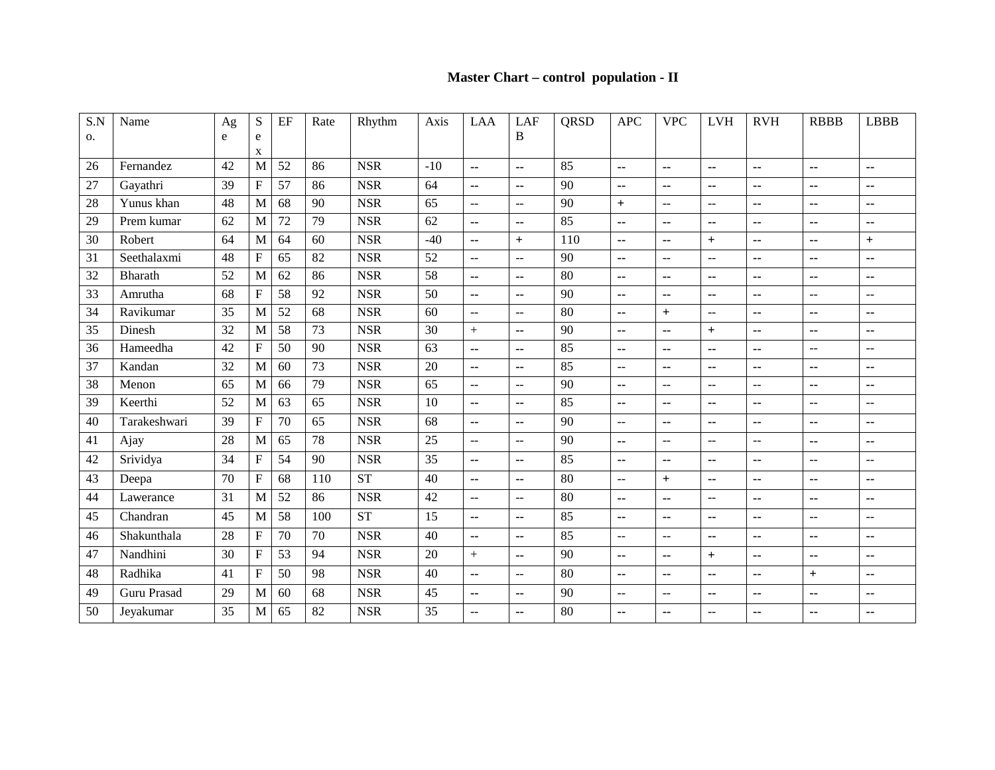### **Master Chart – control population - II**

| S.N | Name           | Ag | S                         | EF | Rate | Rhythm     | Axis  | LAA                      | LAF                      | <b>QRSD</b> | <b>APC</b>               | <b>VPC</b>               | <b>LVH</b>               | <b>RVH</b>               | <b>RBBB</b>              | <b>LBBB</b>              |
|-----|----------------|----|---------------------------|----|------|------------|-------|--------------------------|--------------------------|-------------|--------------------------|--------------------------|--------------------------|--------------------------|--------------------------|--------------------------|
| 0.  |                | e  | e                         |    |      |            |       |                          | B                        |             |                          |                          |                          |                          |                          |                          |
| 26  | Fernandez      | 42 | X<br>M                    | 52 | 86   | <b>NSR</b> | $-10$ | $\overline{a}$           | $\sim$                   | 85          | $\overline{a}$           | --                       | --                       | $\overline{a}$           | $\overline{a}$           | $\sim$ $\sim$            |
|     |                | 39 | $\boldsymbol{\mathrm{F}}$ | 57 | 86   | <b>NSR</b> | 64    |                          |                          | 90          |                          |                          |                          |                          |                          |                          |
| 27  | Gayathri       |    |                           |    |      |            |       | $\overline{\phantom{a}}$ | --                       |             | ۰.                       | ۰.                       | --                       | $\overline{\phantom{a}}$ | $\overline{\phantom{a}}$ | $\sim$ $\sim$            |
| 28  | Yunus khan     | 48 | M                         | 68 | 90   | <b>NSR</b> | 65    | $\sim$                   | $\overline{a}$           | 90          | $+$                      | $\overline{\phantom{m}}$ | $-$                      | ٠.                       | $\overline{\phantom{a}}$ | ۰.                       |
| 29  | Prem kumar     | 62 | M                         | 72 | 79   | <b>NSR</b> | 62    | $\overline{a}$           | $\sim$                   | 85          | ۰.                       | ۰.                       | --                       | ٠.                       | $\overline{\phantom{a}}$ | ۰.                       |
| 30  | Robert         | 64 | M                         | 64 | 60   | <b>NSR</b> | $-40$ | $\mathbf{u}$             | $+$                      | 110         | --                       | --                       | $+$                      | $\overline{\phantom{a}}$ | $\overline{\phantom{a}}$ | $+$                      |
| 31  | Seethalaxmi    | 48 | $\overline{\mathrm{F}}$   | 65 | 82   | <b>NSR</b> | 52    | $\sim$                   | $\mathbf{L}$             | 90          | --                       | --                       | $\overline{\phantom{a}}$ | $\overline{\phantom{a}}$ | μ.                       | $\sim$ $\sim$            |
| 32  | <b>Bharath</b> | 52 | M                         | 62 | 86   | <b>NSR</b> | 58    | $\sim$                   | ۰.                       | 80          | ۰.                       | ۰.                       | ۰.                       | ۰.                       | $\overline{\phantom{a}}$ | ۰.                       |
| 33  | Amrutha        | 68 | $\boldsymbol{\mathrm{F}}$ | 58 | 92   | <b>NSR</b> | 50    | $\sim$ $\sim$            | ۰.                       | 90          | ۰.                       | ۰.                       | --                       | ۰.                       | $\overline{a}$           | $\overline{\phantom{m}}$ |
| 34  | Ravikumar      | 35 | M                         | 52 | 68   | <b>NSR</b> | 60    | $\overline{a}$           | $-$                      | 80          | --                       | $\ddot{}$                | $-$                      | $\overline{a}$           | $\overline{\phantom{a}}$ | $\sim$                   |
| 35  | Dinesh         | 32 | M                         | 58 | 73   | <b>NSR</b> | 30    | $\ddot{+}$               | ۰.                       | 90          | ۰.                       | ۰.                       | $\ddot{}$                | ۰.                       | $\overline{\phantom{a}}$ | ۰.                       |
| 36  | Hameedha       | 42 | ${\bf F}$                 | 50 | 90   | <b>NSR</b> | 63    | $\sim$                   | $\mathbf{u}$             | 85          | ۰.                       | ۰.                       | --                       | ۰.                       | $\sim$ $\sim$            | $-\,-$                   |
| 37  | Kandan         | 32 | M                         | 60 | 73   | <b>NSR</b> | 20    | $\sim$                   | ۰.                       | 85          | $-$                      | ۰.                       | --                       | ۰.                       | $\overline{\phantom{a}}$ | $\overline{\phantom{a}}$ |
| 38  | Menon          | 65 | M                         | 66 | 79   | <b>NSR</b> | 65    | $\overline{a}$           | $-$                      | 90          | --                       | --                       | $-$                      | $-$                      | $\overline{\phantom{a}}$ | ۰.                       |
| 39  | Keerthi        | 52 | M                         | 63 | 65   | <b>NSR</b> | 10    | $\sim$ $\sim$            | $\sim$ $\sim$            | 85          | ۰.                       | ۰.                       | --                       | ۰.                       | $\sim$ $\sim$            | $-$                      |
| 40  | Tarakeshwari   | 39 | $\overline{\mathrm{F}}$   | 70 | 65   | <b>NSR</b> | 68    | $\sim$ $\sim$            | $\sim$ $\sim$            | 90          | $\qquad \qquad -$        | ۰.                       | --                       | $\sim$ $\sim$            | $\overline{\phantom{a}}$ | $\overline{\phantom{a}}$ |
| 41  | Ajay           | 28 | M                         | 65 | 78   | <b>NSR</b> | 25    | $\sim$ $\sim$            | $\sim$ $\sim$            | 90          | $\overline{\phantom{a}}$ | --                       | $-$                      | $\overline{a}$           | $\overline{\phantom{a}}$ | ۰.                       |
| 42  | Srividya       | 34 | $\boldsymbol{\mathrm{F}}$ | 54 | 90   | <b>NSR</b> | 35    | $\sim$                   | ۰.                       | 85          | $\overline{\phantom{a}}$ | ۰.                       | ۰.                       | ۰.                       | $\overline{a}$           | $-$                      |
| 43  | Deepa          | 70 | $\mathbf F$               | 68 | 110  | <b>ST</b>  | 40    | $\sim$                   | $\mathbf{u}$             | 80          | $\overline{\phantom{a}}$ | $\ddot{}$                | --                       | ۰.                       | $\overline{\phantom{a}}$ | ۰.                       |
| 44  | Lawerance      | 31 | M                         | 52 | 86   | <b>NSR</b> | 42    | $\overline{a}$           | $\overline{a}$           | 80          | ۰.                       | --                       | $-$                      | ۰.                       | $\overline{\phantom{a}}$ | ۰.                       |
| 45  | Chandran       | 45 | M                         | 58 | 100  | <b>ST</b>  | 15    | $\sim$ $\sim$            | $\sim$ $\sim$            | 85          | $\overline{\phantom{a}}$ | ۰.                       | --                       | ۰.                       | $\overline{a}$           | $-$                      |
| 46  | Shakunthala    | 28 | F                         | 70 | 70   | <b>NSR</b> | 40    | $\overline{a}$           | $\overline{\phantom{a}}$ | 85          | --                       | --                       | --                       | --                       | $\overline{\phantom{a}}$ | ۰.                       |
| 47  | Nandhini       | 30 | F                         | 53 | 94   | <b>NSR</b> | 20    | $+$                      | $\mathbf{L}$             | 90          | ۰.                       | --                       | $+$                      | $\overline{\phantom{a}}$ | $\overline{\phantom{a}}$ | ۰.                       |
| 48  | Radhika        | 41 | ${\bf F}$                 | 50 | 98   | <b>NSR</b> | 40    | $\overline{a}$           | $\mathbb{L} \mathbb{L}$  | 80          | ۰.                       | --                       | --                       | ٠.                       | $+$                      | ۰.                       |
| 49  | Guru Prasad    | 29 | M                         | 60 | 68   | <b>NSR</b> | 45    | $\sim$ $\sim$            | $\sim$ $\sim$            | 90          | $-$                      | $\overline{a}$           | --                       | --                       | $\overline{\phantom{a}}$ | $\overline{\phantom{a}}$ |
| 50  | Jeyakumar      | 35 | M                         | 65 | 82   | <b>NSR</b> | 35    | $\mathbf{L}$             | ۰.                       | 80          | $\overline{\phantom{a}}$ | ۰.                       | $-$                      | ٠.                       | $\overline{\phantom{a}}$ | ۰.                       |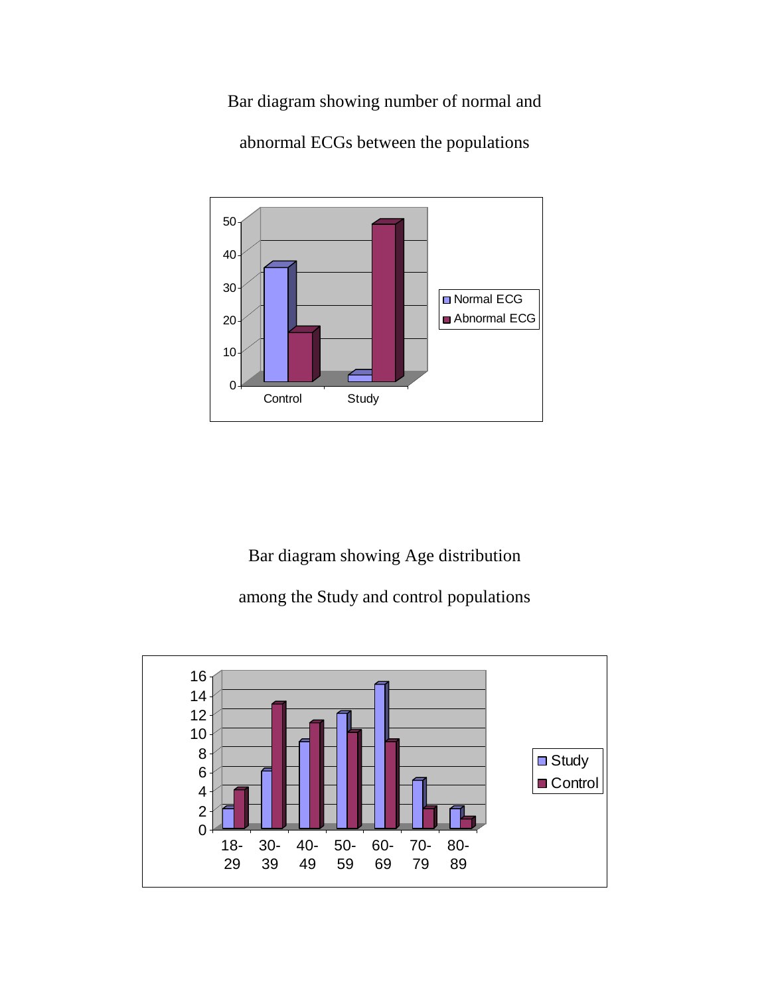Bar diagram showing number of normal and



abnormal ECGs between the populations

Bar diagram showing Age distribution

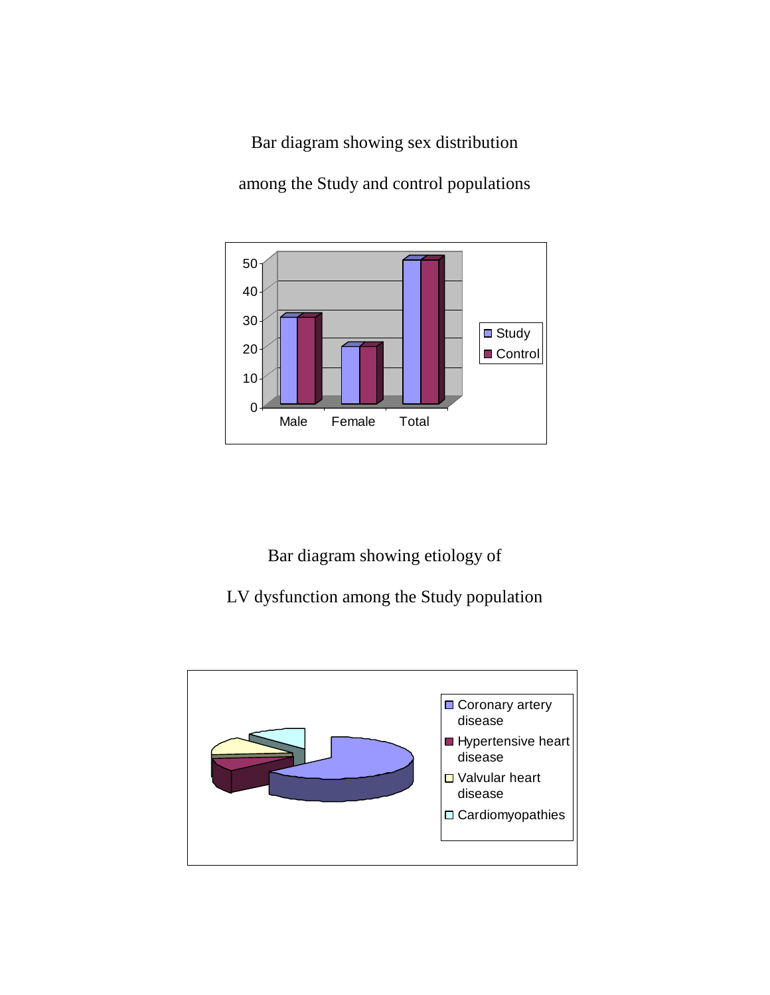Bar diagram showing sex distribution among the Study and control populations



Bar diagram showing etiology of

LV dysfunction among the Study population

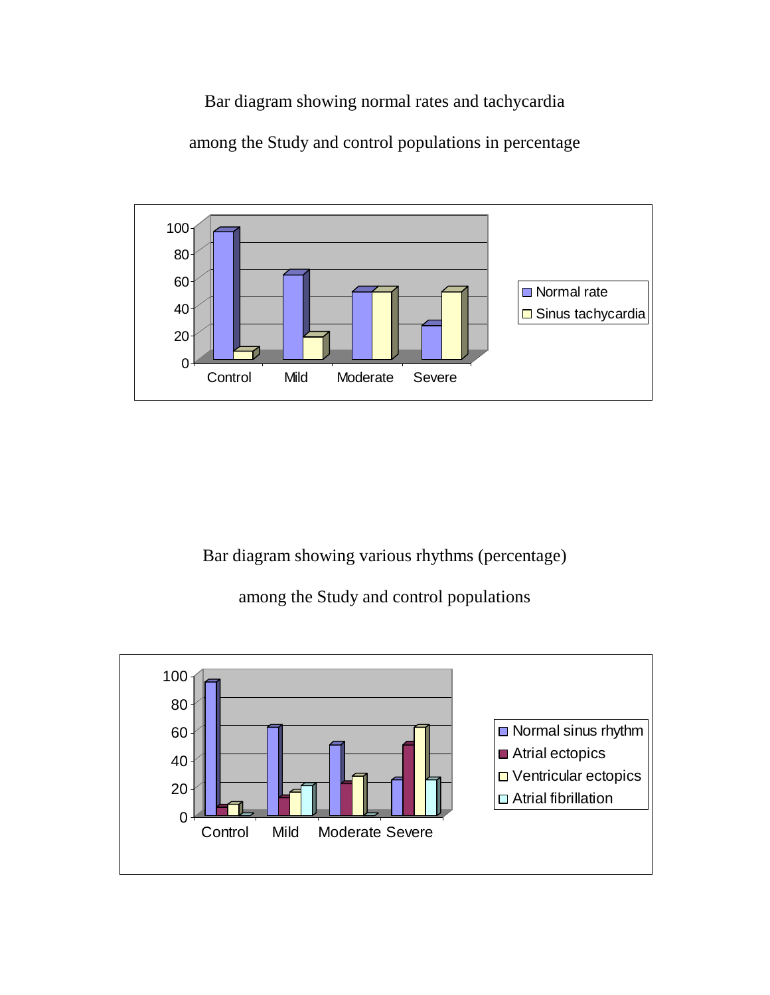Bar diagram showing normal rates and tachycardia

among the Study and control populations in percentage



Bar diagram showing various rhythms (percentage)

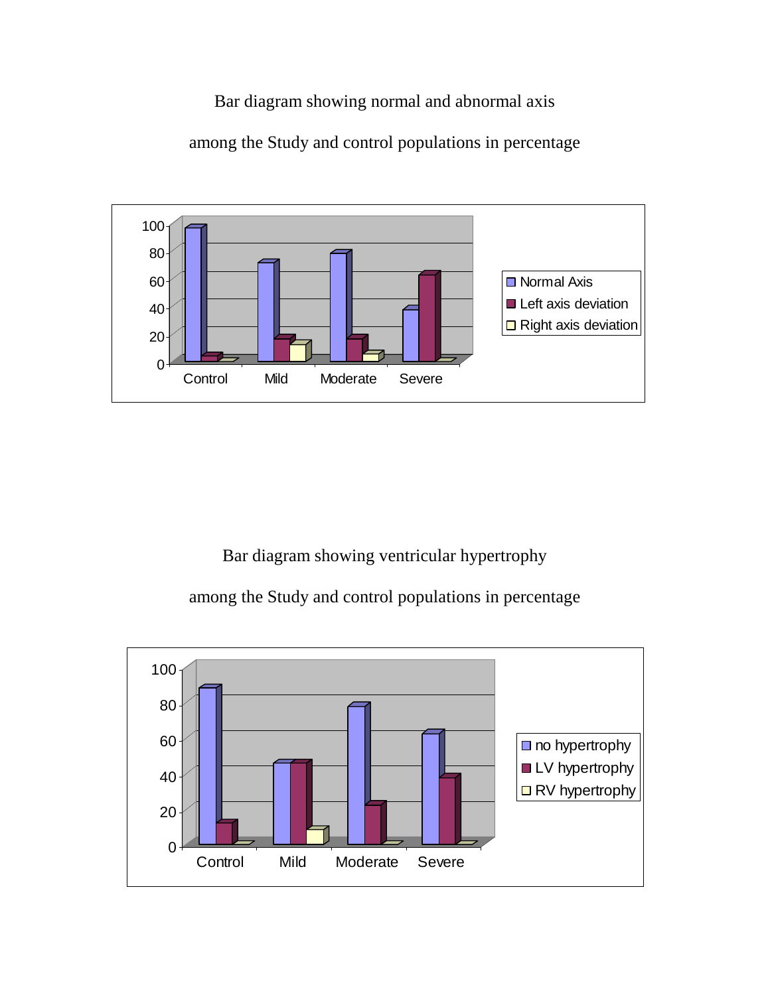Bar diagram showing normal and abnormal axis

among the Study and control populations in percentage



Bar diagram showing ventricular hypertrophy

among the Study and control populations in percentage

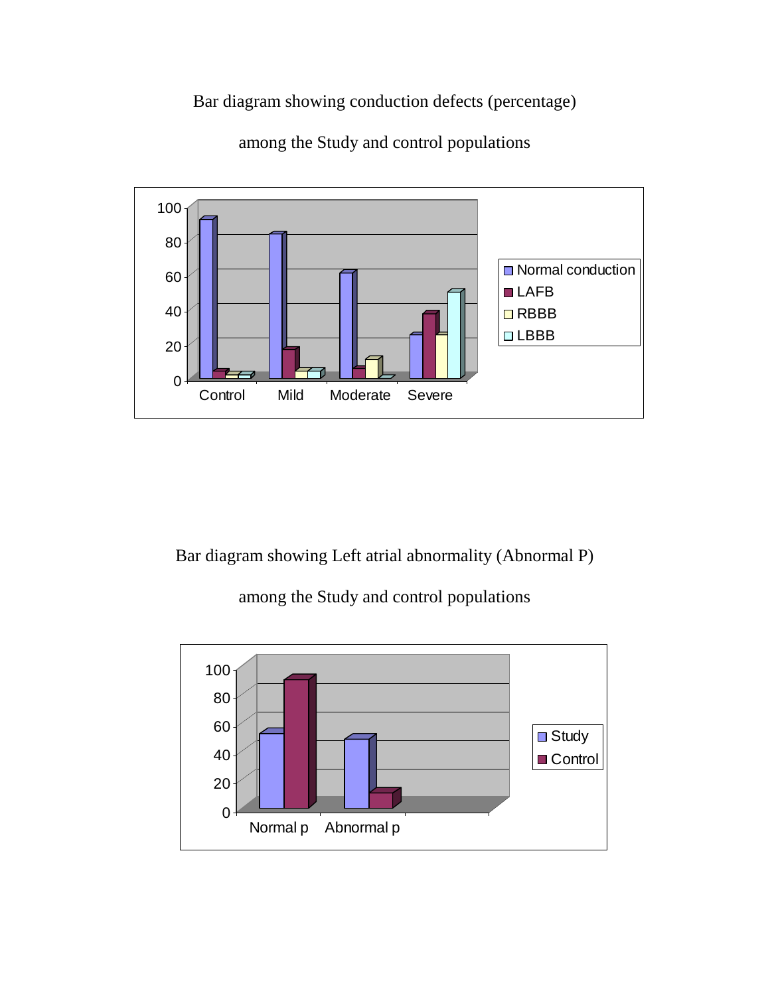Bar diagram showing conduction defects (percentage)



among the Study and control populations

Bar diagram showing Left atrial abnormality (Abnormal P)

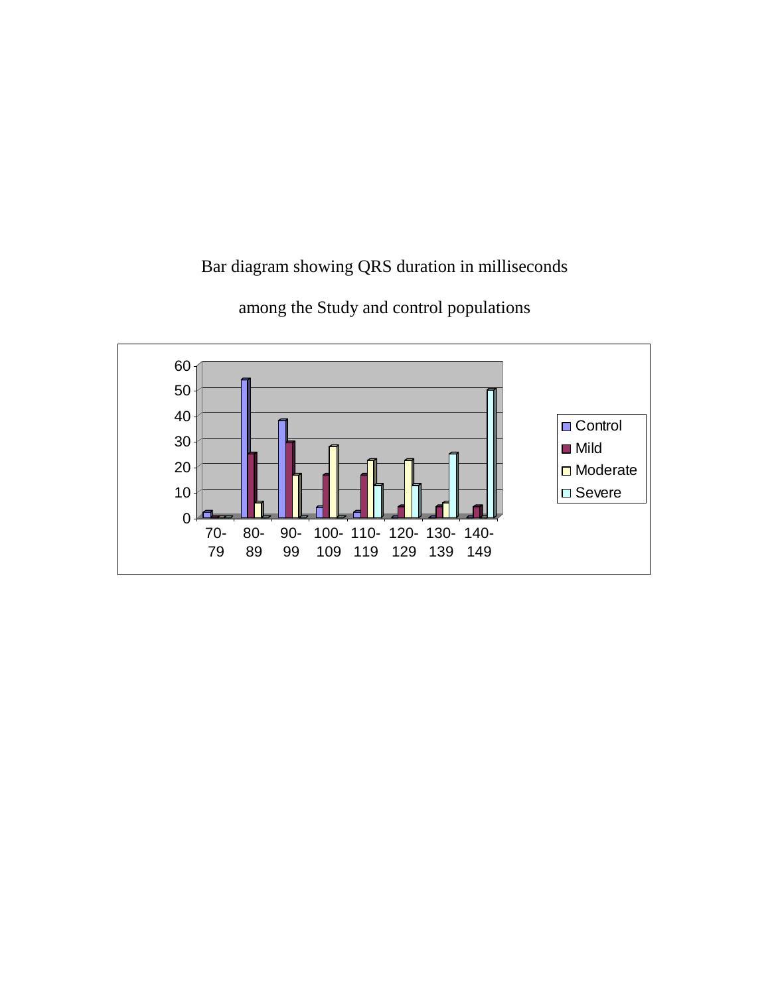Bar diagram showing QRS duration in milliseconds

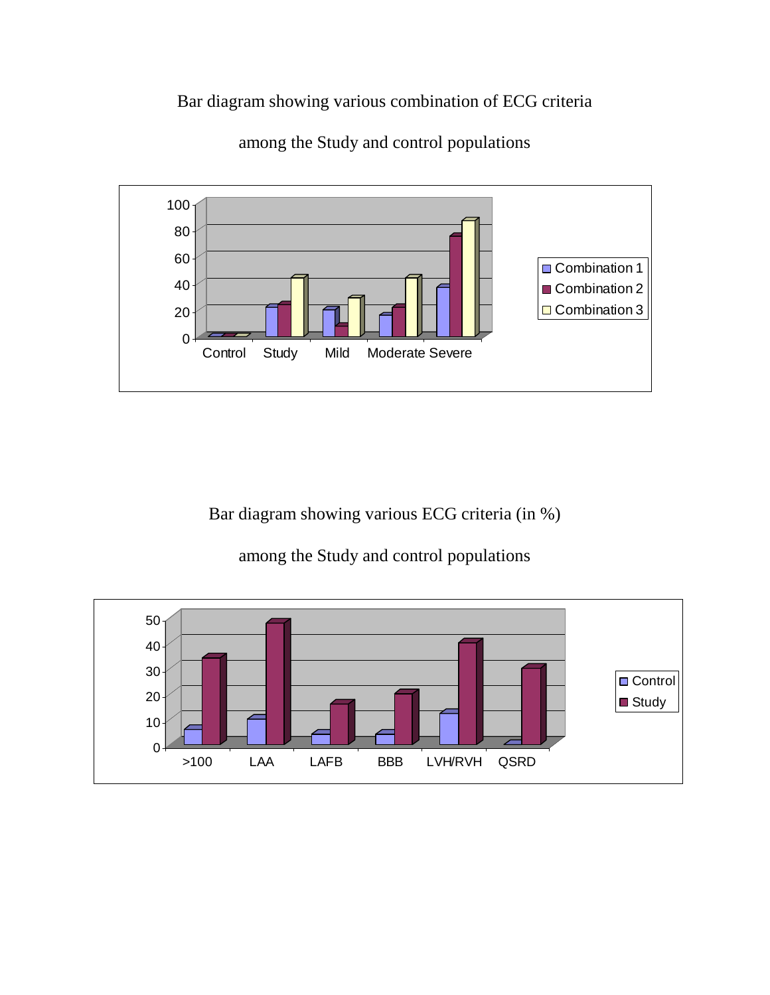Bar diagram showing various combination of ECG criteria



among the Study and control populations

Bar diagram showing various ECG criteria (in %)

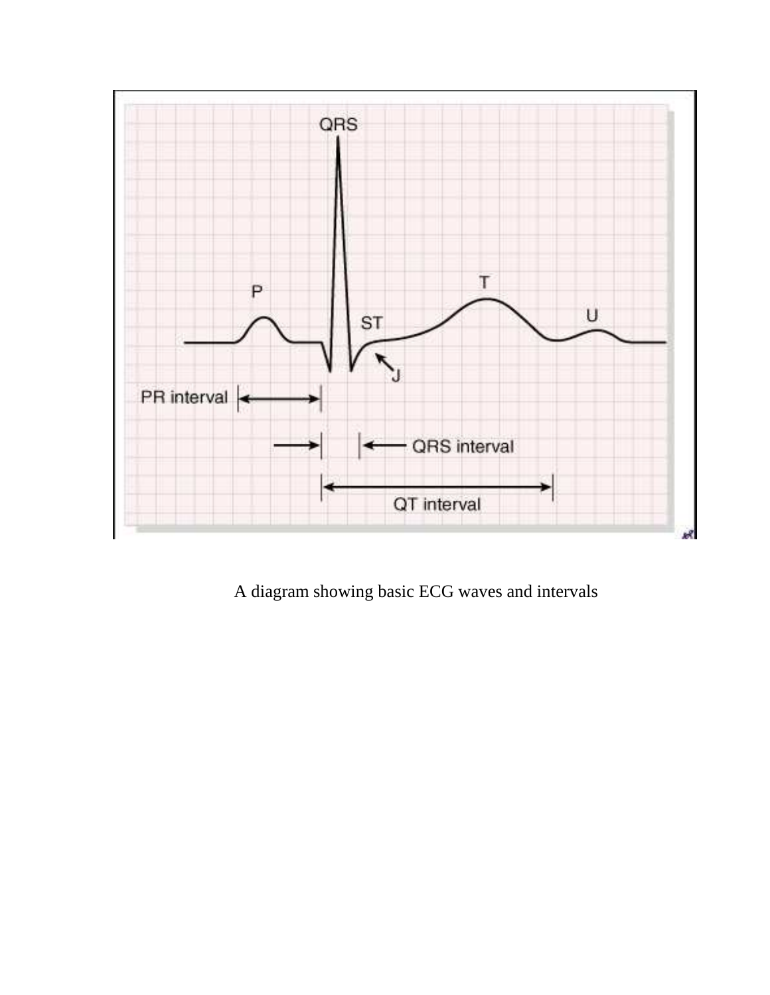

A diagram showing basic ECG waves and intervals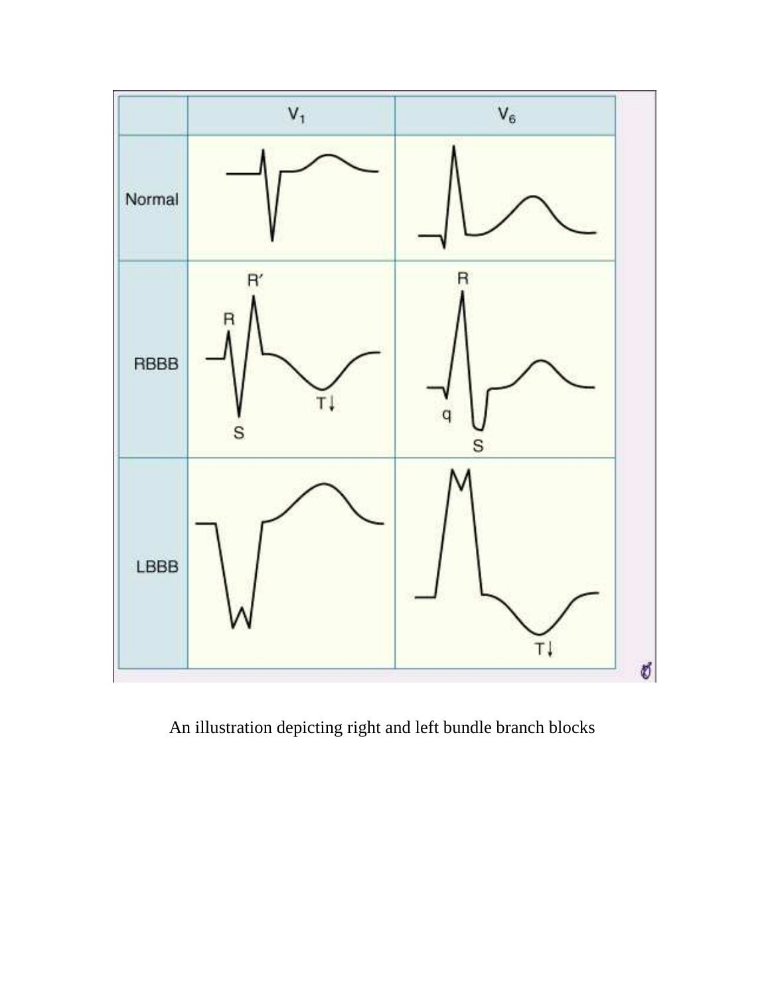

An illustration depicting right and left bundle branch blocks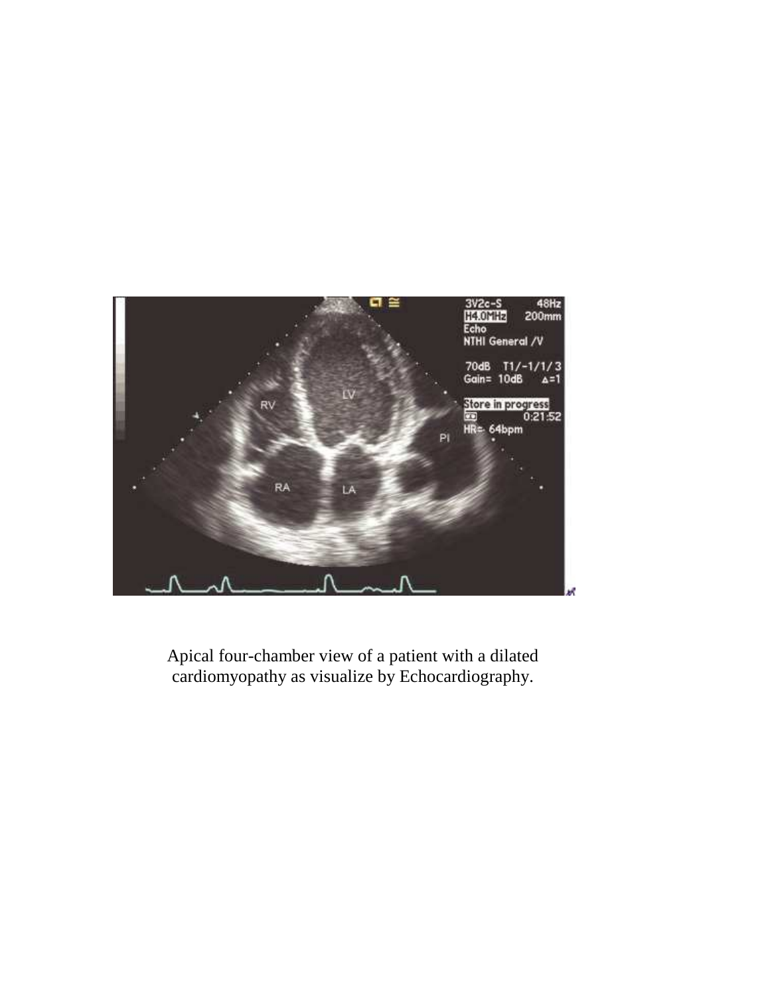

Apical four-chamber view of a patient with a dilated cardiomyopathy as visualize by Echocardiography.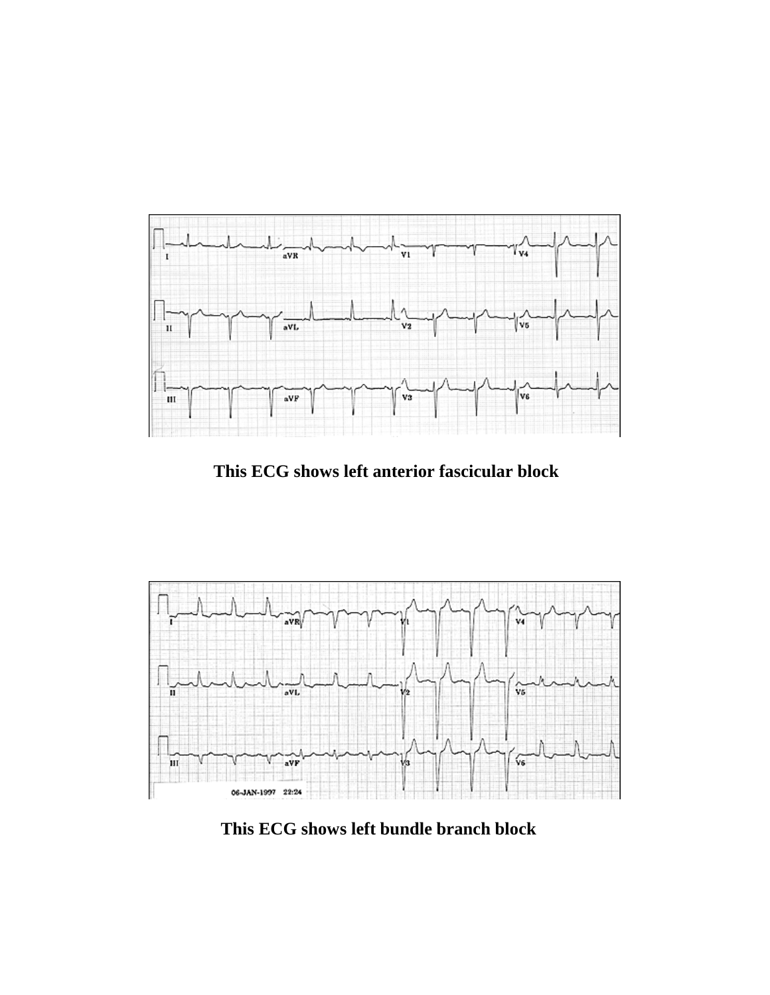

**This ECG shows left anterior fascicular block** 



**This ECG shows left bundle branch block**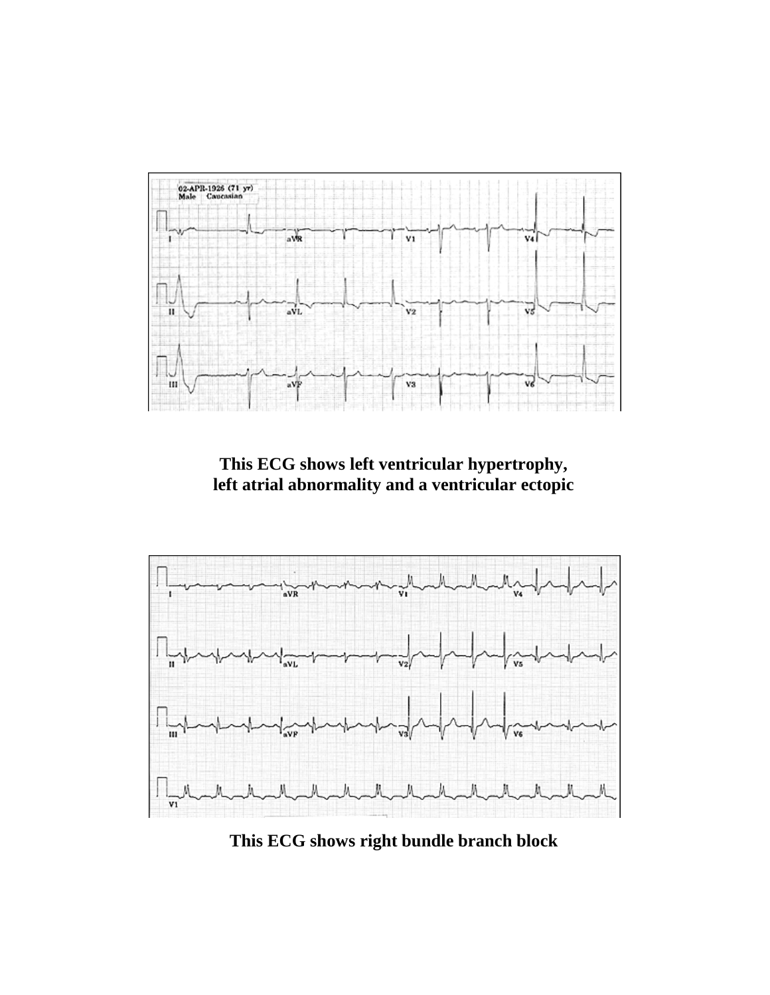

**This ECG shows left ventricular hypertrophy, left atrial abnormality and a ventricular ectopic**



**This ECG shows right bundle branch block**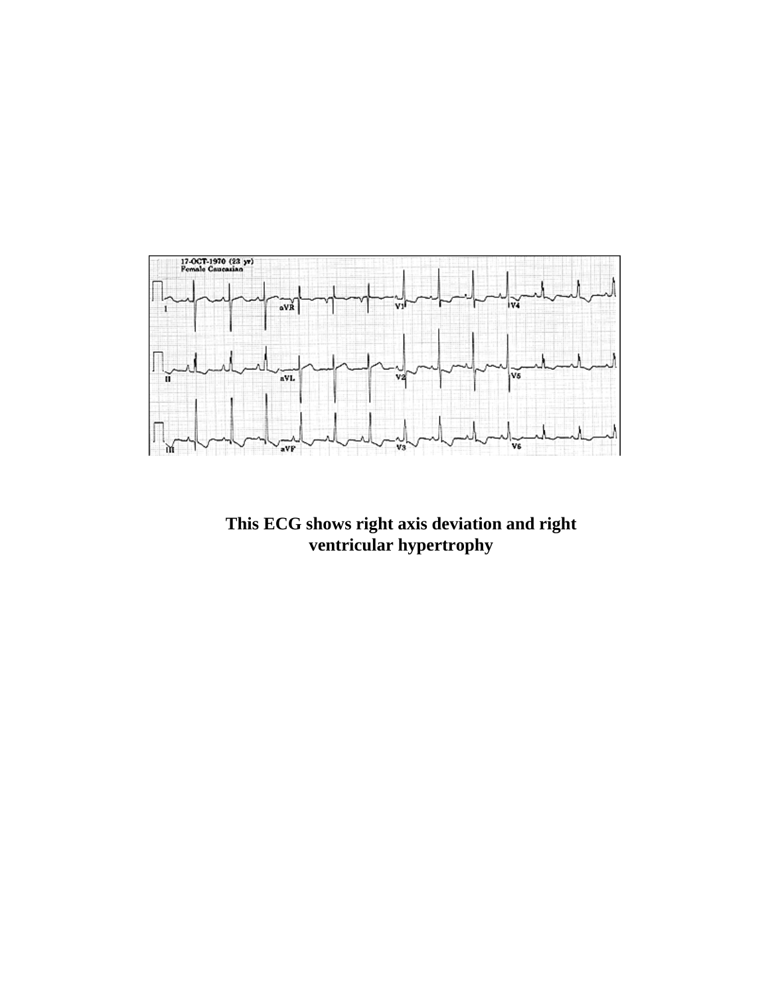

**This ECG shows right axis deviation and right ventricular hypertrophy**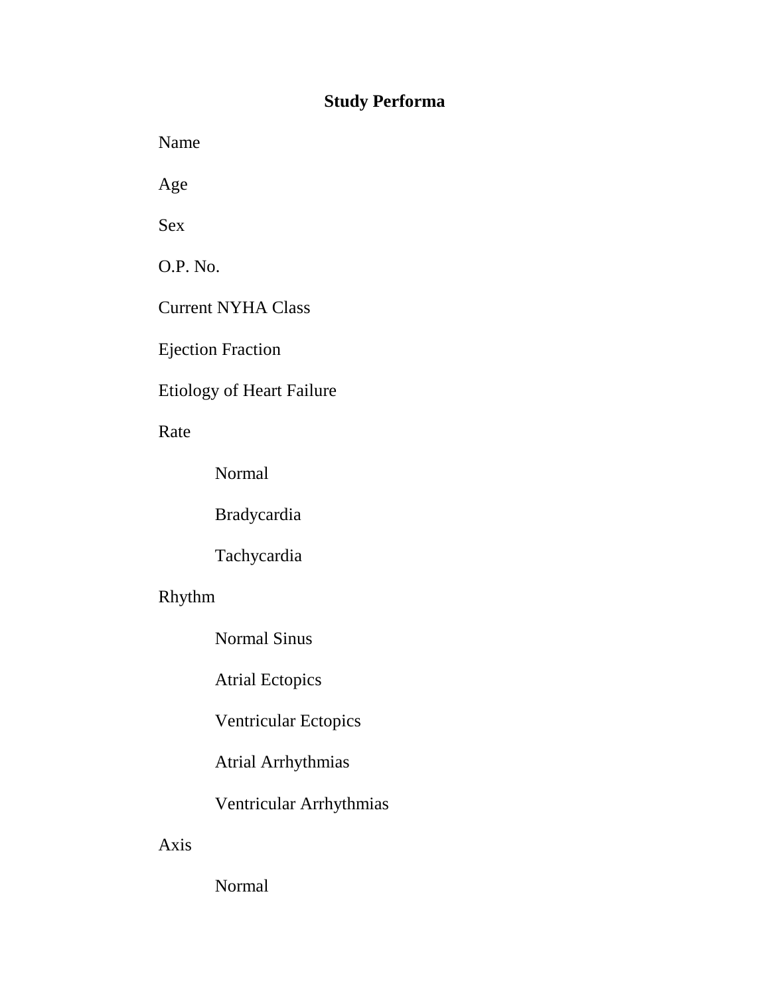## **Study Performa**

Name

Age

Sex

O.P. No.

Current NYHA Class

Ejection Fraction

## Etiology of Heart Failure

Rate

Normal

Bradycardia

Tachycardia

## Rhythm

Normal Sinus

Atrial Ectopics

Ventricular Ectopics

Atrial Arrhythmias

Ventricular Arrhythmias

Axis

Normal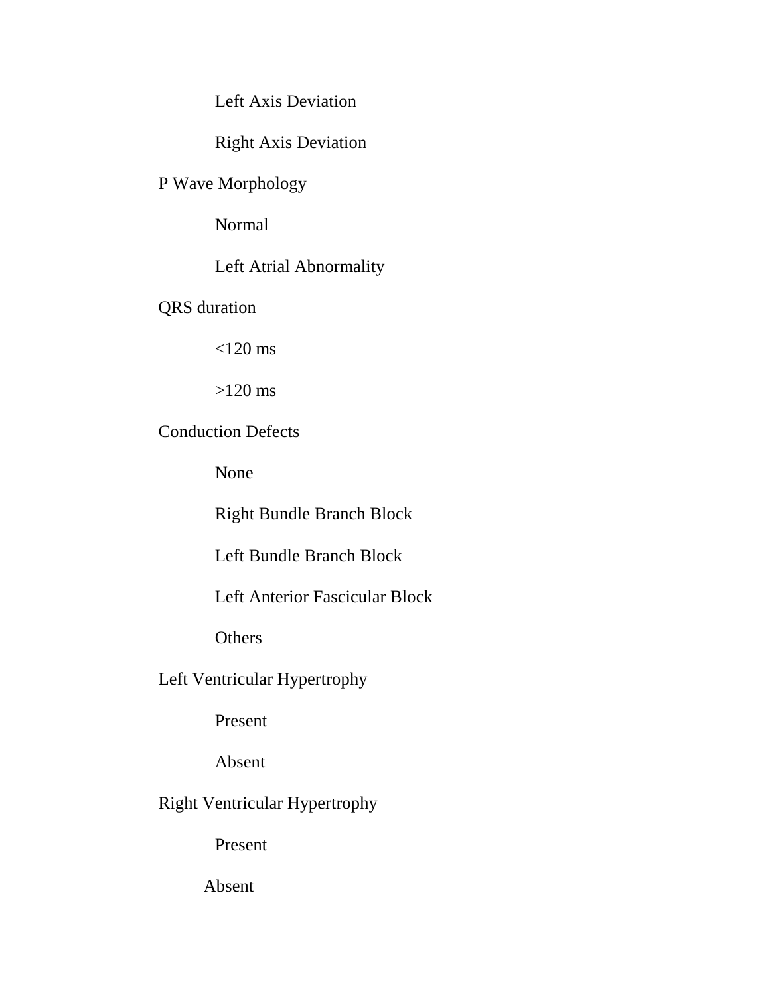Left Axis Deviation

Right Axis Deviation

P Wave Morphology

Normal

Left Atrial Abnormality

QRS duration

 $<$ 120 ms

>120 ms

Conduction Defects

None

Right Bundle Branch Block

Left Bundle Branch Block

Left Anterior Fascicular Block

**Others** 

Left Ventricular Hypertrophy

Present

Absent

Right Ventricular Hypertrophy

Present

Absent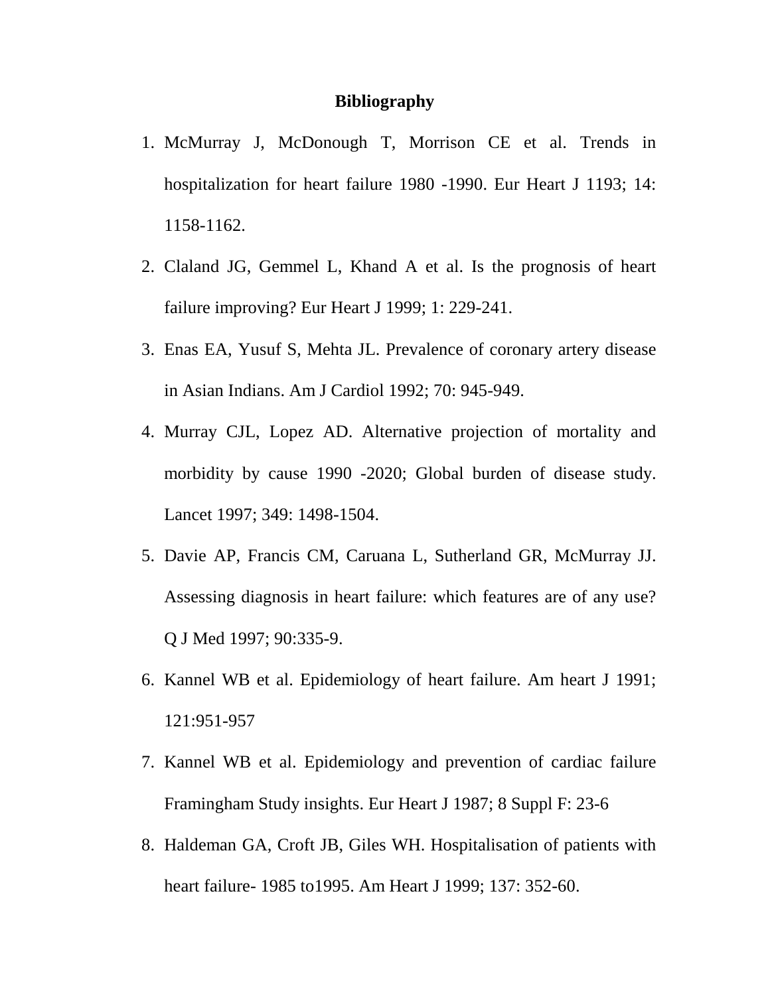## **Bibliography**

- 1. McMurray J, McDonough T, Morrison CE et al. Trends in hospitalization for heart failure 1980 -1990. Eur Heart J 1193; 14: 1158-1162.
- 2. Claland JG, Gemmel L, Khand A et al. Is the prognosis of heart failure improving? Eur Heart J 1999; 1: 229-241.
- 3. Enas EA, Yusuf S, Mehta JL. Prevalence of coronary artery disease in Asian Indians. Am J Cardiol 1992; 70: 945-949.
- 4. Murray CJL, Lopez AD. Alternative projection of mortality and morbidity by cause 1990 -2020; Global burden of disease study. Lancet 1997; 349: 1498-1504.
- 5. Davie AP, Francis CM, Caruana L, Sutherland GR, McMurray JJ. Assessing diagnosis in heart failure: which features are of any use? Q J Med 1997; 90:335-9.
- 6. Kannel WB et al. Epidemiology of heart failure. Am heart J 1991; 121:951-957
- 7. Kannel WB et al. Epidemiology and prevention of cardiac failure Framingham Study insights. Eur Heart J 1987; 8 Suppl F: 23-6
- 8. Haldeman GA, Croft JB, Giles WH. Hospitalisation of patients with heart failure- 1985 to1995. Am Heart J 1999; 137: 352-60.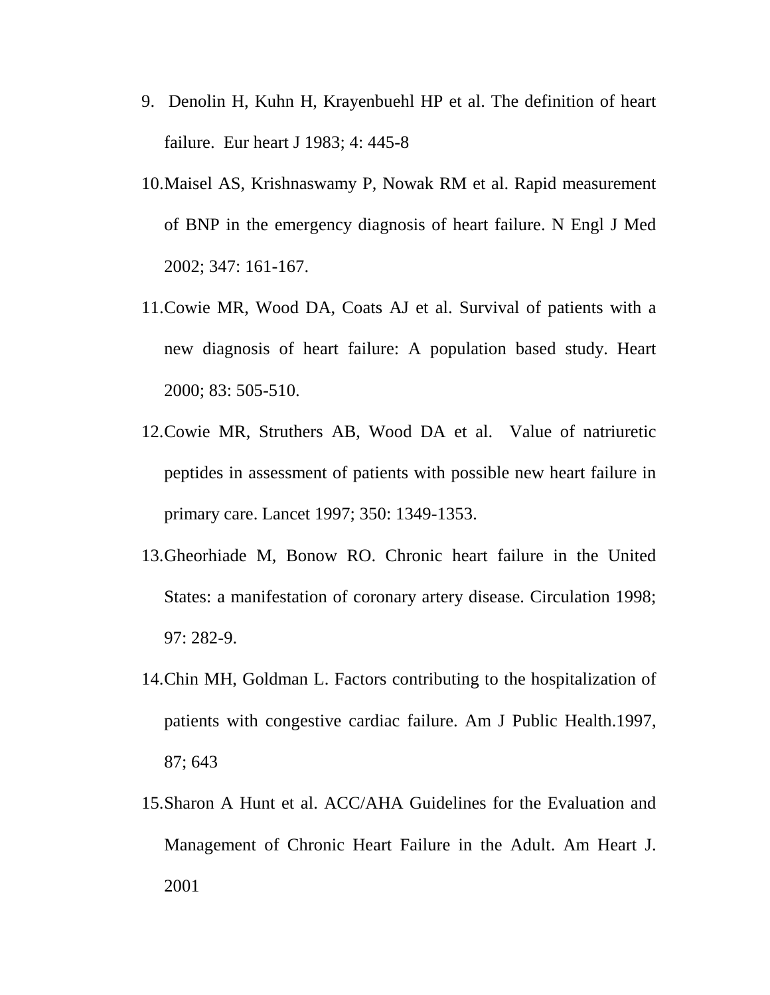- 9. Denolin H, Kuhn H, Krayenbuehl HP et al. The definition of heart failure. Eur heart J 1983; 4: 445-8
- 10. Maisel AS, Krishnaswamy P, Nowak RM et al. Rapid measurement of BNP in the emergency diagnosis of heart failure. N Engl J Med 2002; 347: 161-167.
- 11. Cowie MR, Wood DA, Coats AJ et al. Survival of patients with a new diagnosis of heart failure: A population based study. Heart 2000; 83: 505-510.
- 12. Cowie MR, Struthers AB, Wood DA et al. Value of natriuretic peptides in assessment of patients with possible new heart failure in primary care. Lancet 1997; 350: 1349-1353.
- 13. Gheorhiade M, Bonow RO. Chronic heart failure in the United States: a manifestation of coronary artery disease. Circulation 1998; 97: 282-9.
- 14. Chin MH, Goldman L. Factors contributing to the hospitalization of patients with congestive cardiac failure. Am J Public Health.1997, 87; 643
- 15. Sharon A Hunt et al. ACC/AHA Guidelines for the Evaluation and Management of Chronic Heart Failure in the Adult. Am Heart J. 2001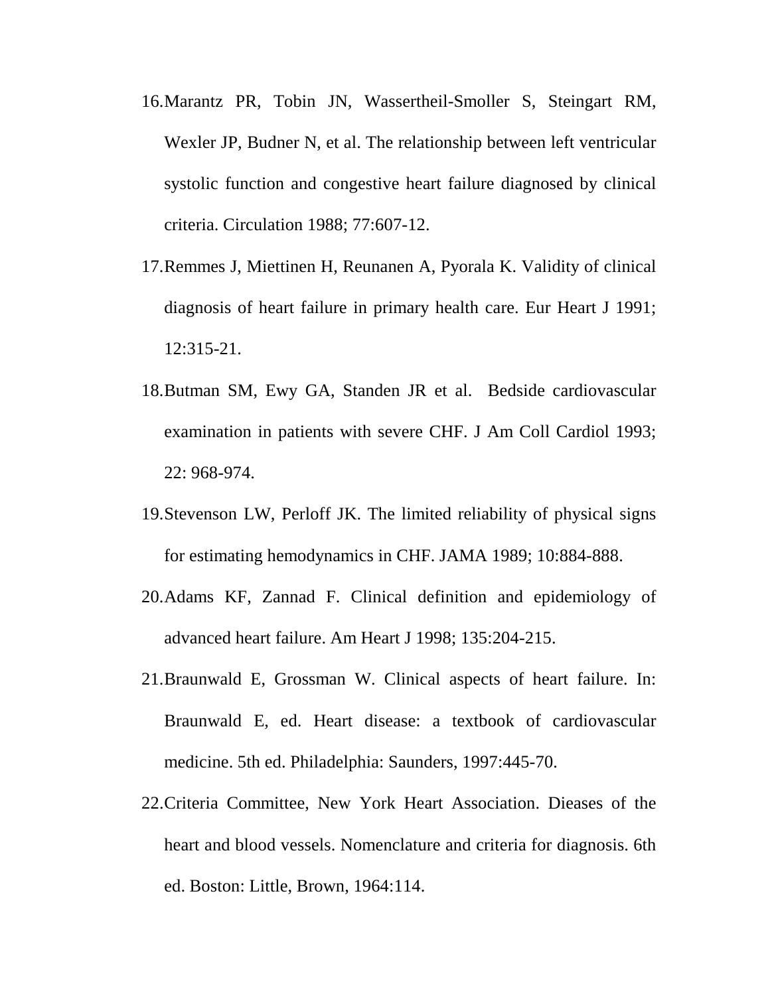- 16. Marantz PR, Tobin JN, Wassertheil-Smoller S, Steingart RM, Wexler JP, Budner N, et al. The relationship between left ventricular systolic function and congestive heart failure diagnosed by clinical criteria. Circulation 1988; 77:607-12.
- 17. Remmes J, Miettinen H, Reunanen A, Pyorala K. Validity of clinical diagnosis of heart failure in primary health care. Eur Heart J 1991; 12:315-21.
- 18. Butman SM, Ewy GA, Standen JR et al. Bedside cardiovascular examination in patients with severe CHF. J Am Coll Cardiol 1993; 22: 968-974.
- 19. Stevenson LW, Perloff JK. The limited reliability of physical signs for estimating hemodynamics in CHF. JAMA 1989; 10:884-888.
- 20. Adams KF, Zannad F. Clinical definition and epidemiology of advanced heart failure. Am Heart J 1998; 135:204-215.
- 21. Braunwald E, Grossman W. Clinical aspects of heart failure. In: Braunwald E, ed. Heart disease: a textbook of cardiovascular medicine. 5th ed. Philadelphia: Saunders, 1997:445-70.
- 22. Criteria Committee, New York Heart Association. Dieases of the heart and blood vessels. Nomenclature and criteria for diagnosis. 6th ed. Boston: Little, Brown, 1964:114.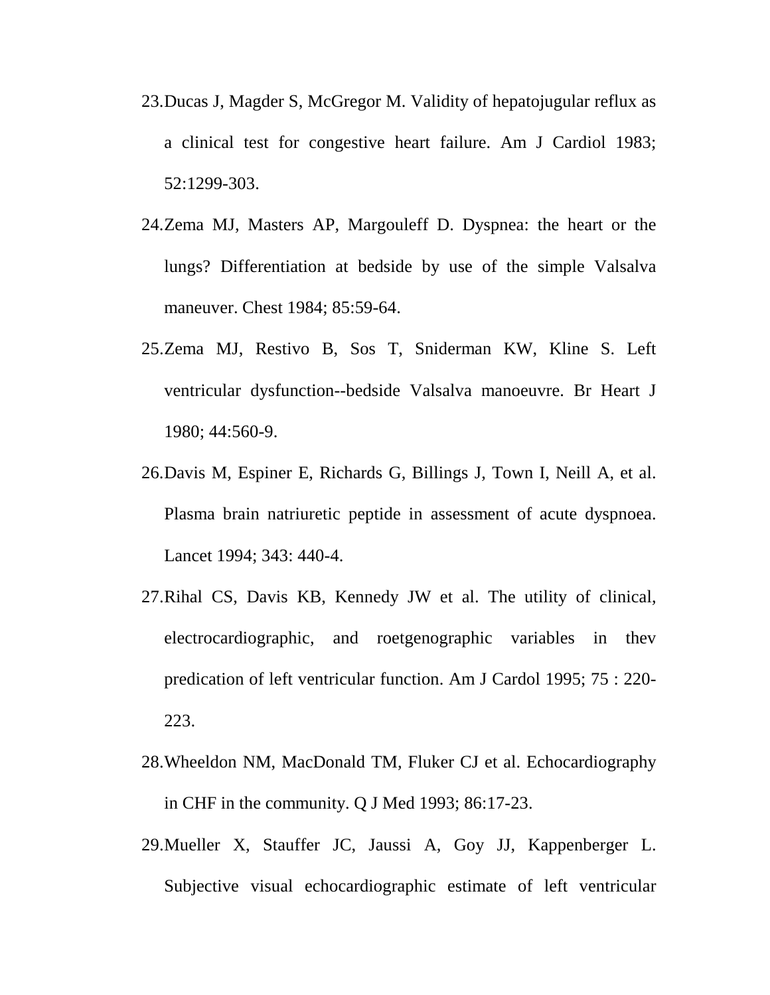- 23. Ducas J, Magder S, McGregor M. Validity of hepatojugular reflux as a clinical test for congestive heart failure. Am J Cardiol 1983; 52:1299-303.
- 24. Zema MJ, Masters AP, Margouleff D. Dyspnea: the heart or the lungs? Differentiation at bedside by use of the simple Valsalva maneuver. Chest 1984; 85:59-64.
- 25. Zema MJ, Restivo B, Sos T, Sniderman KW, Kline S. Left ventricular dysfunction--bedside Valsalva manoeuvre. Br Heart J 1980; 44:560-9.
- 26. Davis M, Espiner E, Richards G, Billings J, Town I, Neill A, et al. Plasma brain natriuretic peptide in assessment of acute dyspnoea. Lancet 1994; 343: 440-4.
- 27. Rihal CS, Davis KB, Kennedy JW et al. The utility of clinical, electrocardiographic, and roetgenographic variables in thev predication of left ventricular function. Am J Cardol 1995; 75 : 220- 223.
- 28. Wheeldon NM, MacDonald TM, Fluker CJ et al. Echocardiography in CHF in the community. Q J Med 1993; 86:17-23.
- 29. Mueller X, Stauffer JC, Jaussi A, Goy JJ, Kappenberger L. Subjective visual echocardiographic estimate of left ventricular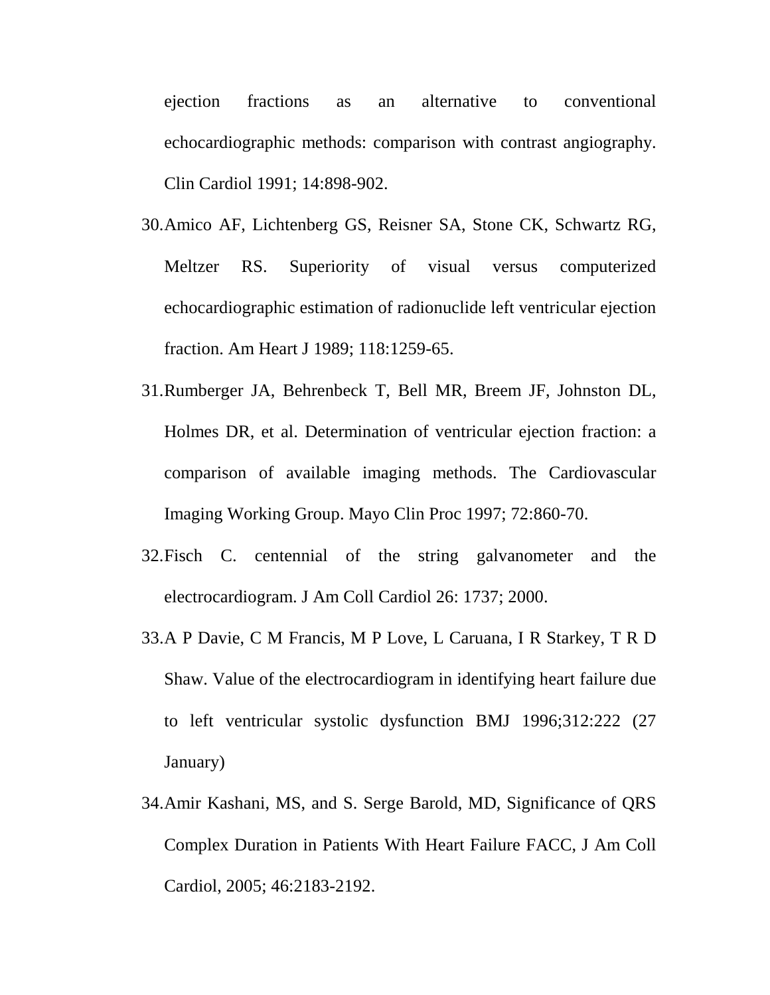ejection fractions as an alternative to conventional echocardiographic methods: comparison with contrast angiography. Clin Cardiol 1991; 14:898-902.

- 30. Amico AF, Lichtenberg GS, Reisner SA, Stone CK, Schwartz RG, Meltzer RS. Superiority of visual versus computerized echocardiographic estimation of radionuclide left ventricular ejection fraction. Am Heart J 1989; 118:1259-65.
- 31. Rumberger JA, Behrenbeck T, Bell MR, Breem JF, Johnston DL, Holmes DR, et al. Determination of ventricular ejection fraction: a comparison of available imaging methods. The Cardiovascular Imaging Working Group. Mayo Clin Proc 1997; 72:860-70.
- 32. Fisch C. centennial of the string galvanometer and the electrocardiogram. J Am Coll Cardiol 26: 1737; 2000.
- 33. A P Davie, C M Francis, M P Love, L Caruana, I R Starkey, T R D Shaw. Value of the electrocardiogram in identifying heart failure due to left ventricular systolic dysfunction BMJ 1996;312:222 (27 January)
- 34. Amir Kashani, MS, and S. Serge Barold, MD, Significance of QRS Complex Duration in Patients With Heart Failure FACC, J Am Coll Cardiol, 2005; 46:2183-2192.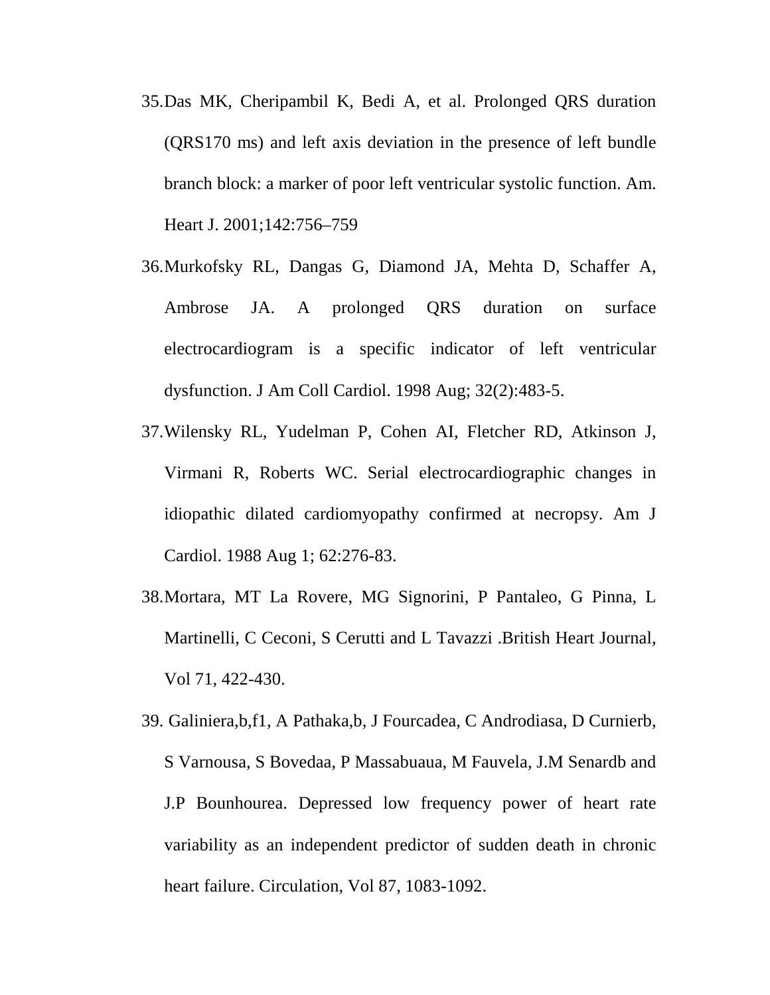- 35. Das MK, Cheripambil K, Bedi A, et al. Prolonged QRS duration (QRS170 ms) and left axis deviation in the presence of left bundle branch block: a marker of poor left ventricular systolic function. Am. Heart J. 2001;142:756–759
- 36. Murkofsky RL, Dangas G, Diamond JA, Mehta D, Schaffer A, Ambrose JA. A prolonged QRS duration on surface electrocardiogram is a specific indicator of left ventricular dysfunction. J Am Coll Cardiol. 1998 Aug; 32(2):483-5.
- 37. Wilensky RL, Yudelman P, Cohen AI, Fletcher RD, Atkinson J, Virmani R, Roberts WC. Serial electrocardiographic changes in idiopathic dilated cardiomyopathy confirmed at necropsy. Am J Cardiol. 1988 Aug 1; 62:276-83.
- 38. Mortara, MT La Rovere, MG Signorini, P Pantaleo, G Pinna, L Martinelli, C Ceconi, S Cerutti and L Tavazzi .British Heart Journal, Vol 71, 422-430.
- 39. Galiniera,b,f1, A Pathaka,b, J Fourcadea, C Androdiasa, D Curnierb, S Varnousa, S Bovedaa, P Massabuaua, M Fauvela, J.M Senardb and J.P Bounhourea. Depressed low frequency power of heart rate variability as an independent predictor of sudden death in chronic heart failure. Circulation, Vol 87, 1083-1092.